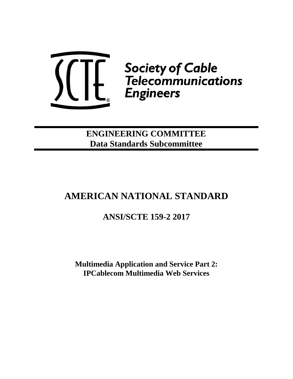

**ENGINEERING COMMITTEE Data Standards Subcommittee**

# **AMERICAN NATIONAL STANDARD**

# **ANSI/SCTE 159-2 2017**

<span id="page-0-0"></span>**Multimedia Application and Service Part 2: IPCablecom Multimedia Web Services**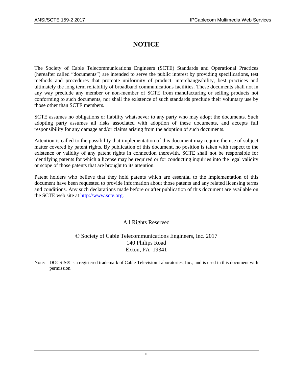## **NOTICE**

The Society of Cable Telecommunications Engineers (SCTE) Standards and Operational Practices (hereafter called "documents") are intended to serve the public interest by providing specifications, test methods and procedures that promote uniformity of product, interchangeability, best practices and ultimately the long term reliability of broadband communications facilities. These documents shall not in any way preclude any member or non-member of SCTE from manufacturing or selling products not conforming to such documents, nor shall the existence of such standards preclude their voluntary use by those other than SCTE members.

SCTE assumes no obligations or liability whatsoever to any party who may adopt the documents. Such adopting party assumes all risks associated with adoption of these documents, and accepts full responsibility for any damage and/or claims arising from the adoption of such documents.

Attention is called to the possibility that implementation of this document may require the use of subject matter covered by patent rights. By publication of this document, no position is taken with respect to the existence or validity of any patent rights in connection therewith. SCTE shall not be responsible for identifying patents for which a license may be required or for conducting inquiries into the legal validity or scope of those patents that are brought to its attention.

Patent holders who believe that they hold patents which are essential to the implementation of this document have been requested to provide information about those patents and any related licensing terms and conditions. Any such declarations made before or after publication of this document are available on the SCTE web site at [http://www.scte.org.](http://www.scte.org/)

## All Rights Reserved

## © Society of Cable Telecommunications Engineers, Inc. 2017 140 Philips Road Exton, PA 19341

Note: DOCSIS® is a registered trademark of Cable Television Laboratories, Inc., and is used in this document with permission.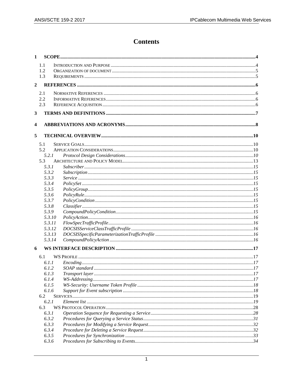## **Contents**

| 1              |              |                     |  |
|----------------|--------------|---------------------|--|
|                | 1.1          |                     |  |
|                | 1.2          |                     |  |
|                | 1.3          |                     |  |
| $\overline{2}$ |              |                     |  |
|                |              |                     |  |
|                | 2.1          |                     |  |
|                | 2.2          |                     |  |
|                | 2.3          |                     |  |
| $\mathbf{3}$   |              |                     |  |
| 4              |              |                     |  |
| 5              |              |                     |  |
|                | 5.1          |                     |  |
|                | 5.2          |                     |  |
|                | 5.2.1        |                     |  |
|                | 5.3          |                     |  |
|                | 5.3.1        |                     |  |
|                | 5.3.2        |                     |  |
|                | 5.3.3        |                     |  |
|                | 5.3.4        |                     |  |
|                | 5.3.5        |                     |  |
|                | 5.3.6        |                     |  |
|                | 5.3.7        |                     |  |
|                | 5.3.8        |                     |  |
|                | 5.3.9        |                     |  |
|                | 5.3.10       |                     |  |
|                | 5.3.11       |                     |  |
|                | 5.3.12       |                     |  |
|                | 5.3.13       |                     |  |
|                | 5.3.14       |                     |  |
| 6              |              |                     |  |
|                | 6.1          |                     |  |
|                | 6.1.1        | $Encoding \dots 17$ |  |
|                |              |                     |  |
|                | 6.1.3        |                     |  |
|                | 6.1.4        |                     |  |
|                | 6.1.5        |                     |  |
|                | 6.1.6        |                     |  |
|                | 6.2          |                     |  |
|                | 6.2.1<br>6.3 |                     |  |
|                | 6.3.1        |                     |  |
|                | 6.3.2        |                     |  |
|                | 6.3.3        |                     |  |
|                | 6.3.4        |                     |  |
|                | 6.3.5        |                     |  |
|                | 6.3.6        |                     |  |
|                |              |                     |  |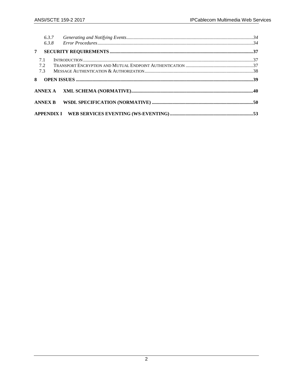|                | 6.3.7<br>6.3.8 |  |
|----------------|----------------|--|
| 7              |                |  |
| 7.1            |                |  |
| 7.2            |                |  |
| 7.3            |                |  |
|                |                |  |
| 8              |                |  |
|                |                |  |
| <b>ANNEX B</b> |                |  |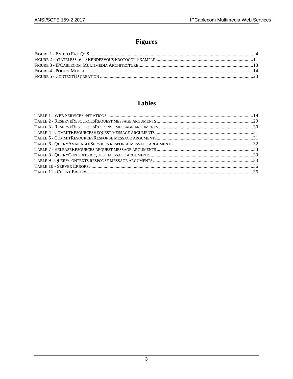## Figures

## **Tables**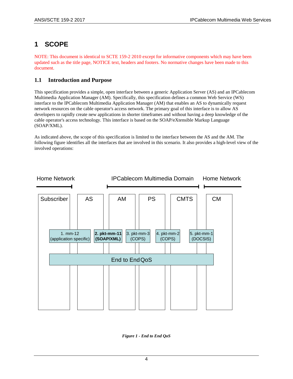## <span id="page-5-0"></span>**1 SCOPE**

NOTE: This document is identical to SCTE 159-2 2010 except for informative components which may have been updated such as the title page, NOTICE text, headers and footers. No normative changes have been made to this document.

## <span id="page-5-1"></span>**1.1 Introduction and Purpose**

This specification provides a simple, open interface between a generic Application Server (AS) and an IPCablecom Multimedia Application Manager (AM). Specifically, this specification defines a common Web Service (WS) interface to the IPCablecom Multimedia Application Manager (AM) that enables an AS to dynamically request network resources on the cable operator's access network. The primary goal of this interface is to allow AS developers to rapidly create new applications in shorter timeframes and without having a deep knowledge of the cable operator's access technology. This interface is based on the SOAP/eXtensible Markup Language (SOAP/XML).

As indicated above, the scope of this specification is limited to the interface between the AS and the AM. The following figure identifies all the interfaces that are involved in this scenario. It also provides a high-level view of the involved operations:



<span id="page-5-2"></span>*Figure 1 - End to End QoS*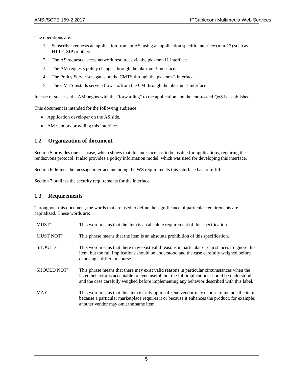The operations are:

- 1. Subscriber requests an application from an AS, using an application specific interface (mm-12) such as HTTP, SIP or others.
- 2. The AS requests access network resources via the pkt-mm-11 interface.
- 3. The AM requests policy changes through the pkt-mm-3 interface.
- 4. The Policy Server sets gates on the CMTS through the pkt-mm-2 interface.
- 5. The CMTS installs service flows to/from the CM through the pkt-mm-1 interface.

In case of success, the AM begins with the "forwarding" to the application and the end-to-end QoS is established.

This document is intended for the following audience:

- Application developer on the AS side.
- AM vendors providing this interface.

### <span id="page-6-0"></span>**1.2 Organization of document**

Section [5](#page-11-0) provides one use case, which shows that this interface has to be usable for applications, requiring the rendezvous protocol. It also provides a policy information model, which was used for developing this interface.

Section [6](#page-18-0) defines the message interface including the WS requirements this interface has to fulfill.

Section [7](#page-38-0) outlines the security requirements for the interface.

### <span id="page-6-1"></span>**1.3 Requirements**

Throughout this document, the words that are used to define the significance of particular requirements are capitalized. These words are:

| "MUST"       | This word means that the item is an absolute requirement of this specification.                                                                                                                                                                                                         |
|--------------|-----------------------------------------------------------------------------------------------------------------------------------------------------------------------------------------------------------------------------------------------------------------------------------------|
| "MUST NOT"   | This phrase means that the item is an absolute prohibition of this specification.                                                                                                                                                                                                       |
| "SHOULD"     | This word means that there may exist valid reasons in particular circumstances to ignore this<br>item, but the full implications should be understood and the case carefully weighed before<br>choosing a different course.                                                             |
| "SHOULD NOT" | This phrase means that there may exist valid reasons in particular circumstances when the<br>listed behavior is acceptable or even useful, but the full implications should be understood<br>and the case carefully weighed before implementing any behavior described with this label. |
| "MAY"        | This word means that this item is truly optional. One vendor may choose to include the item<br>because a particular marketplace requires it or because it enhances the product, for example;<br>another vendor may omit the same item.                                                  |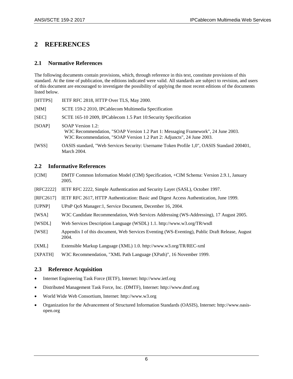## <span id="page-7-0"></span>**2 REFERENCES**

## <span id="page-7-1"></span>**2.1 Normative References**

The following documents contain provisions, which, through reference in this text, constitute provisions of this standard. At the time of publication, the editions indicated were valid. All standards are subject to revision, and users of this document are encouraged to investigate the possibility of applying the most recent editions of the documents listed below.

<span id="page-7-7"></span><span id="page-7-6"></span><span id="page-7-5"></span>

| [HTTPS] | IETF RFC 2818, HTTP Over TLS, May 2000.                                                                                                                                          |  |  |  |
|---------|----------------------------------------------------------------------------------------------------------------------------------------------------------------------------------|--|--|--|
| [MM]    | SCTE 159-2 2010, IPCablecom Multimedia Specification                                                                                                                             |  |  |  |
| [SEC]   | SCTE 165-10 2009, IPCablecom 1.5 Part 10: Security Specification                                                                                                                 |  |  |  |
| [SOAP]  | SOAP Version 1.2:<br>W3C Recommendation, "SOAP Version 1.2 Part 1: Messaging Framework", 24 June 2003.<br>W3C Recommendation, "SOAP Version 1.2 Part 2: Adjuncts", 24 June 2003. |  |  |  |
| [WSS]   | OASIS standard, "Web Services Security: Username Token Profile 1,0", OASIS Standard 200401,<br><b>March 2004.</b>                                                                |  |  |  |

#### <span id="page-7-9"></span><span id="page-7-2"></span>**2.2 Informative References**

- <span id="page-7-4"></span>[CIM] DMTF Common Information Model (CIM) Specification, +CIM Schema: Version 2.9.1, January 2005.
- [RFC2222] IETF RFC 2222, Simple Authentication and Security Layer (SASL), October 1997.
- [RFC2617] IETF RFC 2617, HTTP Authentication: Basic and Digest Access Authentication, June 1999.
- <span id="page-7-12"></span>[UPNP] UPnP QoS Manager:1, Service Document, December 16, 2004.
- <span id="page-7-8"></span>[WSA] W3C Candidate Recommendation, Web Services Addressing (WS-Addressing), 17 August 2005.
- [WSDL] Web Services Description Language (WSDL) 1.1. http://www.w3.org/TR/wsdl
- <span id="page-7-10"></span>[WSE] [Appendix I](#page-54-0) of this document, Web Services Eventing (WS-Eventing), Public Draft Release, August 2004.
- [XML] Extensible Markup Language (XML) 1.0. http://www.w3.org/TR/REC-xml

<span id="page-7-11"></span>[XPATH] W3C Recommendation, "XML Path Language (XPath)", 16 November 1999.

## <span id="page-7-3"></span>**2.3 Reference Acquisition**

- Internet Engineering Task Force (IETF), Internet: [http://www.ietf.org](http://www.ietf.org/)
- Distributed Management Task Force, Inc. (DMTF), Internet: http://www.dmtf.org
- World Wide Web Consortium, Internet: http://www.w3.org
- Organization for the Advancement of Structured Information Standards (OASIS), Internet: http://www.oasisopen.org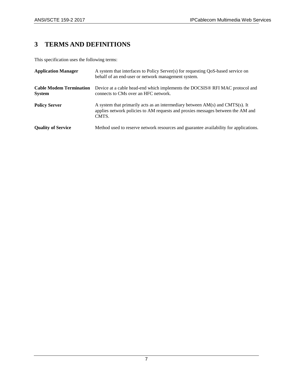## <span id="page-8-0"></span>**3 TERMS AND DEFINITIONS**

This specification uses the following terms:

| <b>Application Manager</b>                      | A system that interfaces to Policy Server(s) for requesting QoS-based service on<br>behalf of an end-user or network management system.                                        |
|-------------------------------------------------|--------------------------------------------------------------------------------------------------------------------------------------------------------------------------------|
| <b>Cable Modem Termination</b><br><b>System</b> | Device at a cable head-end which implements the DOCSIS® RFI MAC protocol and<br>connects to CMs over an HFC network.                                                           |
| <b>Policy Server</b>                            | A system that primarily acts as an intermediary between $AM(s)$ and $CMTS(s)$ . It<br>applies network policies to AM requests and proxies messages between the AM and<br>CMTS. |
| <b>Quality of Service</b>                       | Method used to reserve network resources and guarantee availability for applications.                                                                                          |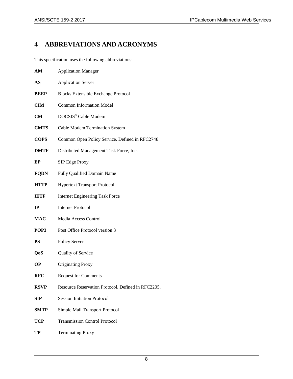## <span id="page-9-0"></span>**4 ABBREVIATIONS AND ACRONYMS**

This specification uses the following abbreviations:

| AM          | <b>Application Manager</b>                         |  |  |
|-------------|----------------------------------------------------|--|--|
| AS          | <b>Application Server</b>                          |  |  |
| <b>BEEP</b> | <b>Blocks Extensible Exchange Protocol</b>         |  |  |
| <b>CIM</b>  | <b>Common Information Model</b>                    |  |  |
| CM          | DOCSIS <sup>®</sup> Cable Modem                    |  |  |
| <b>CMTS</b> | Cable Modem Termination System                     |  |  |
| <b>COPS</b> | Common Open Policy Service. Defined in RFC2748.    |  |  |
| <b>DMTF</b> | Distributed Management Task Force, Inc.            |  |  |
| ЕP          | SIP Edge Proxy                                     |  |  |
| <b>FQDN</b> | Fully Qualified Domain Name                        |  |  |
| <b>HTTP</b> | <b>Hypertext Transport Protocol</b>                |  |  |
| <b>IETF</b> | <b>Internet Engineering Task Force</b>             |  |  |
| $_{\rm IP}$ | <b>Internet Protocol</b>                           |  |  |
| <b>MAC</b>  | Media Access Control                               |  |  |
| POP3        | Post Office Protocol version 3                     |  |  |
| <b>PS</b>   | Policy Server                                      |  |  |
| QoS         | <b>Quality of Service</b>                          |  |  |
| OР          | <b>Originating Proxy</b>                           |  |  |
| <b>RFC</b>  | <b>Request for Comments</b>                        |  |  |
| <b>RSVP</b> | Resource Reservation Protocol. Defined in RFC2205. |  |  |
| SIP         | <b>Session Initiation Protocol</b>                 |  |  |
| SMTP        | Simple Mail Transport Protocol                     |  |  |
| TCP         | <b>Transmission Control Protocol</b>               |  |  |
| TP          | <b>Terminating Proxy</b>                           |  |  |
|             |                                                    |  |  |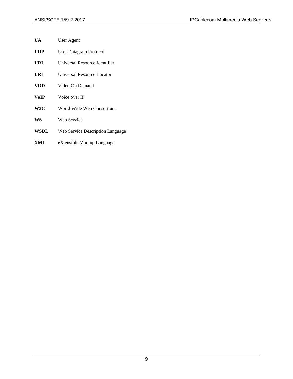- **UA** User Agent
- **UDP** User Datagram Protocol
- **URI** Universal Resource Identifier
- **URL** Universal Resource Locator
- **VOD** Video On Demand
- **VoIP** Voice over IP
- **W3C** World Wide Web Consortium
- **WS** Web Service
- **WSDL** Web Service Description Language
- **XML** eXtensible Markup Language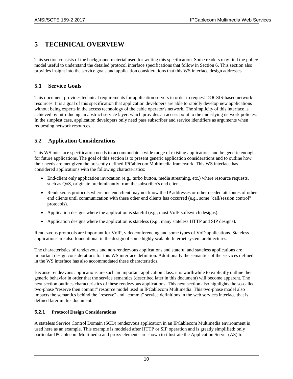## <span id="page-11-0"></span>**5 TECHNICAL OVERVIEW**

This section consists of the background material used for writing this specification. Some readers may find the policy model useful to understand the detailed protocol interface specifications that follow in Section [6.](#page-18-0) This section also provides insight into the service goals and application considerations that this WS interface design addresses.

## <span id="page-11-1"></span>**5.1 Service Goals**

This document provides technical requirements for application servers in order to request DOCSIS-based network resources. It is a goal of this specification that application developers are able to rapidly develop new applications without being experts in the access technology of the cable operator's network. The simplicity of this interface is achieved by introducing an abstract service layer, which provides an access point to the underlying network policies. In the simplest case, application developers only need pass subscriber and service identifiers as arguments when requesting network resources.

## <span id="page-11-2"></span>**5.2 Application Considerations**

This WS interface specification needs to accommodate a wide range of existing applications and be generic enough for future applications. The goal of this section is to present generic application considerations and to outline how their needs are met given the presently defined IPCablecom Multimedia framework. This WS interface has considered applications with the following characteristics:

- End-client only application invocation (e.g., turbo button, media streaming, etc.) where resource requests, such as QoS, originate predominantly from the subscriber's end client.
- Rendezvous protocols where one end client may not know the IP addresses or other needed attributes of other end clients until communication with these other end clients has occurred (e.g., some "call/session control" protocols).
- Application designs where the application is stateful (e.g., most VoIP softswitch designs).
- Application designs where the application is stateless (e.g., many stateless HTTP and SIP designs).

Rendezvous protocols are important for VoIP, videoconferencing and some types of VoD applications. Stateless applications are also foundational in the design of some highly scalable Internet system architectures.

The characteristics of rendezvous and non-rendezvous applications and stateful and stateless applications are important design considerations for this WS interface definition. Additionally the semantics of the services defined in the WS interface has also accommodated these characteristics.

Because rendezvous applications are such an important application class, it is worthwhile to explicitly outline their generic behavior in order that the service semantics (described later in this document) will become apparent. The next section outlines characteristics of these rendezvous applications. This next section also highlights the so-called two-phase "reserve then commit" resource model used in IPCablecom Multimedia. This two-phase model also impacts the semantics behind the "reserve" and "commit" service definitions in the web services interface that is defined later in this document.

### <span id="page-11-3"></span>**5.2.1 Protocol Design Considerations**

A stateless Service Control Domain (SCD) rendezvous application in an IPCablecom Multimedia environment is used here as an example. This example is modeled after HTTP or SIP operation and is greatly simplified; only particular IPCablecom Multimedia and proxy elements are shown to illustrate the Application Server (AS) to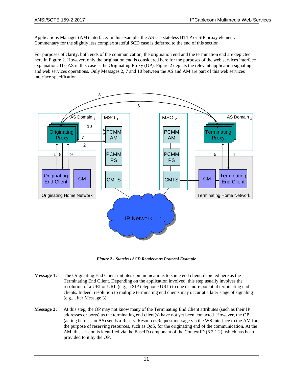Applications Manager (AM) interface. In this example, the AS is a stateless HTTP or SIP proxy element. Commentary for the slightly less complex stateful SCD case is deferred to the end of this section.

For purposes of clarity, both ends of the communication, the origination end and the termination end are depicted here in [Figure 2.](#page-12-0) However, only the origination end is considered here for the purposes of the web services interface explanation. The AS in this case is the Originating Proxy (OP). [Figure 2](#page-12-0) depicts the relevant application signaling and web services operations. Only Messages 2, 7 and 10 between the AS and AM are part of this web services interface specification.



*Figure 2 - Stateless SCD Rendezvous Protocol Example*

- <span id="page-12-0"></span>**Message 1:** The Originating End Client initiates communications to some end client, depicted here as the Terminating End Client. Depending on the application involved, this step usually involves the resolution of a URI or URL (e.g., a SIP telephone URL) to one or more potential terminating end clients. Indeed, resolution to multiple terminating end clients may occur at a later stage of signaling (e.g., after Message 3).
- **Message 2:** At this step, the OP may not know many of the Terminating End Client attributes (such as their IP addresses or ports) as the terminating end client(s) have not yet been contacted. However, the OP (acting here as an AS) sends a ReserveResourcesRequest message via the WS interface to the AM for the purpose of reserving resources, such as QoS, for the originating end of the communication. At the AM, this session is identified via the BaseID component of the ContextID [\(6.2.1.2\)](#page-23-0), which has been provided to it by the OP.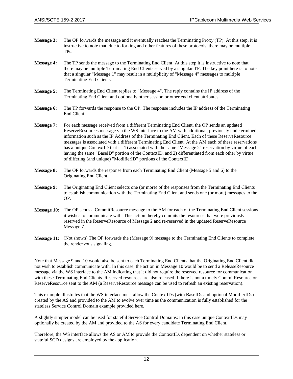- **Message 3:** The OP forwards the message and it eventually reaches the Terminating Proxy (TP). At this step, it is instructive to note that, due to forking and other features of these protocols, there may be multiple TPs.
- **Message 4:** The TP sends the message to the Terminating End Client. At this step it is instructive to note that there may be multiple Terminating End Clients served by a singular TP. The key point here is to note that a singular "Message 1" may result in a multiplicity of "Message 4" messages to multiple Terminating End Clients.
- **Message 5:** The Terminating End Client replies to "Message 4". The reply contains the IP address of the Terminating End Client and optionally other session or other end client attributes.
- **Message 6:** The TP forwards the response to the OP. The response includes the IP address of the Terminating End Client.
- **Message 7:** For each message received from a different Terminating End Client, the OP sends an updated ReserveResources message via the WS interface to the AM with additional, previously undetermined, information such as the IP Address of the Terminating End Client. Each of these ReserveResource messages is associated with a different Terminating End Client. At the AM each of these reservations has a unique ContextID that is: 1) associated with the same "Message 2" reservation by virtue of each having the same "BaseID" portion of the ContextID, and 2) differentiated from each other by virtue of differing (and unique) "ModifierID" portions of the ContextID.
- **Message 8:** The OP forwards the response from each Terminating End Client (Message 5 and 6) to the Originating End Client.
- **Message 9:** The Originating End Client selects one (or more) of the responses from the Terminating End Clients to establish communication with the Terminating End Client and sends one (or more) messages to the OP.
- **Message 10:** The OP sends a CommitResource message to the AM for each of the Terminating End Client sessions it wishes to communicate with. This action thereby commits the resources that were previously reserved in the ReserveResource of Message 2 and re-reserved in the updated ReserveResource Message 7.
- **Message 11:** (Not shown) The OP forwards the (Message 9) message to the Terminating End Clients to complete the rendezvous signaling.

Note that Message 9 and 10 would also be sent to each Terminating End Clients that the Originating End Client did not wish to establish communicate with. In this case, the action in Message 10 would be to send a ReleaseResource message via the WS interface to the AM indicating that it did not require the reserved resource for communication with these Terminating End Clients. Reserved resources are also released if there is not a timely CommitResource or ReserveResource sent to the AM (a ReserveResource message can be used to refresh an existing reservation).

This example illustrates that the WS interface must allow the ContextIDs (with BaseIDs and optional ModifierIDs) created by the AS and provided to the AM to evolve over time as the communication is fully established for the stateless Service Control Domain example provided here.

A slightly simpler model can be used for stateful Service Control Domains; in this case unique ContextIDs may optionally be created by the AM and provided to the AS for every candidate Terminating End Client.

Therefore, the WS interface allows the AS or AM to provide the ContextID, dependent on whether stateless or stateful SCD designs are employed by the application.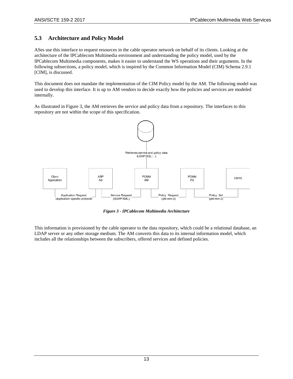## <span id="page-14-0"></span>**5.3 Architecture and Policy Model**

ASes use this interface to request resources in the cable operator network on behalf of its clients. Looking at the architecture of the IPCablecom Multimedia environment and understanding the policy model, used by the IPCablecom Multimedia components, makes it easier to understand the WS operations and their arguments. In the following subsections, a policy model, which is inspired by the Common Information Model (CIM) Schema 2.9.1 [\[CIM\],](#page-7-4) is discussed.

This document does not mandate the implementation of the CIM Policy model by the AM. The following model was used to develop this interface. It is up to AM vendors to decide exactly how the policies and services are modeled internally.

As illustrated in [Figure 3,](#page-14-1) the AM retrieves the service and policy data from a repository. The interfaces to this repository are not within the scope of this specification.



*Figure 3 - IPCablecom Multimedia Architecture*

<span id="page-14-1"></span>This information is provisioned by the cable operator to the data repository, which could be a relational database, an LDAP server or any other storage medium. The AM converts this data to its internal information model, which includes all the relationships between the subscribers, offered services and defined policies.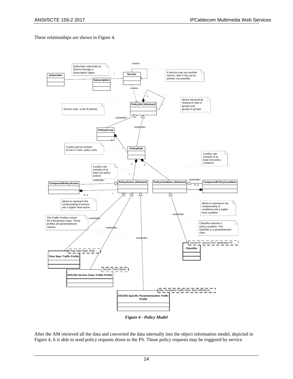These relationships are shown in [Figure 4.](#page-15-0)



*Figure 4 - Policy Model*

<span id="page-15-0"></span>After the AM retrieved all the data and converted the data internally into the object information model, depicted in [Figure 4,](#page-15-0) it is able to send policy requests down to the PS. Those policy requests may be triggered by service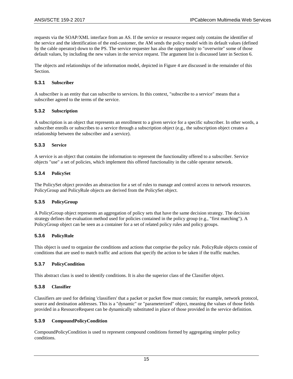requests via the SOAP/XML interface from an AS. If the service or resource request only contains the identifier of the service and the identification of the end-customer, the AM sends the policy model with its default values (defined by the cable operator) down to the PS. The service requester has also the opportunity to "overwrite" some of those default values, by including the new values in the service request. The argument list is discussed later in Section [6.](#page-18-0)

The objects and relationships of the information model, depicted i[n Figure 4](#page-15-0) are discussed in the remainder of this Section.

#### <span id="page-16-0"></span>**5.3.1 Subscriber**

A subscriber is an entity that can subscribe to services. In this context, "subscribe to a service" means that a subscriber agreed to the terms of the service.

#### <span id="page-16-1"></span>**5.3.2 Subscription**

A subscription is an object that represents an enrollment to a given service for a specific subscriber. In other words, a subscriber enrolls or subscribes to a service through a subscription object (e.g., the subscription object creates a relationship between the subscriber and a service).

#### <span id="page-16-2"></span>**5.3.3 Service**

A service is an object that contains the information to represent the functionality offered to a subscriber. Service objects "use" a set of policies, which implement this offered functionality in the cable operator network.

#### <span id="page-16-3"></span>**5.3.4 PolicySet**

The PolicySet object provides an abstraction for a set of rules to manage and control access to network resources. PolicyGroup and PolicyRule objects are derived from the PolicySet object.

#### <span id="page-16-4"></span>**5.3.5 PolicyGroup**

A PolicyGroup object represents an aggregation of policy sets that have the same decision strategy. The decision strategy defines the evaluation method used for policies contained in the policy group (e.g., "first matching"). A PolicyGroup object can be seen as a container for a set of related policy rules and policy groups.

#### <span id="page-16-5"></span>**5.3.6 PolicyRule**

This object is used to organize the conditions and actions that comprise the policy rule. PolicyRule objects consist of conditions that are used to match traffic and actions that specify the action to be taken if the traffic matches.

#### <span id="page-16-6"></span>**5.3.7 PolicyCondition**

This abstract class is used to identify conditions. It is also the superior class of the Classifier object.

#### <span id="page-16-7"></span>**5.3.8 Classifier**

Classifiers are used for defining 'classifiers' that a packet or packet flow must contain; for example, network protocol, source and destination addresses. This is a "dynamic" or "parameterized" object, meaning the values of those fields provided in a ResourceRequest can be dynamically substituted in place of those provided in the service definition.

#### <span id="page-16-8"></span>**5.3.9 CompoundPolicyCondition**

CompoundPolicyCondition is used to represent compound conditions formed by aggregating simpler policy conditions.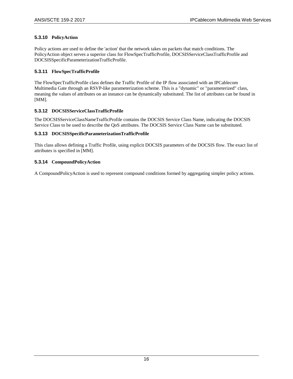#### <span id="page-17-0"></span>**5.3.10 PolicyAction**

Policy actions are used to define the 'action' that the network takes on packets that match conditions. The PolicyAction object serves a superior class for FlowSpecTrafficProfile, DOCSISServiceClassTrafficProfile and DOCSISSpecificParameterizationTrafficProfile.

#### <span id="page-17-1"></span>**5.3.11 FlowSpecTrafficProfile**

The FlowSpecTrafficProfile class defines the Traffic Profile of the IP flow associated with an IPCablecom Multimedia Gate through an RSVP-like parameterization scheme. This is a "dynamic" or "parameterized" class, meaning the values of attributes on an instance can be dynamically substituted. The list of attributes can be found in [\[MM\].](#page-7-5)

#### <span id="page-17-2"></span>**5.3.12 DOCSISServiceClassTrafficProfile**

The DOCSISServiceClassNameTrafficProfile contains the DOCSIS Service Class Name, indicating the DOCSIS Service Class to be used to describe the QoS attributes. The DOCSIS Service Class Name can be substituted.

#### <span id="page-17-3"></span>**5.3.13 DOCSISSpecificParameterizationTrafficProfile**

This class allows defining a Traffic Profile, using explicit DOCSIS parameters of the DOCSIS flow. The exact list of attributes is specified in [\[MM\].](#page-7-5)

#### <span id="page-17-4"></span>**5.3.14 CompoundPolicyAction**

A CompoundPolicyAction is used to represent compound conditions formed by aggregating simpler policy actions.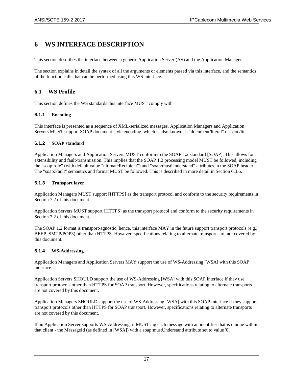## <span id="page-18-0"></span>**6 WS INTERFACE DESCRIPTION**

This section describes the interface between a generic Application Server (AS) and the Application Manager.

The section explains in detail the syntax of all the arguments or elements passed via this interface, and the semantics of the function calls that can be performed using this WS interface.

## <span id="page-18-1"></span>**6.1 WS Profile**

This section defines the WS standards this interface MUST comply with.

### <span id="page-18-2"></span>**6.1.1 Encoding**

This interface is presented as a sequence of XML-serialized messages. Application Managers and Application Servers MUST support SOAP document-style encoding, which is also known as "document/literal" or "doc/lit".

#### <span id="page-18-3"></span>**6.1.2 SOAP standard**

Application Managers and Application Servers MUST conform to the SOAP 1.2 standard [\[SOAP\].](#page-7-6) This allows for extensibility and fault-transmission. This implies that the SOAP 1.2 processing model MUST be followed, including the "soap:role" (with default value "ultimateRecipient") and "soap:mustUnderstand" attributes in the SOAP header. The "soap:Fault" semantics and format MUST be followed. This is described in more detail in Section [6.3.6.](#page-35-0)

#### <span id="page-18-4"></span>**6.1.3 Transport layer**

Application Managers MUST support [\[HTTPS\]](#page-7-7) as the transport protocol and conform to the security requirements in Section [7.2](#page-38-2) of this document.

Application Servers MUST support [\[HTTPS\]](#page-7-7) as the transport protocol and conform to the security requirements in Section [7.2](#page-38-2) of this document.

The SOAP 1.2 format is transport-agnostic; hence, this interface MAY in the future support transport protocols (e.g., BEEP, SMTP/POP3) other than HTTPS. However, specifications relating to alternate transports are not covered by this document.

#### <span id="page-18-5"></span>**6.1.4 WS-Addressing**

Application Managers and Application Servers MAY support the use of WS-Addressin[g \[WSA\]](#page-7-8) with this SOAP interface.

Application Servers SHOULD support the use of WS-Addressin[g \[WSA\]](#page-7-8) with this SOAP interface if they use transport protocols other than HTTPS for SOAP transport. However, specifications relating to alternate transports are not covered by this document.

Application Managers SHOULD support the use of WS-Addressing [\[WSA\]](#page-7-8) with this SOAP interface if they support transport protocols other than HTTPS for SOAP transport. However, specifications relating to alternate transports are not covered by this document.

If an Application Server supports WS-Addressing, it MUST tag each message with an identifier that is unique within that client - the MessageId (as defined in [\[WSA\]\)](#page-7-8) with a soap:mustUnderstand attribute set to value '0'.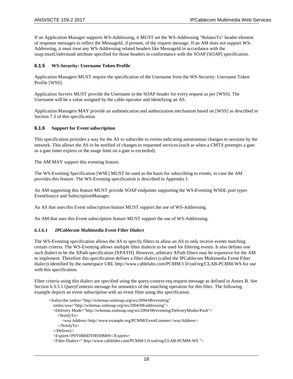If an Application Manager supports WS-Addressing, it MUST set the WS-Addressing "RelatesTo" header element of response messages to reflect the MessageId, if present, of the request message. If an AM does not support WS-Addressing, it must treat any WS-Addressing related headers like MessageId in accordance with the soap:mustUnderstand attribute specified for those headers in conformance with the SOA[P \[SOAP\]](#page-7-6) specification.

#### <span id="page-19-0"></span>**6.1.5 WS-Security: Username Token Profile**

Application Managers MUST require the specification of the Username from the WS-Security: Username Token Profil[e \[WSS\].](#page-7-9)

Application Servers MUST provide the Username in the SOAP header for every request as per [\[WSS\].](#page-7-9) The Username will be a value assigned by the cable operator and identifying an AS.

Application Managers MAY provide an authentication and authorization mechanism based on [\[WSS\]](#page-7-9) as described in Section [7.3](#page-39-0) of this specification.

#### <span id="page-19-1"></span>**6.1.6 Support for Event subscription**

This specification provides a way for the AS to subscribe to events indicating autonomous changes to sessions by the network. This allows the AS to be notified of changes to requested services (such as when a CMTS preempts a gate or a gate timer expires or the usage limit on a gate is exceeded).

The AM MAY support this eventing feature.

The WS-Eventing Specificatio[n \[WSE\]](#page-7-10) MUST be used as the basis for subscribing to events, in case the AM provides this feature. The WS-Eventing specification is described i[n Appendix I.](#page-54-0)

An AM supporting this feature MUST provide SOAP endpoints supporting the WS-Eventing WSDL port types EventSource and SubscriptionManager.

An AS that uses this Event subscription feature MUST support the use of WS-Addressing.

An AM that uses this Event subscription feature MUST support the use of WS-Addressing.

#### *6.1.6.1 IPCablecom Multimedia Event Filter Dialect*

The WS-Eventing specification allows the AS to specify filters to allow an AS to only receive events matching certain criteria. The WS-Eventing allows multiple filter dialects to be used for filtering events. It also defines one such dialect to be the XPath specificatio[n \[XPATH\].](#page-7-11) However, arbitrary XPath filters may be expensive for the AM to implement. Therefore this specification defines a filter dialect (called the IPCablecom Multimedia Event Filter dialect) identified by the namespace URL http://www.cablelabs.com/PCMM/1.0/xsd/reg/CLAB-PCMM-WS for use with this specification.

Filter criteria using this dialect are specified using the query-context-req request message as defined in [Annex](#page-51-0) B. See Section [6.3.5.1](#page-34-4) QueryContexts message for semantics of the matching operation for this filter. The following example depicts an event subscription with an event filter using this specification.

```
<Subscribe xmlns="http://schemas.xmlsoap.org/ws/2004/08/eventing" 
   xmlns:wsa="http://schemas.xmlsoap.org/ws/2004/08/addressing">
   <Delivery Mode="http://schemas.xmlsoap.org/ws/2004/08/eventing/DeliveryModes/Push">
     <NotifyTo>
       <wsa:Address>http://www.example.org/PCMM/EventListener</wsa:Address>
     </NotifyTo>
   </Delivery>
   <Expires>P0Y0M0DT0H30M0S</Expires>
   <Filter Dialect=" http://www.cablelabs.com/PCMM/1.0/xsd/reg/CLAB-PCMM-WS ">
```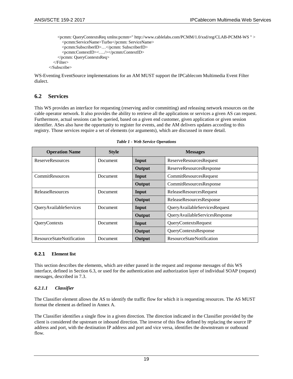```
<pcmm: QueryContextsReq xmlns:pcmm=" http://www.cablelabs.com/PCMM/1.0/xsd/reg/CLAB-PCMM-WS " >
       <pcmm:ServiceName>Turbo</pcmm: ServiceName>
       <pcmm:SubscriberID>…</pcmm: SubscriberID>
       <pcmm:ContextID><…./></pcmm:ContextID> 
     </pcmm: QueryContextsReq>
  </Filter>
</Subscribe>
```
WS-Eventing EventSource implementations for an AM MUST support the IPCablecom Multimedia Event Filter dialect.

### <span id="page-20-0"></span>**6.2 Services**

This WS provides an interface for requesting (reserving and/or committing) and releasing network resources on the cable operator network. It also provides the ability to retrieve all the applications or services a given AS can request. Furthermore, actual sessions can be queried, based on a given end customer, given application or given session identifier. ASes also have the opportunity to register for events, and the AM delivers updates according to this registry. Those services require a set of elements (or arguments), which are discussed in more detail.

<span id="page-20-2"></span>

| <b>Operation Name</b>            | <b>Style</b>    |        | <b>Messages</b>                |
|----------------------------------|-----------------|--------|--------------------------------|
| <b>ReserveResources</b>          | <b>Document</b> | Input  | <b>ReserveResourcesRequest</b> |
|                                  |                 | Output | ReserveResourcesResponse       |
| <b>CommitResources</b>           | Document        | Input  | CommitResourcesRequest         |
|                                  |                 | Output | CommitResourcesResponse        |
| <b>ReleaseResources</b>          | <b>Document</b> | Input  | ReleaseResourcesRequest        |
|                                  |                 | Output | ReleaseResourcesResponse       |
| QueryAvailableServices           | <b>Document</b> | Input  | QueryAvailableServicesRequest  |
|                                  |                 | Output | QueryAvailableServicesResponse |
| QueryContexts                    | <b>Document</b> | Input  | QueryContextsRequest           |
|                                  |                 | Output | QueryContextsResponse          |
| <b>ResourceStateNotification</b> | Document        | Output | ResourceStateNotification      |

|  |  | Table 1 - Web Service Operations |
|--|--|----------------------------------|
|  |  |                                  |

#### <span id="page-20-1"></span>**6.2.1 Element list**

This section describes the elements, which are either passed in the request and response messages of this WS interface, defined in Section [6.3,](#page-29-0) or used for the authentication and authorization layer of individual SOAP (request) messages, described i[n 7.3.](#page-39-0)

#### <span id="page-20-3"></span>*6.2.1.1 Classifier*

The Classifier element allows the AS to identify the traffic flow for which it is requesting resources. The AS MUST format the element as defined in [Annex](#page-41-0) A.

The Classifier identifies a single flow in a given direction. The direction indicated in the Classifier provided by the client is considered the upstream or inbound direction. The inverse of this flow defined by replacing the source IP address and port, with the destination IP address and port and vice versa, identifies the downstream or outbound flow.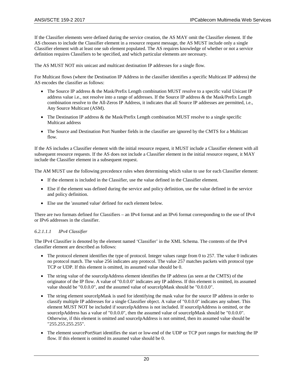If the Classifier elements were defined during the service creation, the AS MAY omit the Classifier element. If the AS chooses to include the Classifier element in a resource request message, the AS MUST include only a single Classifier element with at least one sub element populated. The AS requires knowledge of whether or not a service definition requires Classifiers to be specified, and which particular elements are necessary.

The AS MUST NOT mix unicast and multicast destination IP addresses for a single flow.

For Multicast flows (where the Destination IP Address in the classifier identifies a specific Multicast IP address) the AS encodes the classifier as follows:

- The Source IP address & the Mask/Prefix Length combination MUST resolve to a specific valid Unicast IP address value i.e., not resolve into a range of addresses. If the Source IP address & the Mask/Prefix Length combination resolve to the All-Zeros IP Address, it indicates that all Source IP addresses are permitted, i.e., Any Source Multicast (ASM).
- The Destination IP address & the Mask/Prefix Length combination MUST resolve to a single specific Multicast address
- The Source and Destination Port Number fields in the classifier are ignored by the CMTS for a Multicast flow.

If the AS includes a Classifier element with the initial resource request, it MUST include a Classifier element with all subsequent resource requests. If the AS does not include a Classifier element in the initial resource request, it MAY include the Classifier element in a subsequent request.

The AM MUST use the following precedence rules when determining which value to use for each Classifier element:

- If the element is included in the Classifier, use the value defined in the Classifier element.
- Else if the element was defined during the service and policy definition, use the value defined in the service and policy definition.
- Else use the 'assumed value' defined for each element below.

There are two formats defined for Classifiers – an IPv4 format and an IPv6 format corresponding to the use of IPv4 or IPv6 addresses in the classifier.

#### *6.2.1.1.1 IPv4 Classifier*

The IPv4 Classifier is denoted by the element named 'Classifier' in the XML Schema. The contents of the IPv4 classifier element are described as follows:

- The protocol element identifies the type of protocol. Integer values range from 0 to 257. The value 0 indicates no protocol match. The value 256 indicates any protocol. The value 257 matches packets with protocol type TCP or UDP. If this element is omitted, its assumed value should be 0.
- The string value of the sourceIpAddress element identifies the IP address (as seen at the CMTS) of the originator of the IP flow. A value of "0.0.0.0" indicates any IP address. If this element is omitted, its assumed value should be "0.0.0.0", and the assumed value of sourceIpMask should be "0.0.0.0".
- The string element sourceIpMask is used for identifying the mask value for the source IP address in order to classify multiple IP addresses for a single Classifier object. A value of "0.0.0.0" indicates any subnet. This element MUST NOT be included if sourceIpAddress is not included. If sourceIpAddress is omitted, or the sourceIpAddress has a value of "0.0.0.0", then the assumed value of sourceIpMask should be "0.0.0.0". Otherwise, if this element is omitted and sourceIpAddress is not omitted, then its assumed value should be "255.255.255.255".
- The element sourcePortStart identifies the start or low-end of the UDP or TCP port ranges for matching the IP flow. If this element is omitted its assumed value should be 0.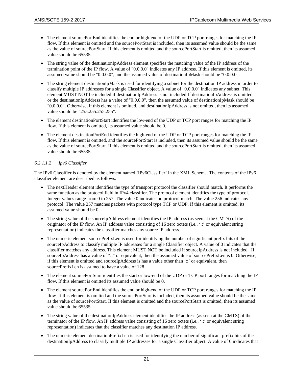- The element sourcePortEnd identifies the end or high-end of the UDP or TCP port ranges for matching the IP flow. If this element is omitted and the sourcePortStart is included, then its assumed value should be the same as the value of sourcePortStart. If this element is omitted and the sourcePortStart is omitted, then its assumed value should be 65535.
- The string value of the destinationIpAddress element specifies the matching value of the IP address of the termination point of the IP flow. A value of "0.0.0.0" indicates any IP address. If this element is omitted, its assumed value should be "0.0.0.0", and the assumed value of destinationIpMask should be "0.0.0.0".
- The string element destinationIpMask is used for identifying a subnet for the destination IP address in order to classify multiple IP addresses for a single Classifier object. A value of "0.0.0.0" indicates any subnet. This element MUST NOT be included if destinationIpAddress is not included If destinationIpAddress is omitted, or the destinationIpAddress has a value of "0.0.0.0", then the assumed value of destinationIpMask should be "0.0.0.0". Otherwise, if this element is omitted, and destinationIpAddress is not omitted, then its assumed value should be "255.255.255.255".
- The element destinationPortStart identifies the low-end of the UDP or TCP port ranges for matching the IP flow. If this element is omitted, its assumed value should be 0.
- The element destinationPortEnd identifies the high-end of the UDP or TCP port ranges for matching the IP flow. If this element is omitted, and the sourcePortStart is included, then its assumed value should be the same as the value of sourcePortStart. If this element is omitted and the sourcePortStart is omitted, then its assumed value should be 65535.

#### *6.2.1.1.2 Ipv6 Classifier*

The IPv6 Classifier is denoted by the element named 'IPv6Classifier' in the XML Schema. The contents of the IPv6 classifier element are described as follows:

- The nextHeader element identifies the type of transport protocol the classifier should match. It performs the same function as the protocol field in IPv4 classifier. The protocol element identifies the type of protocol. Integer values range from 0 to 257. The value 0 indicates no protocol match. The value 256 indicates any protocol. The value 257 matches packets with protocol type TCP or UDP. If this element is omitted, its assumed value should be 0.
- The string value of the sourceIpAddress element identifies the IP address (as seen at the CMTS) of the originator of the IP flow. An IP address value consisting of 16 zero octets (i.e., '::' or equivalent string representation) indicates the classifier matches any source IP address.
- The numeric element sourcePrefixLen is used for identifying the number of significant prefix bits of the sourceIpAddress to classify multiple IP addresses for a single Classifier object. A value of 0 indicates that the classifier matches any address. This element MUST NOT be included if sourceIpAddress is not included. If sourceIpAddress has a value of "::" or equivalent, then the assumed value of sourcePrefixLen is 0. Otherwise, if this element is omitted and sourceIpAddress is has a value other than '::' or equivalent, then sourcePrefixLen is assumed to have a value of 128.
- The element sourcePortStart identifies the start or low-end of the UDP or TCP port ranges for matching the IP flow. If this element is omitted its assumed value should be 0.
- The element sourcePortEnd identifies the end or high-end of the UDP or TCP port ranges for matching the IP flow. If this element is omitted and the sourcePortStart is included, then its assumed value should be the same as the value of sourcePortStart. If this element is omitted and the sourcePortStart is omitted, then its assumed value should be 65535.
- The string value of the destinationIpAddress element identifies the IP address (as seen at the CMTS) of the terminator of the IP flow. An IP address value consisting of 16 zero octets (i.e., '::' or equivalent string representation) indicates that the classifier matches any destination IP address.
- The numeric element destinationPrefixLen is used for identifying the number of significant prefix bits of the destinationIpAddress to classify multiple IP addresses for a single Classifier object. A value of 0 indicates that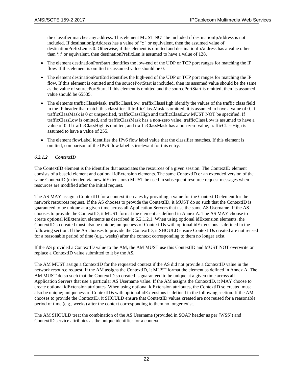the classifier matches any address. This element MUST NOT be included if destinationIpAddress is not included. If destinationIpAddress has a value of "::" or equivalent, then the assumed value of destinationPrefixLen is 0. Otherwise, if this element is omitted and destinationIpAddress has a value other than '::' or equivalent, then destinationPrefixLen is assumed to have a value of 128.

- The element destinationPortStart identifies the low-end of the UDP or TCP port ranges for matching the IP flow. If this element is omitted its assumed value should be 0.
- The element destinationPortEnd identifies the high-end of the UDP or TCP port ranges for matching the IP flow. If this element is omitted and the sourcePortStart is included, then its assumed value should be the same as the value of sourcePortStart. If this element is omitted and the sourcePortStart is omitted, then its assumed value should be 65535.
- The elements trafficClassMask, trafficClassLow, traffixClassHigh identify the values of the traffic class field in the IP header that match this classifier. If trafficClassMask is omitted, it is assumed to have a value of 0. If trafficClassMask is 0 or unspecified, trafficClassHigh and trafficClassLow MUST NOT be specified. If trafficClassLow is omitted, and trafficClassMask has a non-zero value, trafficClassLow is assumed to have a value of 0. If trafficClassHigh is omitted, and trafficClassMask has a non-zero value, trafficClassHigh is assumed to have a value of 255.
- The element flowLabel identifies the IPv6 flow label value that the classifier matches. If this element is omitted, comparison of the IPv6 flow label is irrelevant for this entry.

#### <span id="page-23-0"></span>*6.2.1.2 ContextID*

The ContextID element is the identifier that associates the resources of a given session. The ContextID element consists of a baseId element and optional idExtension elements. The same ContextID or an extended version of the same ContextID (extended via new idExtensions) MUST be used in subsequent resource request messages when resources are modified after the initial request.

The AS MAY assign a ContextID for a context it creates by providing a value for the ContextID element for the network resources request. If the AS chooses to provide the ContextID, it MUST do so such that the ContextID is guaranteed to be unique at a given time across all Application Servers that use the same AS Username. If the AS chooses to provide the ContextID, it MUST format the element as defined in [Annex](#page-41-0) A. The AS MAY choose to create optional idExtension elements as described in [6.2.1.2.1.](#page-24-1) When using optional idExtension elements, the ContextID so created must also be unique; uniqueness of ContextIDs with optional idExtensions is defined in the following section. If the AS chooses to provide the ContextID, it SHOULD ensure ContextIDs created are not reused for a reasonable period of time (e.g., weeks) after the context corresponding to them no longer exist.

If the AS provided a ContextID value to the AM, the AM MUST use this ContextID and MUST NOT overwrite or replace a ContextID value submitted to it by the AS.

The AM MUST assign a ContextID for the requested context if the AS did not provide a ContextID value in the network resource request. If the AM assigns the ContextID, it MUST format the element as defined in [Annex](#page-41-0) A. The AM MUST do so such that the ContextID so created is guaranteed to be unique at a given time across all Application Servers that use a particular AS Username value. If the AM assigns the ContextID, it MAY choose to create optional idExtension attributes. When using optional idExtension attributes, the ContextID so created must also be unique; uniqueness of ContextIDs with optional idExtensions is defined in the following section. If the AM chooses to provide the ContextID, it SHOULD ensure that ContextID values created are not reused for a reasonable period of time (e.g., weeks) after the context corresponding to them no longer exist.

The AM SHOULD treat the combination of the AS Username (provided in SOAP header as per [\[WSS\]\)](#page-7-9) and ContextID service attributes as the unique identifier for a context.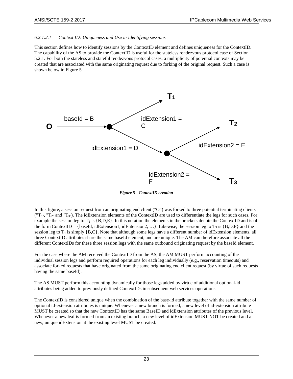#### <span id="page-24-1"></span>*6.2.1.2.1 Context ID: Uniqueness and Use in Identifying sessions*

This section defines how to identify sessions by the ContextID element and defines uniqueness for the ContextID. The capability of the AS to provide the ContextID is useful for the stateless rendezvous protocol case of Section [5.2.1.](#page-11-3) For both the stateless and stateful rendezvous protocol cases, a multiplicity of potential contexts may be created that are associated with the same originating request due to forking of the original request. Such a case is shown below in [Figure 5.](#page-24-0)



*Figure 5 - ContextID creation*

<span id="page-24-0"></span>In this figure, a session request from an originating end client ("O") was forked to three potential terminating clients  $(T_{1}$ ", "T<sub>2</sub>" and "T<sub>3</sub>"). The idExtension elements of the ContextID are used to differentiate the legs for such cases. For example the session leg to  $T_2$  is  ${B,D,E}$ . In this notation the elements in the brackets denote the ContextID and is of the form ContextID = {baseId, idExtension1, idEntension2, ...}. Likewise, the session leg to  $T_3$  is {B,D,F} and the session leg to  $T_1$  is simply  ${B, C}$ . Note that although some legs have a different number of idExtension elements, all three ContextID attributes share the same baseId element, and are unique. The AM can therefore associate all the different ContextIDs for these three session legs with the same outbound originating request by the baseId element.

For the case where the AM received the ContextID from the AS, the AM MUST perform accounting of the individual session legs and perform required operations for each leg individually (e.g., reservation timeouts) and associate forked requests that have originated from the same originating end client request (by virtue of such requests having the same baseId).

The AS MUST perform this accounting dynamically for those legs added by virtue of additional optional-id attributes being added to previously defined ContextIDs in subsequent web services operations.

The ContextID is considered unique when the combination of the base-id attribute together with the same number of optional id-extension attributes is unique. Whenever a new branch is formed, a new level of id-extension attribute MUST be created so that the new ContextID has the same BaseID and idExtension attributes of the previous level. Whenever a new leaf is formed from an existing branch, a new level of idExtension MUST NOT be created and a new, unique idExtension at the existing level MUST be created.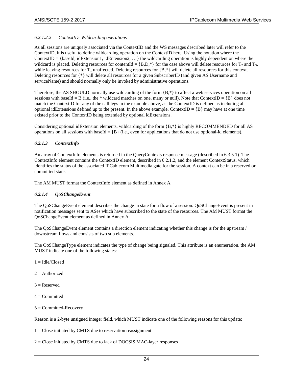#### *6.2.1.2.2 ContextID: Wildcarding operations*

As all sessions are uniquely associated via the ContextID and the WS messages described later will refer to the ContextID, it is useful to define wildcarding operation on the ContextID here. Using the notation where the ContextID = {baseId, idExtension1, idEntension2, ...} the wildcarding operation is highly dependent on where the wildcard is placed. Deleting resources for contentId = {B,D,\*} for the case above will delete resources for  $T_2$  and  $T_3$ , while leaving resources for  $T_1$  unaffected. Deleting resources for  ${B,*}$  will delete all resources for this context. Deleting resources for {\*} will delete all resources for a given SubscriberID (and given AS Username and serviceName) and should normally only be invoked by administrative operations.

Therefore, the AS SHOULD normally use wildcarding of the form {B,\*} to affect a web services operation on all sessions with baseId = B (i.e., the \* wildcard matches on one, many or null). Note that ContextID = {B} does not match the ContextID for any of the call legs in the example above, as the ContextID is defined as including all optional idExtensions defined up to the present. In the above example, ContextID =  ${B}$  may have at one time existed prior to the ContextID being extended by optional idExtensions.

Considering optional idExtension elements, wildcarding of the form  $\{B, *\}$  is highly RECOMMENDED for all AS operations on all sessions with baseId =  ${B}$  (i.e., even for applications that do not use optional-id elements).

#### *6.2.1.3 ContextInfo*

An array of ContextInfo elements is returned in the QueryContexts response message (described i[n 6.3.5.1\)](#page-34-4). The ContextInfo element contains the ContextID element, described i[n 6.2.1.2,](#page-23-0) and the element ContextStatus, which identifies the status of the associated IPCablecom Multimedia gate for the session. A context can be in a reserved or committed state.

The AM MUST format the ContextInfo element as defined in [Annex](#page-41-0) A.

#### *6.2.1.4 QoSChangeEvent*

The QoSChangeEvent element describes the change in state for a flow of a session. QoSChangeEvent is present in notification messages sent to ASes which have subscribed to the state of the resources. The AM MUST format the QoSChangeEvent element as defined in [Annex](#page-41-0) A.

The QoSChangeEvent element contains a direction element indicating whether this change is for the upstream / downstream flows and consists of two sub elements.

The QoSChangeType element indicates the type of change being signaled. This attribute is an enumeration, the AM MUST indicate one of the following states:

- $1 = Idle/Closed$
- $2 =$  Authorized
- $3 =$ Reserved
- $4 =$ Committed
- $5 =$  Committed-Recovery

Reason is a 2-byte unsigned integer field, which MUST indicate one of the following reasons for this update:

 $1 =$ Close initiated by CMTS due to reservation reassignment

2 = Close initiated by CMTS due to lack of DOCSIS MAC-layer responses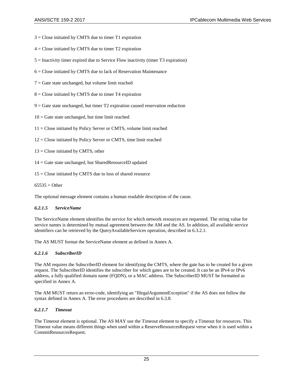- $3 =$  Close initiated by CMTS due to timer T1 expiration
- $4 =$  Close initiated by CMTS due to timer T2 expiration
- 5 = Inactivity timer expired due to Service Flow inactivity (timer T3 expiration)
- $6 =$  Close initiated by CMTS due to lack of Reservation Maintenance
- $7 =$  Gate state unchanged, but volume limit reached
- $8 =$  Close initiated by CMTS due to timer T4 expiration
- $9 =$  Gate state unchanged, but timer T2 expiration caused reservation reduction
- $10 =$  Gate state unchanged, but time limit reached
- 11 = Close initiated by Policy Server or CMTS, volume limit reached
- 12 = Close initiated by Policy Server or CMTS, time limit reached
- $13$  = Close initiated by CMTS, other
- 14 = Gate state unchanged, but SharedResourceID updated
- 15 = Close initiated by CMTS due to loss of shared resource

 $65535 =$ Other

The optional message element contains a human readable description of the cause.

#### <span id="page-26-1"></span>*6.2.1.5 ServiceName*

The ServiceName element identifies the service for which network resources are requested. The string value for service names is determined by mutual agreement between the AM and the AS. In addition, all available service identifiers can be retrieved by the QueryAvailableServices operation, described i[n 6.3.2.1.](#page-32-3)

The AS MUST format the ServiceName element as defined i[n Annex](#page-41-0) A.

#### <span id="page-26-0"></span>*6.2.1.6 SubscriberID*

The AM requires the SubscriberID element for identifying the CMTS, where the gate has to be created for a given request. The SubscriberID identifies the subscriber for which gates are to be created. It can be an IPv4 or IPv6 address, a fully qualified domain name (FQDN), or a MAC address. The SubscriberID MUST be formatted as specified i[n Annex](#page-41-0) A.

The AM MUST return an error-code, identifying an "IllegalArgumentException" if the AS does not follow the syntax defined in [Annex](#page-41-0) A. The error procedures are described in [6.3.8.](#page-35-2)

#### <span id="page-26-2"></span>*6.2.1.7 Timeout*

The Timeout element is optional. The AS MAY use the Timeout element to specify a Timeout for resources. This Timeout value means different things when used within a ReserveResourcesRequest verse when it is used within a CommitResourcesRequest.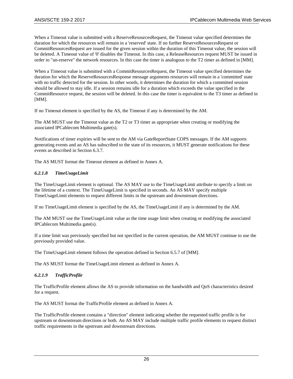When a Timeout value is submitted with a ReserveResourcesRequest, the Timeout value specified determines the duration for which the resources will remain in a 'reserved' state. If no further ReserveResourcesRequest or CommitResourcesRequest are issued for the given session within the duration of this Timeout value, the session will be deleted. A Timeout value of '0' disables the Timeout. In this case, a ReleaseResources request MUST be issued in order to "un-reserve" the network resources. In this case the timer is analogous to the T2 timer as defined in [\[MM\].](#page-7-5)

When a Timeout value is submitted with a CommitResourcesRequest, the Timeout value specified determines the duration for which the ReserveResourcesResponse message arguments resources will remain in a 'committed' state with no traffic detected for the session. In other words, it determines the duration for which a committed session should be allowed to stay idle. If a session remains idle for a duration which exceeds the value specified in the CommitResource request, the session will be deleted. In this case the timer is equivalent to the T3 timer as defined in [\[MM\].](#page-7-5)

If no Timeout element is specified by the AS, the Timeout if any is determined by the AM.

The AM MUST use the Timeout value as the T2 or T3 timer as appropriate when creating or modifying the associated IPCablecom Multimedia gate(s).

Notifications of timer expiries will be sent to the AM via GateReportState COPS messages. If the AM supports generating events and an AS has subscribed to the state of its resources, it MUST generate notifications for these events as described in Section [6.3.7.](#page-35-1)

The AS MUST format the Timeout element as defined i[n Annex](#page-41-0) A.

#### <span id="page-27-1"></span>*6.2.1.8 TimeUsageLimit*

The TimeUsageLimit element is optional. The AS MAY use to the TimeUsageLimit attribute to specify a limit on the lifetime of a context. The TimeUsageLimit is specified in seconds. An AS MAY specify multiple TimeUsageLimit elements to request different limits in the upstream and downstream directions.

If no TimeUsageLimit element is specified by the AS, the TimeUsageLimit if any is determined by the AM.

The AM MUST use the TimeUsageLimit value as the time usage limit when creating or modifying the associated IPCablecom Multimedia gate(s).

If a time limit was previously specified but not specified in the current operation, the AM MUST continue to use the previously provided value.

The TimeUsageLimit element follows the operation defined in Section 6.5.7 o[f \[MM\].](#page-7-5)

The AS MUST format the TimeUsageLimit element as defined i[n Annex](#page-41-0) A.

#### <span id="page-27-0"></span>*6.2.1.9 TrafficProfile*

The TrafficProfile element allows the AS to provide information on the bandwidth and QoS characteristics desired for a request.

The AS MUST format the TrafficProfile element as defined in [Annex](#page-41-0) A.

The TrafficProfile element contains a "direction" element indicating whether the requested traffic profile is for upstream or downstream directions or both. An AS MAY include multiple traffic profile elements to request distinct traffic requirements in the upstream and downstream directions.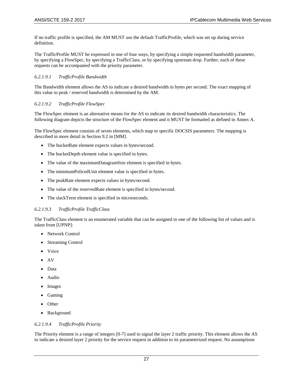If no traffic profile is specified, the AM MUST use the default TrafficProfile, which was set up during service definition.

The TrafficProfile MUST be expressed in one of four ways, by specifying a simple requested bandwidth parameter, by specifying a FlowSpec, by specifying a TrafficClass, or by specifying upstream drop. Further, each of these requests can be accompanied with the priority parameter.

#### *6.2.1.9.1 TrafficProfile Bandwidth*

The Bandwidth element allows the AS to indicate a desired bandwidth in bytes per second. The exact mapping of this value to peak / reserved bandwidth is determined by the AM.

#### *6.2.1.9.2 TrafficProfile FlowSpec*

The FlowSpec element is an alternative means for the AS to indicate its desired bandwidth characteristics. The following diagram depicts the structure of the FlowSpec element and it MUST be formatted as defined in [Annex](#page-41-0) A.

The FlowSpec element consists of seven elements, which map to specific DOCSIS parameters. The mapping is described in more detail in Section 9.2 i[n \[MM\].](#page-7-5)

- The bucketRate element expects values in bytes/second.
- The bucketDepth element value is specified in bytes.
- The value of the maximumDatagramSize element is specified in bytes.
- The minimumPolicedUnit element value is specified in bytes.
- The peakRate element expects values in bytes/second.
- The value of the reservedRate element is specified in bytes/second.
- The slackTerm element is specified in microseconds.

#### *6.2.1.9.3 TrafficProfile TrafficClass*

The TrafficClass element is an enumerated variable that can be assigned to one of the following list of values and is taken from [\[UPNP\]:](#page-7-12)

- **Network Control**
- **Streaming Control**
- Voice
- AV
- Data
- Audio
- Images
- Gaming
- Other
- Background

#### *6.2.1.9.4 TrafficProfile Priority*

The Priority element is a range of integers [0-7] used to signal the layer 2 traffic priority. This element allows the AS to indicate a desired layer 2 priority for the service request in addition to its parameterized request. No assumptions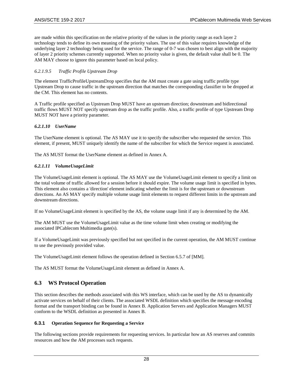are made within this specification on the relative priority of the values in the priority range as each layer 2 technology tends to define its own meaning of the priority values. The use of this value requires knowledge of the underlying layer 2 technology being used for the service. The range of 0-7 was chosen to best align with the majority of layer 2 priority schemes currently supported. When no priority value is given, the default value shall be 0. The AM MAY choose to ignore this parameter based on local policy.

### *6.2.1.9.5 Traffic Profile Upstream Drop*

The element TrafficProfileUpstreamDrop specifies that the AM must create a gate using traffic profile type Upstream Drop to cause traffic in the upstream direction that matches the corresponding classifier to be dropped at the CM. This element has no contents.

A Traffic profile specified as Upstream Drop MUST have an upstream direction; downstream and bidirectional traffic flows MUST NOT specify upstream drop as the traffic profile. Also, a traffic profile of type Upstream Drop MUST NOT have a priority parameter.

#### <span id="page-29-3"></span>*6.2.1.10 UserName*

The UserName element is optional. The AS MAY use it to specify the subscriber who requested the service. This element, if present, MUST uniquely identify the name of the subscriber for which the Service request is associated.

The AS MUST format the UserName element as defined in [Annex](#page-41-0) A.

#### <span id="page-29-2"></span>*6.2.1.11 VolumeUsageLimit*

The VolumeUsageLimit element is optional. The AS MAY use the VolumeUsageLimit element to specify a limit on the total volume of traffic allowed for a session before it should expire. The volume usage limit is specified in bytes. This element also contains a 'direction' element indicating whether the limit is for the upstream or downstream directions. An AS MAY specify multiple volume usage limit elements to request different limits in the upstream and downstream directions.

If no VolumeUsageLimit element is specified by the AS, the volume usage limit if any is determined by the AM.

The AM MUST use the VolumeUsageLimit value as the time volume limit when creating or modifying the associated IPCablecom Multimedia gate(s).

If a VolumeUsageLimit was previously specified but not specified in the current operation, the AM MUST continue to use the previously provided value.

The VolumeUsageLimit element follows the operation defined in Section 6.5.7 o[f \[MM\].](#page-7-5)

The AS MUST format the VolumeUsageLimit element as defined i[n Annex](#page-41-0) A.

## <span id="page-29-0"></span>**6.3 WS Protocol Operation**

This section describes the methods associated with this WS interface, which can be used by the AS to dynamically activate services on behalf of their clients. The associated WSDL definition which specifies the message encoding format and the transport binding can be found i[n Annex](#page-51-0) B. Application Servers and Application Managers MUST conform to the WSDL definition as presented i[n Annex](#page-51-0) B.

#### <span id="page-29-1"></span>**6.3.1 Operation Sequence for Requesting a Service**

The following sections provide requirements for requesting services. In particular how an AS reserves and commits resources and how the AM processes such requests.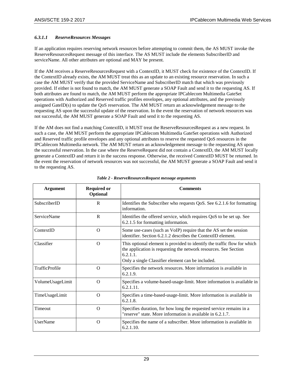#### *6.3.1.1 ReserveResources Messages*

If an application requires reserving network resources before attempting to commit them, the AS MUST invoke the ReserveResourcesRequest message of this interface. The AS MUST include the elements SubscriberID and serviceName. All other attributes are optional and MAY be present.

If the AM receives a ReserveResourcesRequest with a ContextID, it MUST check for existence of the ContextID. If the ContextID already exists, the AM MUST treat this as an update to an existing resource reservation. In such a case the AM MUST verify that the provided ServiceName and SubscriberID match that which was previously provided. If either is not found to match, the AM MUST generate a SOAP Fault and send it to the requesting AS. If both attributes are found to match, the AM MUST perform the appropriate IPCablecom Multimedia GateSet operations with Authorized and Reserved traffic profiles envelopes, any optional attributes, and the previously assigned GateID(s) to update the QoS reservation. The AM MUST return an acknowledgement message to the requesting AS upon the successful update of the reservation. In the event the reservation of network resources was not successful, the AM MUST generate a SOAP Fault and send it to the requesting AS.

If the AM does not find a matching ContextID, it MUST treat the ReserveResourcesRequest as a new request. In such a case, the AM MUST perform the appropriate IPCablecom Multimedia GateSet operations with Authorized and Reserved traffic profile envelopes and any optional attributes to reserve the requested QoS resources in the IPCablecom Multimedia network. The AM MUST return an acknowledgement message to the requesting AS upon the successful reservation. In the case where the ReserveRequest did not contain a ContextID, the AM MUST locally generate a ContextID and return it in the success response. Otherwise, the received ContextID MUST be returned. In the event the reservation of network resources was not successful, the AM MUST generate a SOAP Fault and send it to the requesting AS.

<span id="page-30-0"></span>

| <b>Argument</b>                          | <b>Required or</b><br>Optional | <b>Comments</b>                                                                                                                                                                                               |
|------------------------------------------|--------------------------------|---------------------------------------------------------------------------------------------------------------------------------------------------------------------------------------------------------------|
| SubscriberID                             |                                | Identifies the Subscriber who requests QoS. See 6.2.1.6 for formatting                                                                                                                                        |
| R                                        |                                | information.                                                                                                                                                                                                  |
| <b>ServiceName</b>                       |                                | Identifies the offered service, which requires QoS to be set up. See                                                                                                                                          |
| $\mathbf{R}$                             |                                | 6.2.1.5 for formatting information.                                                                                                                                                                           |
| ContextID                                |                                | Some use-cases (such as VoIP) require that the AS set the session                                                                                                                                             |
| $\Omega$                                 |                                | identifier. Section 6.2.1.2 describes the ContextID element.                                                                                                                                                  |
| Classifier<br>$\Omega$                   |                                | This optional element is provided to identify the traffic flow for which<br>the application is requesting the network resources. See Section<br>6.2.1.1.<br>Only a single Classifier element can be included. |
| TrafficProfile                           |                                | Specifies the network resources. More information is available in                                                                                                                                             |
| $\Omega$                                 |                                | 6.2.1.9.                                                                                                                                                                                                      |
| $\Omega$                                 |                                | Specifies a volume-based-usage-limit. More information is available in                                                                                                                                        |
| VolumeUsageLimit                         |                                | $6.2.1.11$ .                                                                                                                                                                                                  |
| TimeUsageLimit                           |                                | Specifies a time-based-usage-limit. More information is available in                                                                                                                                          |
| $\Omega$                                 |                                | 6.2.1.8                                                                                                                                                                                                       |
| Timeout                                  |                                | Specifies duration, for how long the requested service remains in a                                                                                                                                           |
| $\Omega$                                 |                                | "reserve" state. More information is available in 6.2.1.7.                                                                                                                                                    |
| <b>UserName</b><br>$\Omega$<br>6.2.1.10. |                                | Specifies the name of a subscriber. More information is available in                                                                                                                                          |

*Table 2 - ReserveResourcesRequest message arguments*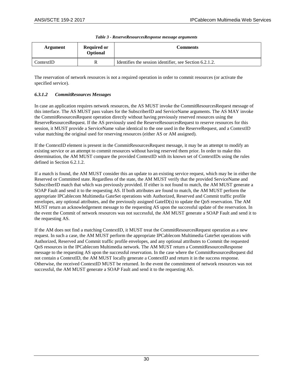<span id="page-31-0"></span>

| Argument  | <b>Required or</b><br>Optional | Comments                                                |
|-----------|--------------------------------|---------------------------------------------------------|
| ContextID |                                | Identifies the session identifier, see Section 6.2.1.2. |

| Table 3 - ReserveResourcesResponse message arguments |  |
|------------------------------------------------------|--|
|------------------------------------------------------|--|

The reservation of network resources is not a required operation in order to commit resources (or activate the specified service).

### *6.3.1.2 CommitResources Messages*

In case an application requires network resources, the AS MUST invoke the CommitResourcesRequest message of this interface. The AS MUST pass values for the SubscriberID and ServiceName arguments. The AS MAY invoke the CommitResourcesRequest operation directly without having previously reserved resources using the ReserveResourcesRequest. If the AS previously used the ReserveResourcesRequest to reserve resources for this session, it MUST provide a ServiceName value identical to the one used in the ReserveRequest, and a ContextID value matching the original used for reserving resources (either AS or AM assigned).

If the ContextID element is present in the CommitResourcesRequest message, it may be an attempt to modify an existing service or an attempt to commit resources without having reserved them prior. In order to make this determination, the AM MUST compare the provided ContextID with its known set of ContextIDs using the rules defined in Section [6.2.1.2.](#page-23-0)

If a match is found, the AM MUST consider this an update to an existing service request, which may be in either the Reserved or Committed state. Regardless of the state, the AM MUST verify that the provided ServiceName and SubscriberID match that which was previously provided. If either is not found to match, the AM MUST generate a SOAP Fault and send it to the requesting AS. If both attributes are found to match, the AM MUST perform the appropriate IPCablecom Multimedia GateSet operations with Authorized, Reserved and Commit traffic profile envelopes, any optional attributes, and the previously assigned GateID(s) to update the QoS reservation. The AM MUST return an acknowledgement message to the requesting AS upon the successful update of the reservation. In the event the Commit of network resources was not successful, the AM MUST generate a SOAP Fault and send it to the requesting AS.

If the AM does not find a matching ContextID, it MUST treat the CommitResourcesRequest operation as a new request. In such a case, the AM MUST perform the appropriate IPCablecom Multimedia GateSet operations with Authorized, Reserved and Commit traffic profile envelopes, and any optional attributes to Commit the requested QoS resources in the IPCablecom Multimedia network. The AM MUST return a CommitResourcesResponse message to the requesting AS upon the successful reservation. In the case where the CommitResourcesRequest did not contain a ContextID, the AM MUST locally generate a ContextID and return it in the success response. Otherwise, the received ContextID MUST be returned. In the event the commitment of network resources was not successful, the AM MUST generate a SOAP Fault and send it to the requesting AS.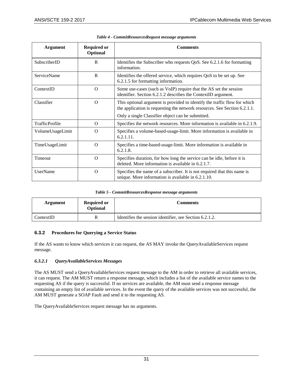<span id="page-32-1"></span>

| Argument           | <b>Required or</b><br>Optional | <b>Comments</b>                                                                                                                                        |
|--------------------|--------------------------------|--------------------------------------------------------------------------------------------------------------------------------------------------------|
| SubscriberID       | R                              | Identifies the Subscriber who requests QoS. See 6.2.1.6 for formatting<br>information.                                                                 |
| <b>ServiceName</b> | $\mathsf{R}$                   | Identifies the offered service, which requires QoS to be set up. See<br>6.2.1.5 for formatting information.                                            |
| ContextID          | $\Omega$                       | Some use-cases (such as VoIP) require that the AS set the session<br>identifier. Section 6.2.1.2 describes the ContextID argument.                     |
| Classifier         | $\Omega$                       | This optional argument is provided to identify the traffic flow for which<br>the application is requesting the network resources. See Section 6.2.1.1. |
|                    |                                | Only a single Classifier object can be submitted.                                                                                                      |
| TrafficProfile     | $\Omega$                       | Specifies the network resources. More information is available in 6.2.1.9.                                                                             |
| VolumeUsageLimit   | $\Omega$                       | Specifies a volume-based-usage-limit. More information is available in<br>6.2.1.11.                                                                    |
| TimeUsageLimit     | $\Omega$                       | Specifies a time-based-usage-limit. More information is available in<br>6.2.1.8.                                                                       |
| Timeout            | $\Omega$                       | Specifies duration, for how long the service can be idle, before it is<br>deleted. More information is available in 6.2.1.7.                           |
| <b>UserName</b>    | $\Omega$                       | Specifies the name of a subscriber. It is not required that this name is<br>unique. More information is available in 6.2.1.10.                         |

| Table 4 - CommitResourcesRequest message arguments |  |  |
|----------------------------------------------------|--|--|
|                                                    |  |  |

| Table 5 - CommitResourcesResponse message arguments |  |
|-----------------------------------------------------|--|
|                                                     |  |

<span id="page-32-2"></span>

| Argument                 | <b>Required or</b><br>Optional | Comments                                                |
|--------------------------|--------------------------------|---------------------------------------------------------|
| $\blacksquare$ ContextID |                                | Identifies the session identifier, see Section 6.2.1.2. |

#### <span id="page-32-0"></span>**6.3.2 Procedures for Querying a Service Status**

If the AS wants to know which services it can request, the AS MAY invoke the QueryAvailableServices request message.

#### <span id="page-32-3"></span>*6.3.2.1 QueryAvailableServices Messages*

The AS MUST send a QueryAvailableServices request message to the AM in order to retrieve all available services, it can request. The AM MUST return a response message, which includes a list of the available service names to the requesting AS if the query is successful. If no services are available, the AM must send a response message containing an empty list of available services. In the event the query of the available services was not successful, the AM MUST generate a SOAP Fault and send it to the requesting AS.

The QueryAvailableServices request message has no arguments.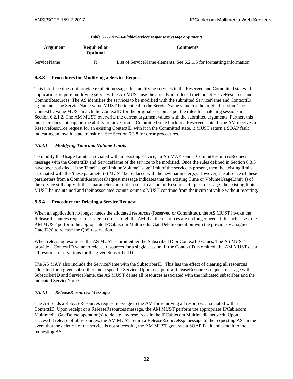<span id="page-33-2"></span>

| Argument    | <b>Required or</b><br>Optional | <b>Comments</b>                                                       |
|-------------|--------------------------------|-----------------------------------------------------------------------|
| ServiceName |                                | List of ServiceName elements. See 6.2.1.5 for formatting information. |

#### *Table 6 - QueryAvailableServices response message arguments*

### <span id="page-33-0"></span>**6.3.3 Procedures for Modifying a Service Request**

This interface does not provide explicit messages for modifying services in the Reserved and Committed states. If applications require modifying services, the AS MUST use the already introduced methods ReserveResources and CommitResources. The AS identifies the services to be modified with the submitted ServiceName and ContextID arguments. The ServiceName value MUST be identical to the ServiceName value for the original session. The ContextID value MUST match the ContextID for the original session as per the rules for matching sessions in Section [6.2.1.2.](#page-23-0) The AM MUST overwrite the current argument values with the submitted arguments. Further, this interface does not support the ability to move from a Committed state back to a Reserved state. If the AM receives a ReserveResource request for an existing ContextID with it in the Committed state, it MUST return a SOAP fault indicating an invalid state transition. See Section [6.3.8](#page-35-2) for error procedures.

#### *6.3.3.1 Modifying Time and Volume Limits*

To modify the Usage Limits associated with an existing service, an AS MAY send a CommitResourcesRequest message with the ContextID and ServiceName of the service to be modified. Once the rules defined in Sectio[n 6.3.3](#page-33-0) have been satisfied, if the TimeUsageLimit or VolumeUsageLimit of the service is present, then the existing limits associated with this/these parameter(s) MUST be replaced with the new parameter(s). However, the absence of these parameters from a CommitResourcesRequest message indicates that the existing Time or VolumeUsageLimit(s) of the service still apply. If these parameters are not present in a CommitResourcesRequest message, the existing limits MUST be maintained and their associated counters/timers MUST continue from their current value without resetting.

### <span id="page-33-1"></span>**6.3.4 Procedure for Deleting a Service Request**

When an application no longer needs the allocated resources (Reserved or Committed), the AS MUST invoke the ReleaseResources request message in order to tell the AM that the resources are no longer needed. In such cases, the AM MUST perform the appropriate IPCablecom Multimedia GateDelete operation with the previously assigned GateID(s) to release the QoS reservation.

When releasing resources, the AS MUST submit either the SubscriberID or ContextID values. The AS MUST provide a ContextID value to release resources for a single session. If the ContextID is omitted, the AM MUST clear all resource reservations for the given SubscriberID.

The AS MAY also include the ServiceName with the SubscriberID. This has the effect of clearing all resources allocated for a given subscriber and a specific Service. Upon receipt of a ReleaseResources request message with a SubscriberID and ServiceName, the AS MUST delete all resources associated with the indicated subscriber and the indicated ServiceName.

### *6.3.4.1 ReleaseResources Messages*

The AS sends a ReleaseResources request message to the AM for removing all resources associated with a ContextID. Upon receipt of a ReleaseResources message, the AM MUST perform the appropriate IPCablecom Multimedia GateDelete operation(s) to delete any resources in the IPCablecom Multimedia network. Upon successful release of all resources, the AM MUST return a ReleaseRsourceRsp message to the requesting AS. In the event that the deletion of the service is not successful, the AM MUST generate a SOAP Fault and send it to the requesting AS.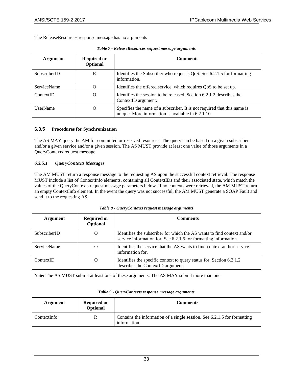<span id="page-34-1"></span>The ReleaseResources response message has no arguments

| Argument           | <b>Required or</b><br>Optional | <b>Comments</b>                                                                                                                |
|--------------------|--------------------------------|--------------------------------------------------------------------------------------------------------------------------------|
| SubscriberID       | R                              | Identifies the Subscriber who requests QoS. See 6.2.1.5 for formatting<br>information.                                         |
| <b>ServiceName</b> | O                              | Identifies the offered service, which requires QoS to be set up.                                                               |
| ContextID          | O                              | Identifies the session to be released. Section 6.2.1.2 describes the<br>ContextID argument.                                    |
| <b>UserName</b>    | O                              | Specifies the name of a subscriber. It is not required that this name is<br>unique. More information is available in 6.2.1.10. |

| Table 7 - ReleaseResources request message arguments |
|------------------------------------------------------|
|                                                      |

#### <span id="page-34-0"></span>**6.3.5 Procedures for Synchronization**

The AS MAY query the AM for committed or reserved resources. The query can be based on a given subscriber and/or a given service and/or a given session. The AS MUST provide at least one value of those arguments in a QueryContexts request message.

#### <span id="page-34-4"></span>*6.3.5.1 QueryContexts Messages*

The AM MUST return a response message to the requesting AS upon the successful context retrieval. The response MUST include a list of ContextInfo elements, containing all ContextIDs and their associated state, which match the values of the QueryContexts request message parameters below. If no contexts were retrieved, the AM MUST return an empty ContextInfo element. In the event the query was not successful, the AM MUST generate a SOAP Fault and send it to the requesting AS.

<span id="page-34-2"></span>

| Argument           | <b>Required or</b><br>Optional | <b>Comments</b>                                                                                                                             |
|--------------------|--------------------------------|---------------------------------------------------------------------------------------------------------------------------------------------|
| SubscriberID       | O                              | Identifies the subscriber for which the AS wants to find context and/or<br>service information for. See 6.2.1.5 for formatting information. |
| <b>ServiceName</b> | O                              | Identifies the service that the AS wants to find context and/or service<br>information for.                                                 |
| ContextID          | O                              | Identifies the specific context to query status for. Section 6.2.1.2<br>describes the ContextID argument.                                   |

*Table 8 - QueryContexts request message arguments*

**Note:** The AS MUST submit at least one of these arguments. The AS MAY submit more than one.

<span id="page-34-3"></span>

| Argument    | <b>Required or</b><br>Optional | Comments                                                                                 |
|-------------|--------------------------------|------------------------------------------------------------------------------------------|
| ContextInfo |                                | Contains the information of a single session. See 6.2.1.5 for formatting<br>information. |

#### *Table 9 - QueryContexts response message arguments*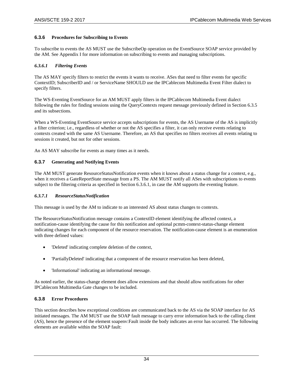#### <span id="page-35-0"></span>**6.3.6 Procedures for Subscribing to Events**

To subscribe to events the AS MUST use the SubscribeOp operation on the EventSource SOAP service provided by the AM. Se[e Appendix I](#page-54-0) for more information on subscribing to events and managing subscriptions.

#### <span id="page-35-3"></span>*6.3.6.1 Filtering Events*

The AS MAY specify filters to restrict the events it wants to receive. ASes that need to filter events for specific ContextID; SubscriberID and / or ServiceName SHOULD use the IPCablecom Multimedia Event Filter dialect to specify filters.

The WS-Eventing EventSource for an AM MUST apply filters in the IPCablecom Multimedia Event dialect following the rules for finding sessions using the QueryContexts request message previously defined in Section [6.3.5](#page-34-0) and its subsections.

When a WS-Eventing EventSource service accepts subscriptions for events, the AS Username of the AS is implicitly a filter criterion; i.e., regardless of whether or not the AS specifies a filter, it can only receive events relating to contexts created with the same AS Username. Therefore, an AS that specifies no filters receives all events relating to sessions it created, but not for other sessions.

An AS MAY subscribe for events as many times as it needs.

#### <span id="page-35-1"></span>**6.3.7 Generating and Notifying Events**

The AM MUST generate ResourceStatusNotification events when it knows about a status change for a context, e.g., when it receives a GateReportState message from a PS. The AM MUST notify all ASes with subscriptions to events subject to the filtering criteria as specified in Section [6.3.6.1,](#page-35-3) in case the AM supports the eventing feature.

#### *6.3.7.1 ResourceStatusNotification*

This message is used by the AM to indicate to an interested AS about status changes to contexts.

The ResourceStatusNotification message contains a ContextID element identifying the affected context, a notification-cause identifying the cause for this notification and optional pcmm-context-status-change element indicating changes for each component of the resource reservation. The notification-cause element is an enumeration with three defined values:

- 'Deleted' indicating complete deletion of the context,
- 'PartiallyDeleted' indicating that a component of the resource reservation has been deleted,
- 'Informational' indicating an informational message.

As noted earlier, the status-change element does allow extensions and that should allow notifications for other IPCablecom Multimedia Gate changes to be included.

#### <span id="page-35-2"></span>**6.3.8 Error Procedures**

This section describes how exceptional conditions are communicated back to the AS via the SOAP interface for AS initiated messages. The AM MUST use the SOAP fault message to carry error information back to the calling client (AS), hence the presence of the element soapenv:Fault inside the body indicates an error has occurred. The following elements are available within the SOAP fault: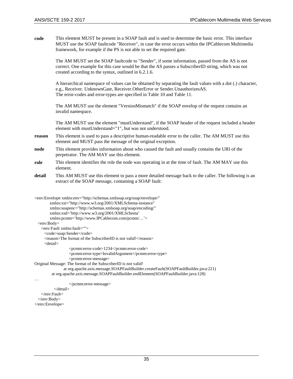**code** This element MUST be present in a SOAP fault and is used to determine the basic error. This interface MUST use the SOAP faultcode "Receiver", in case the error occurs within the IPCablecom Multimedia framework, for example if the PS is not able to set the required gate.

The AM MUST set the SOAP faultcode to "Sender", if some information, passed from the AS is not correct. One example for this case would be that the AS passes a SubscriberID string, which was not created according to the syntax, outlined i[n 6.2.1.6.](#page-26-0)

A hierarchical namespace of values can be obtained by separating the fault values with a dot (.) character, e.g., Receiver. UnknownGate, Receiver.OtherError or Sender.UnauthorizesAS. The error-codes and error-types are specified in [Table](#page-37-0) 10 and [Table](#page-37-1) 11.

The AM MUST use the element "VersionMismatch" if the SOAP envelop of the request contains an invalid namespace.

The AM MUST use the element "mustUnderstand", if the SOAP header of the request included a header element with mustUnderstand="1", but was not understood.

- **reason** This element is used to pass a descriptive human-readable error to the caller. The AM MUST use this element and MUST pass the message of the original exception.
- **node** This element provides information about who caused the fault and usually contains the URI of the perpetrator. The AM MAY use this element.
- **role** This element identifies the role the node was operating in at the time of fault. The AM MAY use this element.
- **detail** This AM MUST use this element to pass a more detailed message back to the caller. The following is an extract of the SOAP message, containing a SOAP fault:

```
<env:Envelope xmlns:env="http://schemas.xmlsoap.org/soap/envelope/"
         xmlns:xsi="http://www.w3.org/2001/XMLSchema-instance"
         xmlns:soapenc="http://schemas.xmlsoap.org/soap/encoding/"
         xmlns:xsd='http://www.w3.org/2001/XMLSchema'
         xmlns:pcmm='http://www.IPCablecom.com/pcmm/…'>
  <env:Body>
    <env:Fault xmlns:fault="">
     <code>soap:Sender</code>
      <reason>The format of the SubscriberID is not valid!</reason>
      <detail> 
                  <pcmm:error-code>1234</pcmm:error-code>
                  <pcmm:error-type>InvalidArgument</pcmm:error-type>
                  <pcmm:error-message>
Original Message: The format of the SubscriberID is not valid!
                at org.apache.axis.message.SOAPFaultBuilder.createFault(SOAPFaultBuilder.java:221)
         at org.apache.axis.message.SOAPFaultBuilder.endElement(SOAPFaultBuilder.java:128)
…
                  </pcmm:error-message>
           </detail>
    </env:Fault>
  </env:Body>
```
</env:Envelope>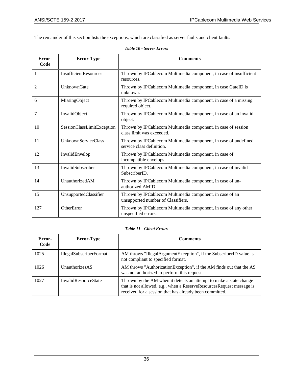<span id="page-37-0"></span>The remainder of this section lists the exceptions, which are classified as server faults and client faults.

| Error-<br>Code | <b>Error-Type</b>            | <b>Comments</b>                                                                                |
|----------------|------------------------------|------------------------------------------------------------------------------------------------|
| 1              | <b>InsufficientResources</b> | Thrown by IPCablecom Multimedia component, in case of insufficient<br>resources.               |
| $\overline{2}$ | UnknownGate                  | Thrown by IPCablecom Multimedia component, in case GateID is<br>unknown.                       |
| 6              | MissingObject                | Thrown by IPCablecom Multimedia component, in case of a missing<br>required object.            |
| $\overline{7}$ | InvalidObject                | Thrown by IPCablecom Multimedia component, in case of an invalid<br>object.                    |
| 10             | SessionClassLimitException   | Thrown by IPCablecom Multimedia component, in case of session<br>class limit was exceeded.     |
| 11             | <b>UnknownServiceClass</b>   | Thrown by IPCablecom Multimedia component, in case of undefined<br>service class definition.   |
| 12             | InvalidEnvelop               | Thrown by IPCablecom Multimedia component, in case of<br>incompatible envelops.                |
| 13             | <b>InvalidSubscriber</b>     | Thrown by IPCablecom Multimedia component, in case of invalid<br>SubscriberID.                 |
| 14             | UnauthorizedAM               | Thrown by IPCablecom Multimedia component, in case of un-<br>authorized AMID.                  |
| 15             | UnsupportedClassifier        | Thrown by IPCablecom Multimedia component, in case of an<br>unsupported number of Classifiers. |
| 127            | OtherError                   | Thrown by IPCablecom Multimedia component, in case of any other<br>unspecified errors.         |

|  | Table 10 - Server Errors |  |
|--|--------------------------|--|
|  |                          |  |

### *Table 11 - Client Errors*

<span id="page-37-1"></span>

| Error-<br>Code | <b>Error-Type</b>           | <b>Comments</b>                                                                                                                                                                                       |
|----------------|-----------------------------|-------------------------------------------------------------------------------------------------------------------------------------------------------------------------------------------------------|
| 1025           | IllegalSubscriberFormat     | AM throws "IllegalArgumentException", if the SubscriberID value is<br>not compliant to specified format.                                                                                              |
| 1026           | <b>UnauthorizesAS</b>       | AM throws "AuthorizationException", if the AM finds out that the AS<br>was not authorized to perform this request.                                                                                    |
| 1027           | <b>InvalidResourceState</b> | Thrown by the AM when it detects an attempt to make a state change<br>that is not allowed, e.g., when a ReserveResourcesRequest message is<br>received for a session that has already been committed. |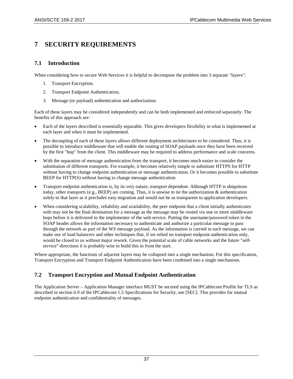# **7 SECURITY REQUIREMENTS**

## **7.1 Introduction**

When considering how to secure Web Services it is helpful to decompose the problem into 3 separate "layers":

- 1. Transport Encryption.
- 2. Transport Endpoint Authentication,
- 3. Message (or payload) authentication and authorization.

Each of these layers may be considered independently and can be both implemented and enforced separately. The benefits of this approach are:

- Each of the layers described is essentially separable. This gives developers flexibility in what is implemented at each layer and when it must be implemented.
- The decoupling of each of these layers allows different deployment architectures to be considered. Thus, it is possible to introduce middleware that will enable the routing of SOAP payloads once they have been received by the first "hop" from the client. This middleware may be required to address performance and scale concerns.
- With the separation of message authentication from the transport, it becomes much easier to consider the substitution of different transports. For example, it becomes relatively simple to substitute HTTPS for HTTP without having to change endpoint authentication or message authentication. Or it becomes possible to substitute BEEP for HTTP(S) without having to change message authentication.
- Transport endpoint authentication is, by its very nature, transport dependent. Although HTTP is ubiquitous today, other transports (e.g., BEEP) are coming. Thus, it is unwise to tie the authorization & authentication solely to that layer as it precludes easy migration and would not be as transparent to application developers.
- When considering scalability, reliability and availability, the peer endpoint that a client initially authenticates with may not be the final destination for a message as the message may be routed via one or more middleware hops before it is delivered to the implementer of the web service. Putting the username/password token in the SOAP header allows the information necessary to authenticate and authorize a particular message to pass through the network as part of the WS message payload. As the information is carried in each message, we can make use of load balancers and other techniques that, if we relied on transport endpoint authentication only, would be closed to us without major rework. Given the potential scale of cable networks and the future "selfservice" directions it is probably wise to build this in from the start.

Where appropriate, the functions of adjacent layers may be collapsed into a single mechanism. For this specification, Transport Encryption and Transport Endpoint Authentication have been combined into a single mechanism.

## **7.2 Transport Encryption and Mutual Endpoint Authentication**

The Application Server – Application Manager interface MUST be secured using the IPCablecom Profile for TLS as described in section 6.9 of the IPCablecom 1.5 Specifications for Security, see [\[SEC\]](#page-7-0). This provides for mutual endpoint authentication and confidentiality of messages.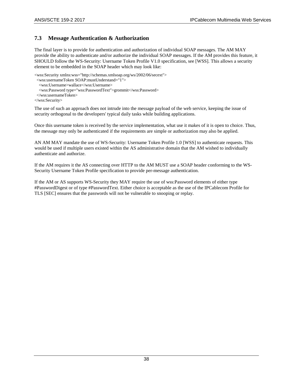## **7.3 Message Authentication & Authorization**

The final layer is to provide for authentication and authorization of individual SOAP messages. The AM MAY provide the ability to authenticate and/or authorize the individual SOAP messages. If the AM provides this feature, it SHOULD follow the WS-Security: Username Token Profile V1.0 specification, see [\[WSS\].](#page-7-1) This allows a security element to be embedded in the SOAP header which may look like:

```
<wss:Security xmlns:wss="http://schemas.xmlsoap.org/ws/2002/06/secext">
 <wss:usernameToken SOAP:mustUnderstand="1">
   <wss:Username>wallace</wss:Username>
   <wss:Password type="wss:PasswordText">grommit</wss:Password>
  </wss:usernameToken>
</wss:Security>
```
The use of such an approach does not intrude into the message payload of the web service, keeping the issue of security orthogonal to the developers' typical daily tasks while building applications.

Once this username token is received by the service implementation, what use it makes of it is open to choice. Thus, the message may only be authenticated if the requirements are simple or authorization may also be applied.

AN AM MAY mandate the use of WS-Security: Username Token Profile 1.0 [\[WSS\]](#page-7-1) to authenticate requests. This would be used if multiple users existed within the AS administrative domain that the AM wished to individually authenticate and authorize.

If the AM requires it the AS connecting over HTTP to the AM MUST use a SOAP header conforming to the WS-Security Username Token Profile specification to provide per-message authentication.

If the AM or AS supports WS-Security they MAY require the use of wss:Password elements of either type #PasswordDigest or of type #PasswordText. Either choice is acceptable as the use of the IPCablecom Profile for TLS [\[SEC\]](#page-7-0) ensures that the passwords will not be vulnerable to snooping or replay.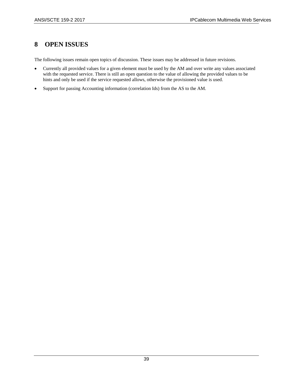# **8 OPEN ISSUES**

The following issues remain open topics of discussion. These issues may be addressed in future revisions.

- Currently all provided values for a given element must be used by the AM and over write any values associated with the requested service. There is still an open question to the value of allowing the provided values to be hints and only be used if the service requested allows, otherwise the provisioned value is used.
- Support for passing Accounting information (correlation Ids) from the AS to the AM.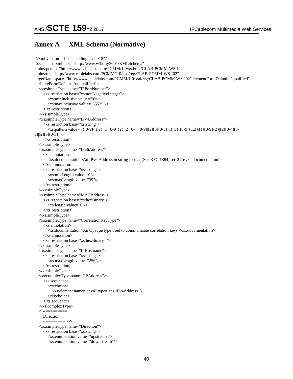## **Annex A XML Schema (Normative)**

```
<?xml version="1.0" encoding="UTF-8"?>
<xs:schema xmlns:xs="http://www.w3.org/2001/XMLSchema" 
xmlns:pcmm="http://www.cablelabs.com/PCMM/1.0/xsd/reg/CLAB-PCMM-WS-I02" 
xmlns:tns="http://www.cablelabs.com/PCMM/1.0/xsd/reg/CLAB-PCMM-WS-I02" 
targetNamespace="http://www.cablelabs.com/PCMM/1.0/xsd/reg/CLAB-PCMM-WS-I02" elementFormDefault="qualified" 
attributeFormDefault="unqualified">
   <xs:simpleType name="IPPortNumber">
     <xs:restriction base="xs:nonNegativeInteger">
        <xs:minInclusive value="0"/>
        <xs:maxInclusive value="65535"/>
     </xs:restriction>
   </xs:simpleType>
   <xs:simpleType name="IPv4Address">
     <xs:restriction base="xs:string">
        <xs:pattern value="(([0-9]{1,2}|[1][0-9]{2}|[2][0-4][0-9]|[2][5][0-5])\.){3}([0-9]{1,2}|[1][0-9]{2}|[2][0-4][0-
9]|[2][5][0-5])"/>
     </xs:restriction>
   </xs:simpleType>
   <xs:simpleType name="IPv6Address">
     <xs:annotation>
       <xs:documentation>An IPv6 Address in string format (See RFC 1884, sec 2.2)</xs:documentation>
     </xs:annotation>
     <xs:restriction base="xs:string">
        <xs:minLength value="0"/>
        <xs:maxLength value="39"/>
     </xs:restriction>
   </xs:simpleType>
   <xs:simpleType name="MACAddress">
     <xs:restriction base="xs:hexBinary">
        <xs:length value="6"/>
     </xs:restriction>
   </xs:simpleType>
   <xs:simpleType name="CorrelationKeyType">
     <xs:annotation>
        <xs:documentation>An Opaque type used to communicate correlation keys.</xs:documentation> 
     </xs:annotation>
     <xs:restriction base="xs:hexBinary" /> 
   </xs:simpleType> 
   <xs:simpleType name="IPHostname">
     <xs:restriction base="xs:string">
        <xs:maxLength value="256"/>
     </xs:restriction>
   </xs:simpleType>
   <xs:complexType name="IPAddress">
     <xs:sequence>
        <xs:choice>
          <xs:element name="ipv4" type="tns:IPv4Address"/>
        </xs:choice>
     </xs:sequence>
   </xs:complexType>
  \lt!! --\equiv Direction
     ========= -->
   <xs:simpleType name="Direction">
     <xs:restriction base="xs:string">
        <xs:enumeration value="upstream"/>
        <xs:enumeration value="downstream"/>
```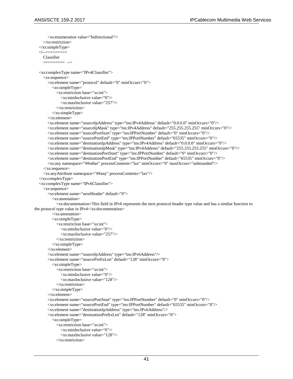```
 <xs:enumeration value="bidirectional"/>
     </xs:restriction>
   </xs:simpleType>
  \geq Classifier
     ========= -->
   <xs:complexType name="IPv4Classifier">
     <xs:sequence>
        <xs:element name="protocol" default="0" minOccurs="0">
          <xs:simpleType>
             <xs:restriction base="xs:int">
               <xs:minInclusive value="0"/>
               <xs:maxInclusive value="257"/>
             </xs:restriction>
          </xs:simpleType>
        </xs:element>
        <xs:element name="sourceIpAddress" type="tns:IPv4Address" default="0.0.0.0" minOccurs="0"/>
        <xs:element name="sourceIpMask" type="tns:IPv4Address" default="255.255.255.255" minOccurs="0"/>
        <xs:element name="sourcePortStart" type="tns:IPPortNumber" default="0" minOccurs="0"/>
        <xs:element name="sourcePortEnd" type="tns:IPPortNumber" default="65535" minOccurs="0"/>
        <xs:element name="destinationIpAddress" type="tns:IPv4Address" default="0.0.0.0" minOccurs="0"/>
        <xs:element name="destinationIpMask" type="tns:IPv4Address" default="255.255.255.255" minOccurs="0"/>
        <xs:element name="destinationPortStart" type="tns:IPPortNumber" default="0" minOccurs="0"/>
        <xs:element name="destinationPortEnd" type="tns:IPPortNumber" default="65535" minOccurs="0"/>
        <xs:any namespace="##other" processContents="lax" minOccurs="0" maxOccurs="unbounded"/>
     </xs:sequence>
     <xs:anyAttribute namespace="##any" processContents="lax"/>
   </xs:complexType>
   <xs:complexType name="IPv6Classifier">
     <xs:sequence>
        <xs:element name="nextHeader" default="0">
          <xs:annotation>
             <xs:documentation>This field in IPv6 represents the next protocol header type value and has a similar function to 
the protocol type value in IPv4\ll xs:documentation>
          </xs:annotation>
          <xs:simpleType>
             <xs:restriction base="xs:int">
               <xs:minInclusive value="0"/>
               <xs:maxInclusive value="257"/>
             </xs:restriction>
          </xs:simpleType>
        </xs:element>
        <xs:element name="sourceIpAddress" type="tns:IPv6Address"/>
        <xs:element name="sourcePrefixLen" default="128" minOccurs="0">
          <xs:simpleType>
            <xs:restriction base="xs:int">
               <xs:minInclusive value="0"/>
               <xs:maxInclusive value="128"/>
             </xs:restriction>
          </xs:simpleType>
        </xs:element>
        <xs:element name="sourcePortStart" type="tns:IPPortNumber" default="0" minOccurs="0"/>
        <xs:element name="sourcePortEnd" type="tns:IPPortNumber" default="65535" minOccurs="0"/>
        <xs:element name="destinationIpAddress" type="tns:IPv6Address"/>
        <xs:element name="destinationPrefixLen" default="128" minOccurs="0">
          <xs:simpleType>
             <xs:restriction base="xs:int">
               <xs:minInclusive value="0"/>
               <xs:maxInclusive value="128"/>
             </xs:restriction>
```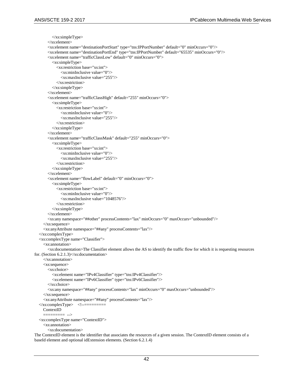```
 </xs:simpleType>
        </xs:element>
        <xs:element name="destinationPortStart" type="tns:IPPortNumber" default="0" minOccurs="0"/>
        <xs:element name="destinationPortEnd" type="tns:IPPortNumber" default="65535" minOccurs="0"/>
        <xs:element name="trafficClassLow" default="0" minOccurs="0">
          <xs:simpleType>
             <xs:restriction base="xs:int">
               <xs:minInclusive value="0"/>
               <xs:maxInclusive value="255"/>
             </xs:restriction>
          </xs:simpleType>
        </xs:element>
        <xs:element name="trafficClassHigh" default="255" minOccurs="0">
          <xs:simpleType>
             <xs:restriction base="xs:int">
               <xs:minInclusive value="0"/>
               <xs:maxInclusive value="255"/>
             </xs:restriction>
          </xs:simpleType>
        </xs:element>
        <xs:element name="trafficClassMask" default="255" minOccurs="0">
          <xs:simpleType>
             <xs:restriction base="xs:int">
               <xs:minInclusive value="0"/>
               <xs:maxInclusive value="255"/>
             </xs:restriction>
          </xs:simpleType>
        </xs:element>
        <xs:element name="flowLabel" default="0" minOccurs="0">
          <xs:simpleType>
             <xs:restriction base="xs:int">
               <xs:minInclusive value="0"/>
               <xs:maxInclusive value="1048576"/>
             </xs:restriction>
          </xs:simpleType>
        </xs:element>
        <xs:any namespace="##other" processContents="lax" minOccurs="0" maxOccurs="unbounded"/>
      </xs:sequence>
      <xs:anyAttribute namespace="##any" processContents="lax"/>
   </xs:complexType>
   <xs:complexType name="Classifier">
     <xs:annotation>
        <xs:documentation>The Classifier element allows the AS to identify the traffic flow for which it is requesting resources 
for. (Section 6.2.1.3)</xs:documentation>
      </xs:annotation>
      <xs:sequence>
        <xs:choice>
          <xs:element name="IPv4Classifier" type="tns:IPv4Classifier"/>
          <xs:element name="IPv6Classifier" type="tns:IPv6Classifier"/>
        </xs:choice>
        <xs:any namespace="##any" processContents="lax" minOccurs="0" maxOccurs="unbounded"/>
     </xs:sequence>
      <xs:anyAttribute namespace="##any" processContents="lax"/>
   </xs:complexType> <!--=========
      ContextID
                ========= -->
   <xs:complexType name="ContextID">
     <xs:annotation>
        <xs:documentation>
The ContextID element is the identifier that associates the resources of a given session. The ContextID element consists of a 
baseId element and optional idExtension elements. (Section 6.2.1.4)
```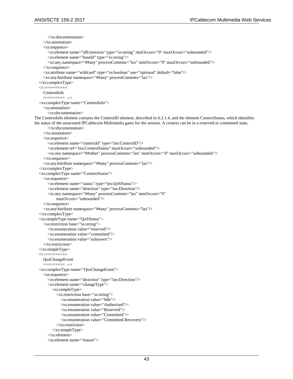```
 </xs:documentation>
     </xs:annotation>
     <xs:sequence>
        <xs:element name="idExtension" type="xs:string" minOccurs="0" maxOccurs="unbounded"/>
        <xs:element name="baseId" type="xs:string"/>
        <xs:any namespace="##any" processContents="lax" minOccurs="0" maxOccurs="unbounded"/>
     </xs:sequence>
     <xs:attribute name="wildcard" type="xs:boolean" use="optional" default="false"/>
     <xs:anyAttribute namespace="##any" processContents="lax"/>
   </xs:complexType>
  <!--= ContextInfo
                = - <xs:complexType name="ContextInfo">
     <xs:annotation>
        <xs:documentation>
The ContextInfo element contains the ContextID element, described in 6.2.1.4, and the element ContextStatus, which identifies
the status of the associated IPCablecom Multimedia gates for the session. A context can be in a reserved or committed state.
        </xs:documentation>
     </xs:annotation>
     <xs:sequence>
        <xs:element name="contextId" type="tns:ContextID"/>
        <xs:element ref="tns:ContextStatus" maxOccurs="unbounded"/>
        <xs:any namespace="##other" processContents="lax" minOccurs="0" maxOccurs="unbounded"/>
     </xs:sequence>
     <xs:anyAttribute namespace="##any" processContents="lax"/>
   </xs:complexType>
   <xs:complexType name="ContextStatus">
     <xs:sequence>
        <xs:element name="status" type="tns:QoSStatus"/>
        <xs:element name="direction" type="tns:Direction"/>
        <xs:any namespace="##any" processContents="lax" minOccurs="0"
            maxOccurs="unbounded"/>
     </xs:sequence>
     <xs:anyAttribute namespace="##any" processContents="lax"/>
   </xs:complexType>
   <xs:simpleType name="QoSStatus">
     <xs:restriction base="xs:string">
        <xs:enumeration value="reserved"/>
        <xs:enumeration value="committed"/>
        <xs:enumeration value="unknown"/>
     </xs:restriction>
   </xs:simpleType>
  < - = QosChangeEvent
               = ->
   <xs:complexType name="QosChangeEvent">
     <xs:sequence>
        <xs:element name="direction" type="tns:Direction"/>
        <xs:element name="changeType">
          <xs:simpleType>
             <xs:restriction base="xs:string">
               <xs:enumeration value="Idle"/>
               <xs:enumeration value="Authorized"/>
               <xs:enumeration value="Reserved"/>
               <xs:enumeration value="Committed"/>
               <xs:enumeration value="Committed-Recovery"/>
             </xs:restriction>
          </xs:simpleType>
        </xs:element>
        <xs:element name="reason">
```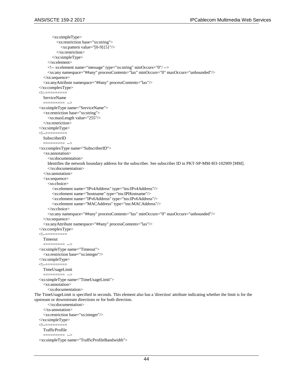```
 <xs:simpleType>
             <xs:restriction base="xs:string">
              \langle x \rangles:pattern value="[0-9]{5}"/>
             </xs:restriction>
          </xs:simpleType>
        </xs:element>
        <!-- xs:element name="message" type="xs:string" minOccurs="0"/ -->
        <xs:any namespace="##any" processContents="lax" minOccurs="0" maxOccurs="unbounded"/>
     </xs:sequence>
     <xs:anyAttribute namespace="##any" processContents="lax"/>
   </xs:complexType>
  \leq ServiceName
                = ->
   <xs:simpleType name="ServiceName">
     <xs:restriction base="xs:string">
        <xs:maxLength value="255"/>
      </xs:restriction>
   </xs:simpleType>
  <!--== SubscriberID
      ========= -->
   <xs:complexType name="SubscriberID">
     <xs:annotation>
        <xs:documentation> 
        Identifies the network boundary address for the subscriber. See subscriber ID in PKT-SP-MM-I03-102909 [MM].
        </xs:documentation>
      </xs:annotation>
      <xs:sequence>
        <xs:choice>
          <xs:element name="IPv4Address" type="tns:IPv4Address"/>
          <xs:element name="hostname" type="tns:IPHostname"/>
          <xs:element name="IPv6Address" type="tns:IPv6Address"/>
          <xs:element name="MACAddress" type="tns:MACAddress"/>
        </xs:choice>
        <xs:any namespace="##any" processContents="lax" minOccurs="0" maxOccurs="unbounded"/>
      </xs:sequence>
      <xs:anyAttribute namespace="##any" processContents="lax"/>
   </xs:complexType>
  \leq Timeout
                ========= -->
   <xs:simpleType name="Timeout">
      <xs:restriction base="xs:integer"/>
   </xs:simpleType>
  \lt!! --\equiv TimeUsageLimit
               ========= -->
   <xs:simpleType name="TimeUsageLimit">
     <xs:annotation>
        <xs:documentation>
The TimeUsageLimit is specified in seconds. This element also has a 'direction' attribute indicating whether the limit is for the 
upstream or downstream directions or for both direction.
        </xs:documentation>
      </xs:annotation>
      <xs:restriction base="xs:integer"/>
   </xs:simpleType>
  \lt!! --\equiv TrafficProfile
      ========= -->
   <xs:simpleType name="TrafficProfileBandwidth">
```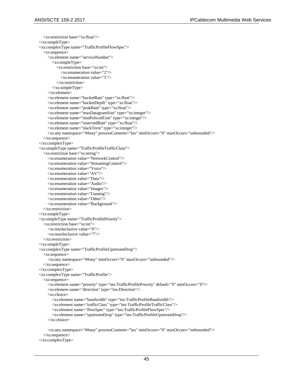<xs:restriction base="xs:float"/> </xs:simpleType> <xs:complexType name="TrafficProfileFlowSpec"> <xs:sequence> <xs:element name="serviceNumber"> <xs:simpleType> <xs:restriction base="xs:int"> <xs:enumeration value="2"/> <xs:enumeration value="5"/> </xs:restriction> </xs:simpleType> </xs:element> <xs:element name="bucketRate" type="xs:float"/> <xs:element name="bucketDepth" type="xs:float"/> <xs:element name="peakRate" type="xs:float"/> <xs:element name="maxDatagramSize" type="xs:integer"/> <xs:element name="minPolicedUnit" type="xs:integer"/> <xs:element name="reservedRate" type="xs:float"/> <xs:element name="slackTerm" type="xs:integer"/> <xs:any namespace="##any" processContents="lax" minOccurs="0" maxOccurs="unbounded"/> </xs:sequence> </xs:complexType> <xs:simpleType name="TrafficProfileTrafficClass"> <xs:restriction base="xs:string"> <xs:enumeration value="NetworkControl"/> <xs:enumeration value="StreamingControl"/> <xs:enumeration value="Voice"/> <xs:enumeration value="AV"/> <xs:enumeration value="Data"/> <xs:enumeration value="Audio"/> <xs:enumeration value="Images"/> <xs:enumeration value="Gaming"/> <xs:enumeration value="Other"/> <xs:enumeration value="Background"/> </xs:restriction> </xs:simpleType> <xs:simpleType name="TrafficProfilePriority"> <xs:restriction base="xs:int"> <xs:minInclusive value="0"/> <xs:maxInclusive value="7"/> </xs:restriction> </xs:simpleType> <xs:complexType name="TrafficProfileUpstreamDrop"> <xs:sequence> <xs:any namespace="##any" minOccurs="0" maxOccurs="unbounded"/> </xs:sequence> </xs:complexType> <xs:complexType name="TrafficProfile"> <xs:sequence> <xs:element name="priority" type="tns:TrafficProfilePriority" default="0" minOccurs="0"/> <xs:element name="direction" type="tns:Direction"/> <xs:choice> <xs:element name="bandwidth" type="tns:TrafficProfileBandwidth"/> <xs:element name="trafficClass" type="tns:TrafficProfileTrafficClass"/> <xs:element name="flowSpec" type="tns:TrafficProfileFlowSpec"/> <xs:element name="upstreamDrop" type="tns:TrafficProfileUpstreamDrop"/> </xs:choice> <xs:any namespace="##any" processContents="lax" minOccurs="0" maxOccurs="unbounded"/> </xs:sequence>

```
 </xs:complexType>
```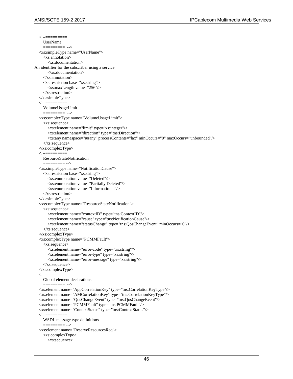<!--========= UserName ========= --> <xs:simpleType name="UserName"> <xs:annotation> <xs:documentation> An identifier for the subscriber using a service </xs:documentation> </xs:annotation> <xs:restriction base="xs:string"> <xs:maxLength value="256"/> </xs:restriction> </xs:simpleType>  $<!--=</math>$ VolumeUsageLimit<br>========= -->  $=$  <xs:complexType name="VolumeUsageLimit"> <xs:sequence> <xs:element name="limit" type="xs:integer"/> <xs:element name="direction" type="tns:Direction"/> <xs:any namespace="##any" processContents="lax" minOccurs="0" maxOccurs="unbounded"/> </xs:sequence> </xs:complexType>  $<$ !-- $=$  ResourceStateNotification ========= --> <xs:simpleType name="NotificationCause"> <xs:restriction base="xs:string"> <xs:enumeration value="Deleted"/> <xs:enumeration value="Partially Deleted"/> <xs:enumeration value="Informational"/> </xs:restriction> </xs:simpleType> <xs:complexType name="ResourceStateNotification"> <xs:sequence> <xs:element name="contextID" type="tns:ContextID"/> <xs:element name="cause" type="tns:NotificationCause"/> <xs:element name="statusChange" type="tns:QosChangeEvent" minOccurs="0"/> </xs:sequence> </xs:complexType> <xs:complexType name="PCMMFault"> <xs:sequence> <xs:element name="error-code" type="xs:string"/> <xs:element name="error-type" type="xs:string"/> <xs:element name="error-message" type="xs:string"/> </xs:sequence> </xs:complexType>  $\lt!$ ! $\div$ = Global element declarations ========= --> <xs:element name="AppCorrelationKey" type="tns:CorrelationKeyType"/> <xs:element name="AMCorrelationKey" type="tns:CorrelationKeyType"/> <xs:element name="QosChangeEvent" type="tns:QosChangeEvent"/> <xs:element name="PCMMFault" type="tns:PCMMFault"/> <xs:element name="ContextStatus" type="tns:ContextStatus"/>  $\lt!!$ -- $\equiv$  WSDL message type definitions ========= --> <xs:element name="ReserveResourcesReq"> <xs:complexType> <xs:sequence>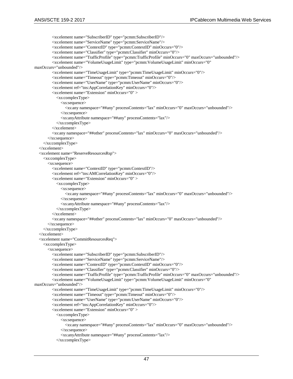<xs:element name="SubscriberID" type="pcmm:SubscriberID"/> <xs:element name="ServiceName" type="pcmm:ServiceName"/> <xs:element name="ContextID" type="pcmm:ContextID" minOccurs="0"/> <xs:element name="Classifier" type="pcmm:Classifier" minOccurs="0"/> <xs:element name="TrafficProfile" type="pcmm:TrafficProfile" minOccurs="0" maxOccurs="unbounded"/> <xs:element name="VolumeUsageLimit" type="pcmm:VolumeUsageLimit" minOccurs="0" maxOccurs="unbounded"/> <xs:element name="TimeUsageLimit" type="pcmm:TimeUsageLimit" minOccurs="0"/> <xs:element name="Timeout" type="pcmm:Timeout" minOccurs="0"/> <xs:element name="UserName" type="pcmm:UserName" minOccurs="0"/> <xs:element ref="tns:AppCorrelationKey" minOccurs="0"/> <xs:element name="Extension" minOccurs="0" > <xs:complexType> <xs:sequence> <xs:any namespace="##any" processContents="lax" minOccurs="0" maxOccurs="unbounded"/> </xs:sequence> <xs:anyAttribute namespace="##any" processContents="lax"/> </xs:complexType> </xs:element> <xs:any namespace="##other" processContents="lax" minOccurs="0" maxOccurs="unbounded"/> </xs:sequence> </xs:complexType> </xs:element> <xs:element name="ReserveResourcesRsp"> <xs:complexType> <xs:sequence> <xs:element name="ContextID" type="pcmm:ContextID"/> <xs:element ref="tns:AMCorrelationKey" minOccurs="0"/> <xs:element name="Extension" minOccurs="0" > <xs:complexType> <xs:sequence> <xs:any namespace="##any" processContents="lax" minOccurs="0" maxOccurs="unbounded"/> </xs:sequence> <xs:anyAttribute namespace="##any" processContents="lax"/> </xs:complexType> </xs:element> <xs:any namespace="##other" processContents="lax" minOccurs="0" maxOccurs="unbounded"/> </xs:sequence> </xs:complexType> </xs:element> <xs:element name="CommitResourcesReq"> <xs:complexType> <xs:sequence> <xs:element name="SubscriberID" type="pcmm:SubscriberID"/> <xs:element name="ServiceName" type="pcmm:ServiceName"/> <xs:element name="ContextID" type="pcmm:ContextID" minOccurs="0"/> <xs:element name="Classifier" type="pcmm:Classifier" minOccurs="0"/> <xs:element name="TrafficProfile" type="pcmm:TrafficProfile" minOccurs="0" maxOccurs="unbounded"/> <xs:element name="VolumeUsageLimit" type="pcmm:VolumeUsageLimit" minOccurs="0" maxOccurs="unbounded"/> <xs:element name="TimeUsageLimit" type="pcmm:TimeUsageLimit" minOccurs="0"/> <xs:element name="Timeout" type="pcmm:Timeout" minOccurs="0"/> <xs:element name="UserName" type="pcmm:UserName" minOccurs="0"/> <xs:element ref="tns:AppCorrelationKey" minOccurs="0"/> <xs:element name="Extension" minOccurs="0" > <xs:complexType> <xs:sequence> <xs:any namespace="##any" processContents="lax" minOccurs="0" maxOccurs="unbounded"/> </xs:sequence> <xs:anyAttribute namespace="##any" processContents="lax"/> </xs:complexType>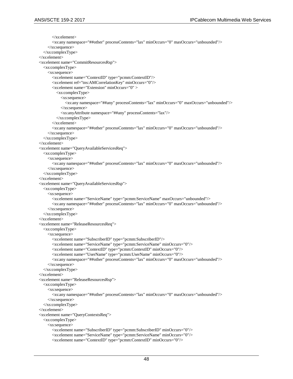```
 </xs:element>
       <xs:any namespace="##other" processContents="lax" minOccurs="0" maxOccurs="unbounded"/>
     </xs:sequence>
   </xs:complexType>
 </xs:element>
 <xs:element name="CommitResourcesRsp">
   <xs:complexType>
     <xs:sequence>
       <xs:element name="ContextID" type="pcmm:ContextID"/>
       <xs:element ref="tns:AMCorrelationKey" minOccurs="0"/>
       <xs:element name="Extension" minOccurs="0" >
          <xs:complexType>
            <xs:sequence>
              <xs:any namespace="##any" processContents="lax" minOccurs="0" maxOccurs="unbounded"/>
            </xs:sequence>
            <xs:anyAttribute namespace="##any" processContents="lax"/>
          </xs:complexType>
       </xs:element>
       <xs:any namespace="##other" processContents="lax" minOccurs="0" maxOccurs="unbounded"/>
     </xs:sequence>
   </xs:complexType>
 </xs:element>
 <xs:element name="QueryAvailableServicesReq">
   <xs:complexType>
     <xs:sequence>
       <xs:any namespace="##other" processContents="lax" minOccurs="0" maxOccurs="unbounded"/>
     </xs:sequence>
   </xs:complexType>
 </xs:element>
 <xs:element name="QueryAvailableServicesRsp">
   <xs:complexType>
     <xs:sequence>
       <xs:element name="ServiceName" type="pcmm:ServiceName" maxOccurs="unbounded"/>
       <xs:any namespace="##other" processContents="lax" minOccurs="0" maxOccurs="unbounded"/>
     </xs:sequence>
   </xs:complexType>
 </xs:element>
 <xs:element name="ReleaseResourcesReq">
   <xs:complexType>
     <xs:sequence>
       <xs:element name="SubscriberID" type="pcmm:SubscriberID"/>
       <xs:element name="ServiceName" type="pcmm:ServiceName" minOccurs="0"/>
       <xs:element name="ContextID" type="pcmm:ContextID" minOccurs="0"/>
       <xs:element name="UserName" type="pcmm:UserName" minOccurs="0"/>
       <xs:any namespace="##other" processContents="lax" minOccurs="0" maxOccurs="unbounded"/>
     </xs:sequence>
   </xs:complexType>
 </xs:element>
 <xs:element name="ReleaseResourcesRsp">
   <xs:complexType>
     <xs:sequence>
       <xs:any namespace="##other" processContents="lax" minOccurs="0" maxOccurs="unbounded"/>
     </xs:sequence>
   </xs:complexType>
 </xs:element>
 <xs:element name="QueryContextsReq">
   <xs:complexType>
     <xs:sequence>
       <xs:element name="SubscriberID" type="pcmm:SubscriberID" minOccurs="0"/>
       <xs:element name="ServiceName" type="pcmm:ServiceName" minOccurs="0"/>
       <xs:element name="ContextID" type="pcmm:ContextID" minOccurs="0"/>
```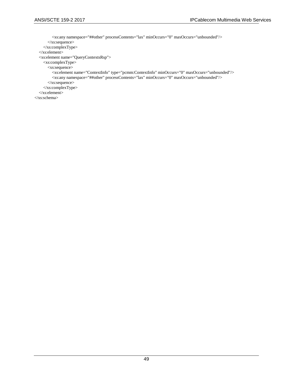```
 <xs:any namespace="##other" processContents="lax" minOccurs="0" maxOccurs="unbounded"/>
       </xs:sequence>
     </xs:complexType>
   </xs:element>
   <xs:element name="QueryContextsRsp">
     <xs:complexType>
       <xs:sequence>
          <xs:element name="ContextInfo" type="pcmm:ContextInfo" minOccurs="0" maxOccurs="unbounded"/>
          <xs:any namespace="##other" processContents="lax" minOccurs="0" maxOccurs="unbounded"/>
       </xs:sequence>
     </xs:complexType>
   </xs:element>
</xs:schema>
```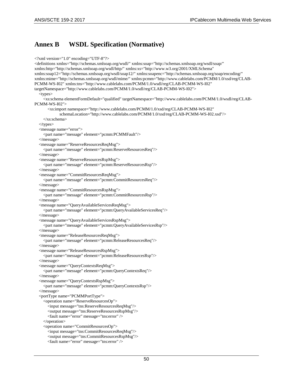## **Annex B WSDL Specification (Normative)**

```
<?xml version="1.0" encoding="UTF-8"?>
<definitions xmlns="http://schemas.xmlsoap.org/wsdl/" xmlns:soap="http://schemas.xmlsoap.org/wsdl/soap/" 
xmlns:http="http://schemas.xmlsoap.org/wsdl/http/" xmlns:xs="http://www.w3.org/2001/XMLSchema" 
xmlns:soap12="http://schemas.xmlsoap.org/wsdl/soap12/" xmlns:soapenc="http://schemas.xmlsoap.org/soap/encoding/" 
xmlns:mime="http://schemas.xmlsoap.org/wsdl/mime/" xmlns:pcmm="http://www.cablelabs.com/PCMM/1.0/xsd/reg/CLAB-
PCMM-WS-I02" xmlns:tns="http://www.cablelabs.com/PCMM/1.0/wsdl/reg/CLAB-PCMM-WS-I02" 
targetNamespace="http://www.cablelabs.com/PCMM/1.0/wsdl/reg/CLAB-PCMM-WS-I02">
   <types>
     <xs:schema elementFormDefault="qualified" targetNamespace="http://www.cablelabs.com/PCMM/1.0/wsdl/reg/CLAB-
PCMM-WS-I02">
       <xs:import namespace="http://www.cablelabs.com/PCMM/1.0/xsd/reg/CLAB-PCMM-WS-I02"
              schemaLocation="http://www.cablelabs.com/PCMM/1.0/xsd/reg/CLAB-PCMM-WS-I02.xsd"/>
     </xs:schema>
   </types>
   <message name="error">
     <part name="message" element="pcmm:PCMMFault"/>
   </message>
   <message name="ReserveResourcesReqMsg">
     <part name="message" element="pcmm:ReserveResourcesReq"/>
   </message>
   <message name="ReserveResourcesRspMsg">
     <part name="message" element="pcmm:ReserveResourcesRsp"/>
   </message>
   <message name="CommitResourcesReqMsg">
     <part name="message" element="pcmm:CommitResourcesReq"/>
   </message>
   <message name="CommitResourcesRspMsg">
     <part name="message" element="pcmm:CommitResourcesRsp"/>
   </message>
   <message name="QueryAvailableServicesReqMsg">
     <part name="message" element="pcmm:QueryAvailableServicesReq"/>
   </message>
   <message name="QueryAvailableServicesRspMsg">
     <part name="message" element="pcmm:QueryAvailableServicesRsp"/>
   </message>
   <message name="ReleaseResourcesReqMsg">
     <part name="message" element="pcmm:ReleaseResourcesReq"/>
   </message>
   <message name="ReleaseResourcesRspMsg">
     <part name="message" element="pcmm:ReleaseResourcesRsp"/>
   </message>
   <message name="QueryContextsReqMsg">
     <part name="message" element="pcmm:QueryContextsReq"/>
   </message>
   <message name="QueryContextsRspMsg">
     <part name="message" element="pcmm:QueryContextsRsp"/>
   </message>
   <portType name="PCMMPortType">
     <operation name="ReserveResourcesOp">
        <input message="tns:ReserveResourcesReqMsg"/>
       <output message="tns:ReserveResourcesRspMsg"/>
       <fault name="error" message="tns:error" />
     </operation>
    <operation name="CommitResourcesOp">
        <input message="tns:CommitResourcesReqMsg"/>
       <output message="tns:CommitResourcesRspMsg"/>
       <fault name="error" message="tns:error" />
```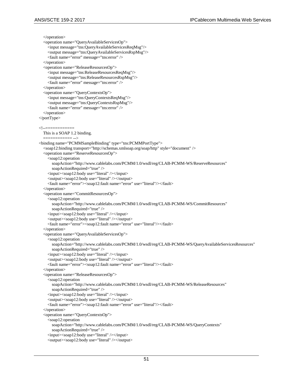</operation> <operation name="QueryAvailableServicesOp"> <input message="tns:QueryAvailableServicesReqMsg"/> <output message="tns:QueryAvailableServicesRspMsg"/> <fault name="error" message="tns:error" /> </operation> <operation name="ReleaseResourcesOp"> <input message="tns:ReleaseResourcesReqMsg"/> <output message="tns:ReleaseResourcesRspMsg"/> <fault name="error" message="tns:error" /> </operation> <operation name="QueryContextsOp"> <input message="tns:QueryContextsReqMsg"/> <output message="tns:QueryContextsRspMsg"/> <fault name="error" message="tns:error" /> </operation> </portType> <!--============ This is a SOAP 1.2 binding. ============ --> <binding name="PCMMSampleBinding" type="tns:PCMMPortType"> <soap12:binding transport="http://schemas.xmlsoap.org/soap/http" style="document" /> <operation name="ReserveResourcesOp"> <soap12:operation soapAction="http://www.cablelabs.com/PCMM/1.0/wsdl/reg/CLAB-PCMM-WS/ReserveResources" soapActionRequired="true" /> <input><soap12:body use="literal" /></input> <output><soap12:body use="literal" /></output> <fault name="error"><soap12:fault name="error" use="literal"/></fault> </operation> <operation name="CommitResourcesOp"> <soap12:operation soapAction="http://www.cablelabs.com/PCMM/1.0/wsdl/reg/CLAB-PCMM-WS/CommitResources" soapActionRequired="true" /> <input><soap12:body use="literal" /></input> <output><soap12:body use="literal" /></output> <fault name="error"><soap12:fault name="error" use="literal"/></fault> </operation> <operation name="QueryAvailableServicesOp"> <soap12:operation soapAction="http://www.cablelabs.com/PCMM/1.0/wsdl/reg/CLAB-PCMM-WS/QueryAvailableServicesResources" soapActionRequired="true" /> <input><soap12:body use="literal" /></input> <output><soap12:body use="literal" /></output> <fault name="error"><soap12:fault name="error" use="literal"/></fault> </operation> <operation name="ReleaseResourcesOp"> <soap12:operation soapAction="http://www.cablelabs.com/PCMM/1.0/wsdl/reg/CLAB-PCMM-WS/ReleaseResources" soapActionRequired="true" /> <input><soap12:body use="literal" /></input> <output><soap12:body use="literal" /></output> <fault name="error"><soap12:fault name="error" use="literal"/></fault> </operation> <operation name="QueryContextsOp"> <soap12:operation soapAction="http://www.cablelabs.com/PCMM/1.0/wsdl/reg/CLAB-PCMM-WS/QueryContexts" soapActionRequired="true" /> <input><soap12:body use="literal" /></input> <output><soap12:body use="literal" /></output>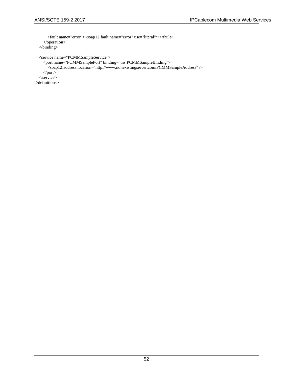```
 <fault name="error"><soap12:fault name="error" use="literal"/></fault>
   </operation>
 </binding>
 <service name="PCMMSampleService">
   <port name="PCMMSamplePort" binding="tns:PCMMSampleBinding">
     <soap12:address location="http://www.nonexistingserver.com/PCMMSampleAddress" />
   </port>
 </service>
```
</definitions>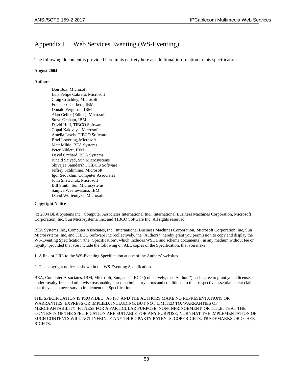# Appendix I Web Services Eventing (WS-Eventing)

The following document is provided here in its entirety here as additional information to this specification.

### **August 2004**

## **Authors**

Don Box, Microsoft Luis Felipe Cabrera, Microsoft Craig Critchley, Microsoft Francisco Curbera, IBM Donald Ferguson, IBM Alan Geller (Editor), Microsoft Steve Graham, IBM David Hull, TIBCO Software Gopal Kakivaya, Microsoft Amelia Lewis, TIBCO Software Brad Lovering, Microsoft Matt Mihic, BEA Systems Peter Niblett, IBM David Orchard, BEA Systems Junaid Saiyed, Sun Microsystems Shivajee Samdarshi, TIBCO Software Jeffrey Schlimmer, Microsoft Igor Sedukhin, Computer Associates John Shewchuk, Microsoft Bill Smith, Sun Microsystems Sanjiva Weerawarana, IBM David Wortendyke, Microsoft

### **Copyright Notice**

(c) 2004 BEA Systems Inc., Computer Associates International Inc., International Business Machines Corporation, Microsoft Corporation, Inc, Sun Microsystems, Inc, and TIBCO Software Inc. All rights reserved.

BEA Systems Inc., Computer Associates, Inc., International Business Machines Corporation, Microsoft Corporation, Inc, Sun Microsystems, Inc, and TIBCO Software Inc (collectively, the "Authors") hereby grant you permission to copy and display the WS-Eventing Specification (the "Specification", which includes WSDL and schema documents), in any medium without fee or royalty, provided that you include the following on ALL copies of the Specification, that you make:

1. A link or URL to the WS-Eventing Specification at one of the Authors' websites

2. The copyright notice as shown in the WS-Eventing Specification.

BEA, Computer Associates, IBM, Microsoft, Sun, and TIBCO (collectively, the "Authors") each agree to grant you a license, under royalty-free and otherwise reasonable, non-discriminatory terms and conditions, to their respective essential patent claims that they deem necessary to implement the Specification.

THE SPECIFICATION IS PROVIDED "AS IS," AND THE AUTHORS MAKE NO REPRESENTATIONS OR WARRANTIES, EXPRESS OR IMPLIED, INCLUDING, BUT NOT LIMITED TO, WARRANTIES OF MERCHANTABILITY, FITNESS FOR A PARTICULAR PURPOSE, NON-INFRINGEMENT, OR TITLE; THAT THE CONTENTS OF THE SPECIFICATION ARE SUITABLE FOR ANY PURPOSE; NOR THAT THE IMPLEMENTATION OF SUCH CONTENTS WILL NOT INFRINGE ANY THIRD PARTY PATENTS, COPYRIGHTS, TRADEMARKS OR OTHER RIGHTS.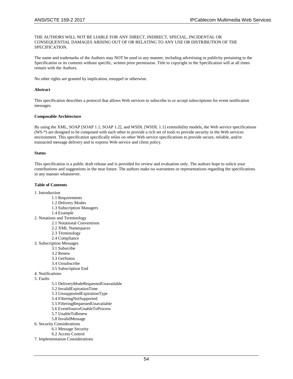#### THE AUTHORS WILL NOT BE LIABLE FOR ANY DIRECT, INDIRECT, SPECIAL, INCIDENTAL OR CONSEQUENTIAL DAMAGES ARISING OUT OF OR RELATING TO ANY USE OR DISTRIBUTION OF THE SPECIFICATION.

The name and trademarks of the Authors may NOT be used in any manner, including advertising or publicity pertaining to the Specification or its contents without specific, written prior permission. Title to copyright in the Specification will at all times remain with the Authors.

No other rights are granted by implication, estoppel or otherwise.

#### **Abstract**

This specification describes a protocol that allows Web services to subscribe to or accept subscriptions for event notification messages.

#### **Composable Architecture**

By using the XML, SOAP [SOAP 1.1, SOAP 1.2], and WSDL [WSDL 1.1] extensibility models, the Web service specifications (WS-\*) are designed to be composed with each other to provide a rich set of tools to provide security in the Web services environment. This specification specifically relies on other Web service specifications to provide secure, reliable, and/or transacted message delivery and to express Web service and client policy.

#### **Status**

This specification is a public draft release and is provided for review and evaluation only. The authors hope to solicit your contributions and suggestions in the near future. The authors make no warrantees or representations regarding the specifications in any manner whatsoever.

### **Table of Contents**

- 1. Introduction
	- 1.1 Requirements
	- 1.2 Delivery Modes
	- 1.3 Subscription Managers
	- 1.4 Example
- 2. Notations and Terminology
	- 2.1 Notational Conventions
	- 2.2 XML Namespaces
	- 2.3 Terminology
	- 2.4 Compliance
- 3. Subscription Messages
	- 3.1 Subscribe
	- 3.2 Renew
	- 3.3 GetStatus
	- 3.4 Unsubscribe
	- 3.5 Subscription End
- 4. Notifications
- 5. Faults
	- 5.1 DeliveryModeRequestedUnavailable
	- 5.2 InvalidExpirationTime
	- 5.3 UnsupportedExpirationType
	- 5.4 FilteringNotSupported
	- 5.5 FilteringRequestedUnavailable
	- 5.6 EventSourceUnableToProcess
	- 5.7 UnableToRenew
	- 5.8 InvalidMessage
- 6. Security Considerations
	- 6.1 Message Security
	- 6.2 Access Control
- 7. Implementation Considerations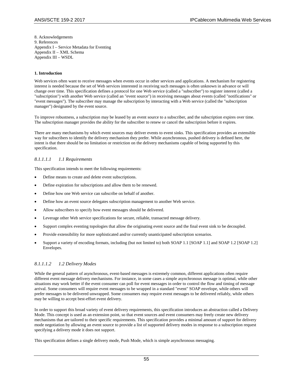8. Acknowledgements 9. References Appendix I – Service Metadata for Eventing Appendix II – XML Schema Appendix III – WSDL

#### **1. Introduction**

Web services often want to receive messages when events occur in other services and applications. A mechanism for registering interest is needed because the set of Web services interested in receiving such messages is often unknown in advance or will change over time. This specification defines a protocol for one Web service (called a "subscriber") to register interest (called a "subscription") with another Web service (called an "event source") in receiving messages about events (called "notifications" or "event messages"). The subscriber may manage the subscription by interacting with a Web service (called the "subscription manager") designated by the event source.

To improve robustness, a subscription may be leased by an event source to a subscriber, and the subscription expires over time. The subscription manager provides the ability for the subscriber to renew or cancel the subscription before it expires.

There are many mechanisms by which event sources may deliver events to event sinks. This specification provides an extensible way for subscribers to identify the delivery mechanism they prefer. While asynchronous, pushed delivery is defined here, the intent is that there should be no limitation or restriction on the delivery mechanisms capable of being supported by this specification.

## *8.1.1.1.1 1.1 Requirements*

This specification intends to meet the following requirements:

- Define means to create and delete event subscriptions.
- Define expiration for subscriptions and allow them to be renewed.
- Define how one Web service can subscribe on behalf of another.
- Define how an event source delegates subscription management to another Web service.
- Allow subscribers to specify how event messages should be delivered.
- Leverage other Web service specifications for secure, reliable, transacted message delivery.
- Support complex eventing topologies that allow the originating event source and the final event sink to be decoupled.
- Provide extensibility for more sophisticated and/or currently unanticipated subscription scenarios.
- Support a variety of encoding formats, including (but not limited to) both SOAP 1.1 [SOAP 1.1] and SOAP 1.2 [SOAP 1.2] Envelopes.

### *8.1.1.1.2 1.2 Delivery Modes*

While the general pattern of asynchronous, event-based messages is extremely common, different applications often require different event message delivery mechanisms. For instance, in some cases a simple asynchronous message is optimal, while other situations may work better if the event consumer can poll for event messages in order to control the flow and timing of message arrival. Some consumers will require event messages to be wrapped in a standard "event" SOAP envelope, while others will prefer messages to be delivered unwrapped. Some consumers may require event messages to be delivered reliably, while others may be willing to accept best-effort event delivery.

In order to support this broad variety of event delivery requirements, this specification introduces an abstraction called a Delivery Mode. This concept is used as an extension point, so that event sources and event consumers may freely create new delivery mechanisms that are tailored to their specific requirements. This specification provides a minimal amount of support for delivery mode negotiation by allowing an event source to provide a list of supported delivery modes in response to a subscription request specifying a delivery mode it does not support.

This specification defines a single delivery mode, Push Mode, which is simple asynchronous messaging.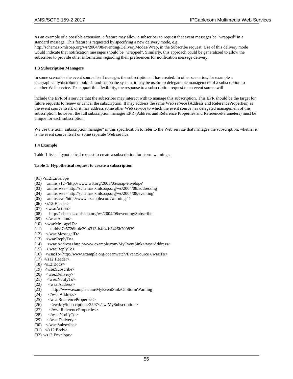As an example of a possible extension, a feature may allow a subscriber to request that event messages be "wrapped" in a standard message. This feature is requested by specifying a new delivery mode, e.g.

http://schemas.xmlsoap.org/ws/2004/08/eventing/DeliveryModes/Wrap, in the Subscribe request. Use of this delivery mode would indicate that notification messages should be "wrapped". Similarly, this approach could be generalized to allow the subscriber to provide other information regarding their preferences for notification message delivery.

#### **1.3 Subscription Managers**

In some scenarios the event source itself manages the subscriptions it has created. In other scenarios, for example a geographically distributed publish-and-subscribe system, it may be useful to delegate the management of a subscription to another Web service. To support this flexibility, the response to a subscription request to an event source will

include the EPR of a service that the subscriber may interact with to manage this subscription. This EPR should be the target for future requests to renew or cancel the subscription. It may address the same Web service (Address and ReferenceProperties) as the event source itself, or it may address some other Web service to which the event source has delegated management of this subscription; however, the full subscription manager EPR (Address and Reference Properties and ReferenceParameters) must be unique for each subscription.

We use the term "subscription manager" in this specification to refer to the Web service that manages the subscription, whether it is the event source itself or some separate Web service.

#### **1.4 Example**

Table 1 lists a hypothetical request to create a subscription for storm warnings.

#### **Table 1: Hypothetical request to create a subscription**

 $(01)$  <s12:Envelope

- (02) xmlns:s12='http://www.w3.org/2003/05/soap-envelope'
- (03) xmlns:wsa='http://schemas.xmlsoap.org/ws/2004/08/addressing'
- (04) xmlns:wse='http://schemas.xmlsoap.org/ws/2004/08/eventing'
- (05) xmlns:ew='http://www.example.com/warnings' >
- $(06)$  <s12:Header>
- (07) <wsa:Action>
- (08) http://schemas.xmlsoap.org/ws/2004/08/eventing/Subscribe
- $(09)$  </wsa:Action>
- (10) <wsa:MessageID>
- (11) uuid:d7c5726b-de29-4313-b4d4-b3425b200839
- (12) </wsa:MessageID>
- (13) <wsa:ReplyTo>
- (14) <wsa:Address>http://www.example.com/MyEventSink</wsa:Address>
- $(15)$  </wsa:ReplyTo>
- (16) <wsa:To>http://www.example.org/oceanwatch/EventSource</wsa:To>
- $(17)$   $\leq$  s12: Header>
- $(18)$  <s12:Body>
- (19) <wse:Subscribe>
- (20) <wse:Delivery>
- $(21)$  <wse:NotifyTo>
- (22)  $\langle$  -wsa:Address  $(23)$  http://www.ex
- http://www.example.com/MyEventSink/OnStormWarning
- (24) </wsa:Address>
- (25) <wsa:ReferenceProperties>
- (26) <ew:MySubscription>2597</ew:MySubscription>
- (27) </wsa:ReferenceProperties>
- $(28)$   $\leq$  wse:NotifyTo>
- (29) </wse:Delivery>
- $(30)$   $\leq$ /wse:Subscribe>
- $(31)$   $\langle$ s12:Body>
- $(32)$   $\leq$  s12:Envelope>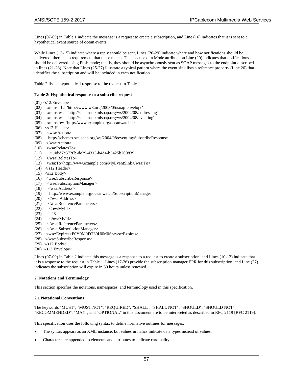Lines (07-09) in Table 1 indicate the message is a request to create a subscription, and Line (16) indicates that it is sent to a hypothetical event source of ocean events.

While Lines (13-15) indicate where a reply should be sent, Lines (20-29) indicate where and how notifications should be delivered; there is no requirement that these match. The absence of a Mode attribute on Line (20) indicates that notifications should be delivered using Push mode; that is, they should be asynchronously sent as SOAP messages to the endpoint described in lines (21-28). Note that Lines (25-27) illustrate a typical pattern where the event sink lists a reference property (Line 26) that identifies the subscription and will be included in each notification.

Table 2 lists a hypothetical response to the request in Table 1.

#### **Table 2: Hypothetical response to a subscribe request**

- $(01)$  <s12:Envelope
- (02) xmlns:s12='http://www.w3.org/2003/05/soap-envelope'
- (03) xmlns:wsa='http://schemas.xmlsoap.org/ws/2004/08/addressing'
- (04) xmlns:wse='http://schemas.xmlsoap.org/ws/2004/08/eventing'
- (05) xmlns:ow='http://www.example.org/oceanwatch' >
- $(06)$  <s12:Header>
- (07) <wsa:Action>
- (08) http://schemas.xmlsoap.org/ws/2004/08/eventing/SubscribeResponse
- (09) </wsa:Action>
- (10) <wsa:RelatesTo>
- (11) uuid:d7c5726b-de29-4313-b4d4-b3425b200839
- (12) </wsa:RelatesTo>
- (13) <wsa:To>http://www.example.com/MyEventSink</wsa:To>
- $(14)$   $\langle$ s12:Header>
- $(15)$  <s12:Body>
- (16) <wse:SubscribeResponse>
- (17) <wse:SubscriptionManager>
- (18) <wsa:Address>
- (19) http://www.example.org/oceanwatch/SubscriptionManager
- $(20)$   $\langle$ /wsa:Address>
- (21) <wsa:ReferenceParameters>
- $(22) \quad \text{<}\text{ow:} \text{Myld}\text{>}$
- (23) 28
- $(24)$   $\langle$ /ow:MyId>
- (25) </wsa:ReferenceParameters>
- (26) </wse:SubscriptionManager>
- (27) <wse:Expires>P0Y0M0DT30H0M0S</wse:Expires>
- (28) </wse:SubscribeResponse>
- $(29)$   $\langle$ s12:Body>
- $(30)$   $\triangle$ s12:Envelope>

Lines (07-09) in Table 2 indicate this message is a response to a request to create a subscription, and Lines (10-12) indicate that it is a response to the request in Table 1. Lines (17-26) provide the subscription manager EPR for this subscription, and Line (27) indicates the subscription will expire in 30 hours unless renewed.

#### **2. Notations and Terminology**

This section specifies the notations, namespaces, and terminology used in this specification.

#### **2.1 Notational Conventions**

The keywords "MUST", "MUST NOT", "REQUIRED", "SHALL", "SHALL NOT", "SHOULD", "SHOULD NOT", "RECOMMENDED", "MAY", and "OPTIONAL" in this document are to be interpreted as described in RFC 2119 [RFC 2119].

This specification uses the following syntax to define normative outlines for messages:

- The syntax appears as an XML instance, but values in italics indicate data types instead of values.
- Characters are appended to elements and attributes to indicate cardinality: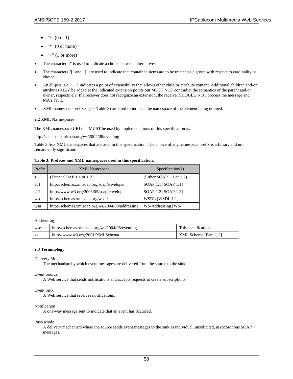- $"?" (0 or 1)$
- "\*"  $(0 \text{ or more})$
- $\bullet$  "+" (1 or more)
- The character "|" is used to indicate a choice between alternatives.
- The characters "[" and "]" are used to indicate that contained items are to be treated as a group with respect to cardinality or choice.
- An ellipsis (i.e. "...") indicates a point of extensibility that allows other child or attribute content. Additional children and/or attributes MAY be added at the indicated extension points but MUST NOT contradict the semantics of the parent and/or owner, respectively. If a receiver does not recognize an extension, the receiver SHOULD NOT process the message and MAY fault.
- XML namespace prefixes (see Table 3) are used to indicate the namespace of the element being defined.

#### **2.2 XML Namespaces**

The XML namespace URI that MUST be used by implementations of this specification is:

http://schemas.xmlsoap.org/ws/2004/08/eventing

Table 3 lists XML namespaces that are used in this specification. The choice of any namespace prefix is arbitrary and not semantically significant.

#### **Table 3: Prefixes and XML namespaces used in this specification.**

| Prefix | <b>XML</b> Namespace                             | Specification(s)         |
|--------|--------------------------------------------------|--------------------------|
| s      | (Either SOAP 1.1 or 1.2)                         | (Either SOAP 1.1 or 1.2) |
| s11    | http://schemas.xmlsoap.org/soap/envelope/        | SOAP 1.1 [SOAP 1.1]      |
| s12    | http://www.w3.org/2003/05/soap-envelope          | SOAP 1.2 [SOAP 1.2]      |
| wsdl   | http://schemas.xmlsoap.org/wsdl/                 | WSDL [WSDL 1.1]          |
| wsa    | http://schemas.xmlsoap.org/ws/2004/08/addressing | WS-Addressing [WS-       |

| Addressing |                                                |                        |
|------------|------------------------------------------------|------------------------|
| wse        | http://schemas.xmlsoap.org/ws/2004/08/eventing | This specification     |
| XS         | http://www.w3.org/2001/XMLSchema               | XML Schema [Part 1, 2] |

#### **2.3 Terminology**

Delivery Mode

The mechanism by which event messages are delivered from the source to the sink.

Event Source

A Web service that sends notifications and accepts requests to create subscriptions.

#### Event Sink

A Web service that receives notifications.

#### Notification

A one-way message sent to indicate that an event has occurred.

Push Mode

A delivery mechanism where the source sends event messages to the sink as individual, unsolicited, asynchronous SOAP messages.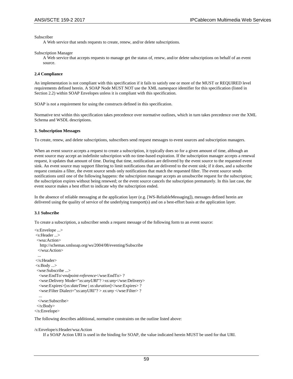Subscriber

A Web service that sends requests to create, renew, and/or delete subscriptions.

Subscription Manager

A Web service that accepts requests to manage get the status of, renew, and/or delete subscriptions on behalf of an event source.

#### **2.4 Compliance**

An implementation is not compliant with this specification if it fails to satisfy one or more of the MUST or REQUIRED level requirements defined herein. A SOAP Node MUST NOT use the XML namespace identifier for this specification (listed in Section 2.2) within SOAP Envelopes unless it is compliant with this specification.

SOAP is not a requirement for using the constructs defined in this specification.

Normative text within this specification takes precedence over normative outlines, which in turn takes precedence over the XML Schema and WSDL descriptions.

#### **3. Subscription Messages**

To create, renew, and delete subscriptions, subscribers send request messages to event sources and subscription managers.

When an event source accepts a request to create a subscription, it typically does so for a given amount of time, although an event source may accept an indefinite subscription with no time-based expiration. If the subscription manager accepts a renewal request, it updates that amount of time. During that time, notifications are delivered by the event source to the requested event sink. An event source may support filtering to limit notifications that are delivered to the event sink; if it does, and a subscribe request contains a filter, the event source sends only notifications that match the requested filter. The event source sends notifications until one of the following happens: the subscription manager accepts an unsubscribe request for the subscription; the subscription expires without being renewed; or the event source cancels the subscription prematurely. In this last case, the event source makes a best effort to indicate why the subscription ended.

In the absence of reliable messaging at the application layer (e.g. [WS-ReliableMessaging]), messages defined herein are delivered using the quality of service of the underlying transport(s) and on a best-effort basis at the application layer.

#### **3.1 Subscribe**

To create a subscription, a subscriber sends a request message of the following form to an event source:

```
<s:Envelope ...> 
<s:Header ...> 
  <wsa:Action> 
   http://schemas.xmlsoap.org/ws/2004/08/eventing/Subscribe
  </wsa:Action> 
  ... 
</s:Header> 
<s:Body ...> 
  <wse:Subscribe ...> 
   <wse:EndTo>endpoint-reference</wse:EndTo> ? 
   <wse:Delivery Mode="xs:anyURI"? >xs:any</wse:Delivery> 
   <wse:Expires>[xs:dateTime | xs:duration]</wse:Expires> ? 
   <wse:Filter Dialect="xs:anyURI"? > xs:any </wse:Filter> ? 
   ... 
  </wse:Subscribe> 
  </s:Body> 
</s:Envelope>
```
The following describes additional, normative constraints on the outline listed above:

#### /s:Envelope/s:Header/wsa:Action

If a SOAP Action URI is used in the binding for SOAP, the value indicated herein MUST be used for that URI.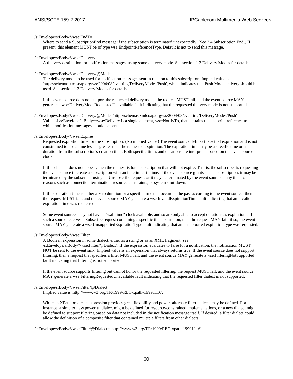#### /s:Envelope/s:Body/\*/wse:EndTo

Where to send a SubscriptionEnd message if the subscription is terminated unexpectedly. (See 3.4 Subscription End.) If present, this element MUST be of type wsa:EndpointReferenceType. Default is not to send this message.

#### /s:Envelope/s:Body/\*/wse:Delivery

A delivery destination for notification messages, using some delivery mode. See section 1.2 Delivery Modes for details.

#### /s:Envelope/s:Body/\*/wse:Delivery/@Mode

The delivery mode to be used for notification messages sent in relation to this subscription. Implied value is 'http://schemas.xmlsoap.org/ws/2004/08/eventing/DeliveryModes/Push', which indicates that Push Mode delivery should be used. See section 1.2 Delivery Modes for details.

If the event source does not support the requested delivery mode, the request MUST fail, and the event source MAY generate a wse:DeliveryModeRequestedUnavailable fault indicating that the requested delivery mode is not supported.

/s:Envelope/s:Body/\*/wse:Delivery/@Mode='http://schemas.xmlsoap.org/ws/2004/08/eventing/DeliveryModes/Push' Value of /s:Envelope/s:Body/\*/wse:Delivery is a single element, wse:NotifyTo, that contains the endpoint reference to which notification messages should be sent.

#### /s:Envelope/s:Body/\*/wse:Expires

Requested expiration time for the subscription. (No implied value.) The event source defines the actual expiration and is not constrained to use a time less or greater than the requested expiration. The expiration time may be a specific time or a duration from the subscription's creation time. Both specific times and durations are interpreted based on the event source's clock.

If this element does not appear, then the request is for a subscription that will not expire. That is, the subscriber is requesting the event source to create a subscription with an indefinite lifetime. If the event source grants such a subscription, it may be terminated by the subscriber using an Unsubscribe request, or it may be terminated by the event source at any time for reasons such as connection termination, resource constraints, or system shut-down.

If the expiration time is either a zero duration or a specific time that occurs in the past according to the event source, then the request MUST fail, and the event source MAY generate a wse:InvalidExpirationTime fault indicating that an invalid expiration time was requested.

Some event sources may not have a "wall time" clock available, and so are only able to accept durations as expirations. If such a source receives a Subscribe request containing a specific time expiration, then the request MAY fail; if so, the event source MAY generate a wse:UnsupportedExpirationType fault indicating that an unsupported expiration type was requested.

#### /s:Envelope/s:Body/\*/wse:Filter

A Boolean expression in some dialect, either as a string or as an XML fragment (see

/s:Envelope/s:Body/\*/wse:Filter/@Dialect). If the expression evaluates to false for a notification, the notification MUST NOT be sent to the event sink. Implied value is an expression that always returns true. If the event source does not support filtering, then a request that specifies a filter MUST fail, and the event source MAY generate a wse:FilteringNotSupported fault indicating that filtering is not supported.

If the event source supports filtering but cannot honor the requested filtering, the request MUST fail, and the event source MAY generate a wse:FilteringRequestedUnavailable fault indicating that the requested filter dialect is not supported.

#### /s:Envelope/s:Body/\*/wse:Filter/@Dialect

Implied value is 'http://www.w3.org/TR/1999/REC-xpath-19991116'.

While an XPath predicate expression provides great flexibility and power, alternate filter dialects may be defined. For instance, a simpler, less powerful dialect might be defined for resource-constrained implementations, or a new dialect might be defined to support filtering based on data not included in the notification message itself. If desired, a filter dialect could allow the definition of a composite filter that contained multiple filters from other dialects.

/s:Envelope/s:Body/\*/wse:Filter/@Dialect=' http://www.w3.org/TR/1999/REC-xpath-19991116'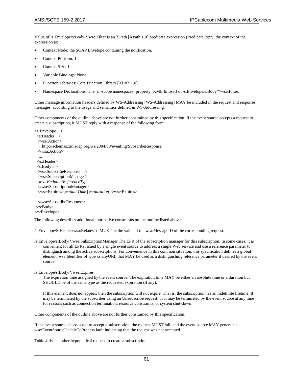Value of /s:Envelope/s:Body/\*/wse:Filter is an XPath [XPath 1.0] predicate expression (PredicateExpr); the context of the expression is:

- Context Node: the SOAP Envelope containing the notification.
- Context Position: 1.
- Context Size: 1.
- Variable Bindings: None.
- Function Libraries: Core Function Library [XPath 1.0].
- Namespace Declarations: The [in-scope namespaces] property [XML Infoset] of /s:Envelope/s:Body/\*/wse:Filter.

Other message information headers defined by WS-Addressing [WS-Addressing] MAY be included in the request and response messages, according to the usage and semantics defined in WS-Addressing.

Other components of the outline above are not further constrained by this specification. If the event source accepts a request to create a subscription, it MUST reply with a response of the following form:

```
<s:Envelope ...>
  <s:Header ...>
  <wsa:Action>
     http://schemas.xmlsoap.org/ws/2004/08/eventing/SubscribeResponse
  </wsa:Action>
 ...
  </s:Header>
  <s:Body ...>
  <wse:SubscribeResponse ...>
  <wse:SubscriptionManager>
   wsa:EndpointReferenceType
   </wse:SubscriptionManager>
  <wse:Expires>[xs:dateTime | xs:duration]</wse:Expires> 
 ...
  </wse:SubscribeResponse>
\langles:Body>
```

```
</s:Envelope>
```
The following describes additional, normative constraints on the outline listed above:

/s:Envelope/S:Header/wsa:RelatesTo MUST be the value of the wsa:MessageID of the corresponding request.

/s:Envelope/s:Body/\*/wse:SubscriptionManager The EPR of the subscription manager for this subscription. In some cases, it is convenient for all EPRs issued by a single event source to address a single Web service and use a reference parameter to distinguish among the active subscriptions. For convenience in this common situation, this specification defines a global element, wsa:Identifier of type xs:anyURI, that MAY be used as a distinguishing reference parameter if desired by the event source.

/s:Envelope/s:Body/\*/wse:Expires

The expiration time assigned by the event source. The expiration time MAY be either an absolute time or a duration but SHOULD be of the same type as the requested expiration (if any).

If this element does not appear, then the subscription will not expire. That is, the subscription has an indefinite lifetime. It may be terminated by the subscriber using an Unsubscribe request, or it may be terminated by the event source at any time for reasons such as connection termination, resource constraints, or system shut-down.

Other components of the outline above are not further constrained by this specification.

If the event source chooses not to accept a subscription, the request MUST fail, and the event source MAY generate a wse:EventSourceUnableToProcess fault indicating that the request was not accepted.

Table 4 lists another hypothetical request to create a subscription.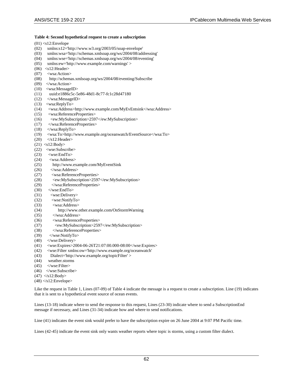## **Table 4: Second hypothetical request to create a subscription**

|              | $(01)$ <s12: envelope<="" td=""></s12:>                                           |
|--------------|-----------------------------------------------------------------------------------|
| (02)         | xmlns:s12='http://www.w3.org/2003/05/soap-envelope'                               |
| (03)         | xmlns:wsa='http://schemas.xmlsoap.org/ws/2004/08/addressing'                      |
| (04)         | xmlns:wse='http://schemas.xmlsoap.org/ws/2004/08/eventing'                        |
| (05)         | xmlns:ew='http://www.example.com/warnings'>                                       |
| (06)         | $<$ s12:Header>                                                                   |
| (07)         | <wsa:action></wsa:action>                                                         |
| (08)         | http://schemas.xmlsoap.org/ws/2004/08/eventing/Subscribe                          |
| (09)         |                                                                                   |
| (10)         | <wsa:messageid></wsa:messageid>                                                   |
| (11)         | uuid:e1886c5c-5e86-48d1-8c77-fc1c28d47180                                         |
| (12)         |                                                                                   |
| (13)         | <wsa:replyto></wsa:replyto>                                                       |
| (14)         | <wsa:address>http://www.example.com/MyEvEntsink</wsa:address>                     |
| (15)         | <wsa:referenceproperties></wsa:referenceproperties>                               |
| (16)         | <ew:mysubscription>2597</ew:mysubscription>                                       |
| (17)         |                                                                                   |
| (18)         |                                                                                   |
| (19)         | <wsa:to>http://www.example.org/oceanwatch/EventSource</wsa:to>                    |
| (20)         | $\langle$ s12:Header>                                                             |
|              | $(21)$ <s12:body></s12:body>                                                      |
| (22)         | <wse:subscribe></wse:subscribe>                                                   |
| (23)         | $<$ wse:EndTo>                                                                    |
| (24)         | <wsa:address></wsa:address>                                                       |
| (25)         | http://www.example.com/MyEventSink                                                |
| (26)         |                                                                                   |
| (27)         | <wsa:referenceproperties></wsa:referenceproperties>                               |
| (28)         | <ew:mysubscription>2597</ew:mysubscription>                                       |
| (29)         |                                                                                   |
| (30)         | $\langle$ /wse:EndTo>                                                             |
| (31)         | <wse:delivery></wse:delivery>                                                     |
| (32)         | <wse:notifyto></wse:notifyto>                                                     |
| (33)         | <wsa:address></wsa:address>                                                       |
| (34)         | http://www.other.example.com/OnStormWarning                                       |
| (35)         |                                                                                   |
| (36)         | <wsa:referenceproperties></wsa:referenceproperties>                               |
|              | <ew:mysubscription>2597</ew:mysubscription>                                       |
| (37)         |                                                                                   |
| (38)<br>(39) | $\langle$ /wse:NotifyTo>                                                          |
|              |                                                                                   |
| (40)         |                                                                                   |
| (41)         | <wse:expires>2004-06-26T21:07:00.000-08:00</wse:expires>                          |
| (42)         | <wse:filter <="" td="" xmlns:ow="http://www.example.org/oceanwatch"></wse:filter> |
| (43)         | Dialect='http://www.example.org/topicFilter'>                                     |
| (44)         | weather.storms                                                                    |
| (45)         | $\langle$ /wse:Filter>                                                            |
| (46)         |                                                                                   |

- (47)  $\langle$ s12:Body>
- $(48)$   $\triangle$ s12:Envelope>

Like the request in Table 1, Lines (07-09) of Table 4 indicate the message is a request to create a subscription. Line (19) indicates that it is sent to a hypothetical event source of ocean events.

Lines (13-18) indicate where to send the response to this request, Lines (23-30) indicate where to send a SubscriptionEnd message if necessary, and Lines (31-34) indicate how and where to send notifications.

Line (41) indicates the event sink would prefer to have the subscription expire on 26 June 2004 at 9:07 PM Pacific time.

Lines (42-45) indicate the event sink only wants weather reports where topic is storms, using a custom filter dialect.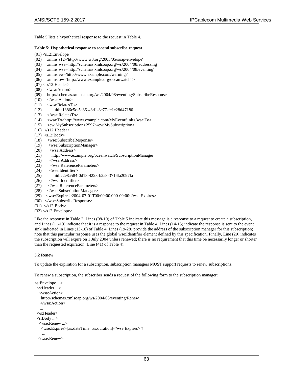Table 5 lists a hypothetical response to the request in Table 4.

#### **Table 5: Hypothetical response to second subscribe request**

 $(01)$  <s12:Envelope

- (02) xmlns:s12='http://www.w3.org/2003/05/soap-envelope'
- (03) xmlns:wsa='http://schemas.xmlsoap.org/ws/2004/08/addressing'
- (04) xmlns:wse='http://schemas.xmlsoap.org/ws/2004/08/eventing'
- (05) xmlns:ew='http://www.example.com/warnings'
- (06) xmlns:ow='http://www.example.org/oceanwatch' >
- $(07) <$  s12: Header>
- (08) <wsa:Action>
- (09) http://schemas.xmlsoap.org/ws/2004/08/eventing/SubscribeResponse
- $(10)$  </wsa:Action>
- (11) <wsa:RelatesTo>
- (12) uuid:e1886c5c-5e86-48d1-8c77-fc1c28d47180
- (13) </wsa:RelatesTo>
- (14) <wsa:To>http://www.example.com/MyEventSink</wsa:To>
- (15) <ew:MySubscription>2597</ew:MySubscription>
- $(16)$   $\leq$  s12: Header>
- $(17)$  <s12:Body>
- (18) <wse:SubscribeResponse>
- (19) <wse:SubscriptionManager>
- (20) <wsa:Address>
- (21) http://www.example.org/oceanwatch/SubscriptionManager
- (22) </wsa:Address>
- (23) <wsa:ReferenceParameters>
- (24) <wse:Identifier>
- (25) uuid:22e8a584-0d18-4228-b2a8-3716fa2097fa
- $(26)$   $\leq$ /wse:Identifier>
- (27) </wsa:ReferenceParameters>
- (28) </wse:SubscriptionManager>
- (29) <wse:Expires>2004-07-01T00:00:00.000-00:00</wse:Expires>
- (30) </wse:SubscribeResponse>
- $(31)$   $\leq$  s12:Body>
- $(32)$   $\triangle$ s12:Envelope>

Like the response in Table 2, Lines (08-10) of Table 5 indicate this message is a response to a request to create a subscription, and Lines (11-13) indicate that it is a response to the request in Table 4. Lines (14-15) indicate the response is sent to the event sink indicated in Lines (13-18) of Table 4. Lines (19-28) provide the address of the subscription manager for this subscription; note that this particular response uses the global wse:Identifier element defined by this specification. Finally, Line (29) indicates the subscription will expire on 1 July 2004 unless renewed; there is no requirement that this time be necessarily longer or shorter than the requested expiration (Line (41) of Table 4).

#### **3.2 Renew**

To update the expiration for a subscription, subscription managers MUST support requests to renew subscriptions.

To renew a subscription, the subscriber sends a request of the following form to the subscription manager:

```
<s:Envelope ...> 
  <s:Header ...> 
   <wsa:Action> 
    http://schemas.xmlsoap.org/ws/2004/08/eventing/Renew 
    </wsa:Action> 
 ... 
  </s:Header>
  <s:Body ...> 
   <wse:Renew ...> 
    <wse:Expires>[xs:dateTime | xs:duration]</wse:Expires> ? 
 ... 
   </wse:Renew>
```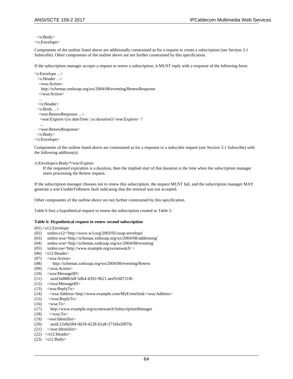</s:Body> </s:Envelope>

Components of the outline listed above are additionally constrained as for a request to create a subscription (see Section 3.1 Subscribe). Other components of the outline above are not further constrained by this specification.

If the subscription manager accepts a request to renew a subscription, it MUST reply with a response of the following form:

```
<s:Envelope ...> 
   <s:Header ...> 
   <wsa:Action> 
    http://schemas.xmlsoap.org/ws/2004/08/eventing/RenewResponse 
   </wsa:Action> 
 ... 
  </s:Header> 
   <s:Body ...> 
   <wse:RenewResponse ...> 
   <wse:Expires>[xs:dateTime | xs:duration]</wse:Expires> ? 
   ... 
  </wse:RenewResponse> 
  </s:Body> 
</s:Envelope>
```
Components of the outline listed above are constrained as for a response to a subscribe request (see Section 3.1 Subscribe) with the following addition(s):

#### /s:Envelope/s:Body/\*/wse:Expires

If the requested expiration is a duration, then the implied start of that duration is the time when the subscription manager starts processing the Renew request.

If the subscription manager chooses not to renew this subscription, the request MUST fail, and the subscription manager MAY generate a wse:UnableToRenew fault indicating that the renewal was not accepted.

Other components of the outline above are not further constrained by this specification.

Table 6 lists a hypothetical request to renew the subscription created in Table 5.

#### **Table 6: Hypothetical request to renew second subscription**

 $(01)$  <s12:Envelope

- (02) xmlns:s12='http://www.w3.org/2003/05/soap-envelope'
- (03) xmlns:wsa='http://schemas.xmlsoap.org/ws/2004/08/addressing'
- (04) xmlns:wse='http://schemas.xmlsoap.org/ws/2004/08/eventing'
- (05) xmlns:ow='http://www.example.org/oceanwatch' >
- $(06)$  <s12:Header>
- (07) <wsa:Action>
- (08) http://schemas.xmlsoap.org/ws/2004/08/eventing/Renew
- (09) </wsa:Action>
- (10) <wsa:MessageID>
- (11) uuid:bd88b3df-5db4-4392-9621-aee9160721f6
- (12) </wsa:MessageID>
- (13) <wsa:ReplyTo>
- (14) <wsa:Address>http://www.example.com/MyEventSink</wsa:Address>
- $(15)$   $\langle$  wsa:ReplyTo>
- $(16)$  <wsa:To
- (17) http://www.example.org/oceanwatch/SubscriptionManager
- $(18)$   $\langle$ /wsa:To>
- (19) <wse:Identifier>
- (20) uuid:22e8a584-0d18-4228-b2a8-3716fa2097fa
- (21) </wse:Identifier>
- (22)  $\langle$ s12:Header>
- (23) <s12:Body>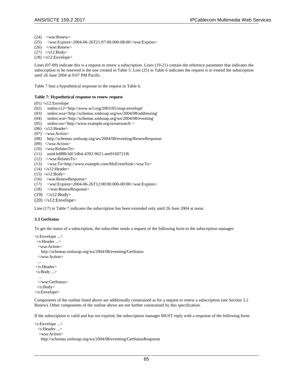- (24) <wse:Renew>
- (25) <wse:Expires>2004-06-26T21:07:00.000-08:00</wse:Expires>
- (26) </wse:Renew>
- $(27)$   $\langle$ s12:Body>
- $(28)$   $\triangle$ s12:Envelope>

Lines (07-09) indicate this is a request to renew a subscription. Lines (19-21) contain the reference parameter that indicates the subscription to be renewed is the one created in Table 5. Line (25) in Table 6 indicates the request is to extend the subscription until 26 June 2004 at 9:07 PM Pacific.

Table 7 lists a hypothetical response to the request in Table 6.

#### **Table 7: Hypothetical response to renew request**

 $(01)$  <s12:Envelope

- (02) xmlns:s12='http://www.w3.org/2003/05/soap-envelope'
- (03) xmlns:wsa='http://schemas.xmlsoap.org/ws/2004/08/addressing'
- (04) xmlns:wse='http://schemas.xmlsoap.org/ws/2004/08/eventing'
- (05) xmlns:ow='http://www.example.org/oceanwatch' >
- $(06)$  <s12:Header>
- (07) <wsa:Action>
- (08) http://schemas.xmlsoap.org/ws/2004/08/eventing/RenewResponse
- (09) </wsa:Action>
- (10) <wsa:RelatesTo>
- (11) uuid:bd88b3df-5db4-4392-9621-aee9160721f6
- (12) </wsa:RelatesTo>
- (13) <wsa:To>http://www.example.com/MyEventSink</wsa:To>
- $(14)$   $\langle$ s12:Header>
- $(15)$  <s12:Body>
- (16) <wse:RenewResponse>
- (17) <wse:Expires>2004-06-26T12:00:00.000-00:00</wse:Expires>
- (18) </wse:RenewResponse>
- $(19)$  </s12:Body>
- $(20)$   $\leq$  s12: Envelope>

Line (17) in Table 7 indicates the subscription has been extended only until 26 June 2004 at noon.

#### **3.3 GetStatus**

To get the status of a subscription, the subscriber sends a request of the following form to the subscription manager:

```
<s:Envelope ...> 
  <s:Header ...> 
  <wsa:Action> 
    http://schemas.xmlsoap.org/ws/2004/08/eventing/GetStatus 
  </wsa:Action> 
 ... 
</s:Header> 
\langles:Body ...> ... 
  </wse:GetStatus> 
  </s:Body> 
</s:Envelope>
```
Components of the outline listed above are additionally constrained as for a request to renew a subscription (see Section 3.2 Renew). Other components of the outline above are not further constrained by this specification.

If the subscription is valid and has not expired, the subscription manager MUST reply with a response of the following form:

```
<s:Envelope ...> 
  <s:Header ...> 
   <wsa:Action> 
    http://schemas.xmlsoap.org/ws/2004/08/eventing/GetStatusResponse
```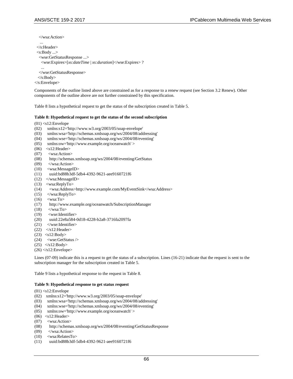</wsa:Action>

...

```
 </s:Header> 
  <s:Body ...> 
   <wse:GetStatusResponse ...> 
    <wse:Expires>[xs:dateTime | xs:duration]</wse:Expires> ? 
 ... 
   </wse:GetStatusResponse> 
   </s:Body> 
</s:Envelope>
```
Components of the outline listed above are constrained as for a response to a renew request (see Section 3.2 Renew). Other components of the outline above are not further constrained by this specification.

Table 8 lists a hypothetical request to get the status of the subscription created in Table 5.

#### **Table 8: Hypothetical request to get the status of the second subscription**

- $(01)$  <s12:Envelope
- (02) xmlns:s12='http://www.w3.org/2003/05/soap-envelope'
- (03) xmlns:wsa='http://schemas.xmlsoap.org/ws/2004/08/addressing'
- (04) xmlns:wse='http://schemas.xmlsoap.org/ws/2004/08/eventing'
- (05) xmlns:ow='http://www.example.org/oceanwatch' >
- $(06)$  <s12:Header>
- (07) <wsa:Action>
- (08) http://schemas.xmlsoap.org/ws/2004/08/eventing/GetStatus
- $(09)$   $\langle$ /wsa:Action>
- (10) <wsa:MessageID>
- (11) uuid:bd88b3df-5db4-4392-9621-aee9160721f6
- (12) </wsa:MessageID>
- (13) <wsa:ReplyTo>
- (14) <wsa:Address>http://www.example.com/MyEventSink</wsa:Address>
- $(15)$  </wsa:ReplyTo>
- $(16)$  <wsa:To>
- (17) http://www.example.org/oceanwatch/SubscriptionManager
- $(18)$   $\langle$ /wsa:To>
- (19) <wse:Identifier>
- (20) uuid:22e8a584-0d18-4228-b2a8-3716fa2097fa
- (21) </wse:Identifier>
- $(22)$   $\langle$ s12:Header>
- $(23)$  <s12:Body>
- (24) <wse:GetStatus />
- $(25)$  </s12:Body>
- $(26)$   $\triangleleft$ s12:Envelope $>$

Lines (07-09) indicate this is a request to get the status of a subscription. Lines (16-21) indicate that the request is sent to the subscription manager for the subscription created in Table 5.

Table 9 lists a hypothetical response to the request in Table 8.

#### **Table 9: Hypothetical response to get status request**

- $(01)$  <s12:Envelope
- (02) xmlns:s12='http://www.w3.org/2003/05/soap-envelope'
- (03) xmlns:wsa='http://schemas.xmlsoap.org/ws/2004/08/addressing'
- (04) xmlns:wse='http://schemas.xmlsoap.org/ws/2004/08/eventing'
- (05) xmlns:ow='http://www.example.org/oceanwatch' >
- $(06)$  <s12:Header>
- (07) <wsa:Action>
- (08) http://schemas.xmlsoap.org/ws/2004/08/eventing/GetStatusResponse
- $(09)$   $\langle$ /wsa:Action>
- (10) <wsa:RelatesTo>
- (11) uuid:bd88b3df-5db4-4392-9621-aee9160721f6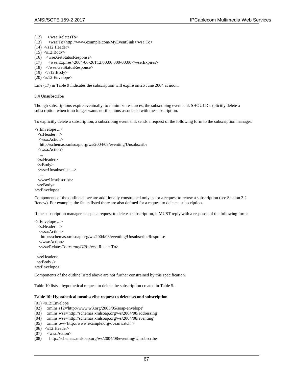```
(12) </wsa:RelatesTo>
```

```
(13) <wsa:To>http://www.example.com/MyEventSink</wsa:To>
```
- $(14)$   $\langle$ s12:Header>
- $(15)$  <s12:Body>
- 
- (16) <wse:GetStatusResponse><br>(17) <wse:Expires>2004-06-2 <wse:Expires>2004-06-26T12:00:00.000-00:00</wse:Expires>
- (18) </wse:GetStatusResponse>
- (19) </s12:Body>
- $(20)$   $\triangle$ s12:Envelope>

Line (17) in Table 9 indicates the subscription will expire on 26 June 2004 at noon.

#### **3.4 Unsubscribe**

Though subscriptions expire eventually, to minimize resources, the subscribing event sink SHOULD explicitly delete a subscription when it no longer wants notifications associated with the subscription.

To explicitly delete a subscription, a subscribing event sink sends a request of the following form to the subscription manager:

```
<s:Envelope ...> 
   <s:Header ...> 
   <wsa:Action> 
    http://schemas.xmlsoap.org/ws/2004/08/eventing/Unsubscribe 
  </wsa:Action> 
 ... 
  </s:Header> 
  <s:Body> 
  <wse:Unsubscribe ...> 
 ... 
  </wse:Unsubscribe> 
  </s:Body> 
</s:Envelope>
```
Components of the outline above are additionally constrained only as for a request to renew a subscription (see Section 3.2 Renew). For example, the faults listed there are also defined for a request to delete a subscription.

If the subscription manager accepts a request to delete a subscription, it MUST reply with a response of the following form:

```
<s:Envelope ...> 
  <s:Header ...> 
   <wsa:Action> 
    http://schemas.xmlsoap.org/ws/2004/08/eventing/UnsubscribeResponse 
   </wsa:Action> 
   <wsa:RelatesTo>xs:anyURI</wsa:RelatesTo> 
 ... 
  </s:Header> 
 <s:Body >
```

```
</s:Envelope>
```
Components of the outline listed above are not further constrained by this specification.

Table 10 lists a hypothetical request to delete the subscription created in Table 5.

#### **Table 10: Hypothetical unsubscribe request to delete second subscription**

 $(01)$  <s12:Envelope

- (02) xmlns:s12='http://www.w3.org/2003/05/soap-envelope'
- (03) xmlns:wsa='http://schemas.xmlsoap.org/ws/2004/08/addressing'
- (04) xmlns:wse='http://schemas.xmlsoap.org/ws/2004/08/eventing'
- (05) xmlns:ow='http://www.example.org/oceanwatch' >
- $(06)$  <s12:Header>
- (07) <wsa:Action>
- (08) http://schemas.xmlsoap.org/ws/2004/08/eventing/Unsubscribe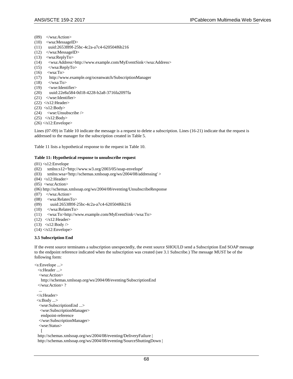- (09) </wsa:Action>
- (10) <wsa:MessageID>
- (11) uuid:2653f89f-25bc-4c2a-a7c4-620504f6b216
- (12) </wsa:MessageID>
- (13) <wsa:ReplyTo>
- (14) <wsa:Address>http://www.example.com/MyEventSink</wsa:Address>
- (15) </wsa:ReplyTo>
- $(16)$  <wsa:To
- (17) http://www.example.org/oceanwatch/SubscriptionManager
- $(18)$   $\langle$ /wsa:To>
- (19) <wse:Identifier>
- (20) uuid:22e8a584-0d18-4228-b2a8-3716fa2097fa
- $(21)$  </wse:Identifier>
- $(22)$   $\langle$ s12:Header>
- $(23)$  <s12:Body>
- (24) <wse:Unsubscribe />
- $(25)$   $\langle$ s12:Body>
- $(26)$   $\triangle$ /s12:Envelope>

Lines (07-09) in Table 10 indicate the message is a request to delete a subscription. Lines (16-21) indicate that the request is addressed to the manager for the subscription created in Table 5.

Table 11 lists a hypothetical response to the request in Table 10.

#### **Table 11: Hypothetical response to unsubscribe request**

- $(01)$  <s12:Envelope
- (02) xmlns:s12='http://www.w3.org/2003/05/soap-envelope'
- (03) xmlns:wsa='http://schemas.xmlsoap.org/ws/2004/08/addressing' >
- $(04)$  <s12:Header>
- (05) <wsa:Action>
- (06) http://schemas.xmlsoap.org/ws/2004/08/eventing/UnsubscribeResponse
- $(07)$  </wsa:Action>
- (08) <wsa:RelatesTo>
- (09) uuid:2653f89f-25bc-4c2a-a7c4-620504f6b216
- (10) </wsa:RelatesTo>
- (11) <wsa:To>http://www.example.com/MyEventSink</wsa:To>
- $(12)$   $\langle$ s12:Header>
- $(13)$  <s12:Body />
- $(14)$   $\triangleleft$ s12:Envelope $>$

#### **3.5 Subscription End**

If the event source terminates a subscription unexpectedly, the event source SHOULD send a Subscription End SOAP message to the endpoint reference indicated when the subscription was created (see 3.1 Subscribe.) The message MUST be of the following form:

```
<s:Envelope ...> 
   <s:Header ...> 
   <wsa:Action> 
     http://schemas.xmlsoap.org/ws/2004/08/eventing/SubscriptionEnd 
   </wsa:Action> ? 
   ... 
  </s:Header> 
  <s:Body ...> 
   <wse:SubscriptionEnd ...> 
    <wse:SubscriptionManager> 
    endpoint-reference 
   </wse:SubscriptionManager> 
   <wse:Status> 
\overline{\phantom{a}} http://schemas.xmlsoap.org/ws/2004/08/eventing/DeliveryFailure |
```
http://schemas.xmlsoap.org/ws/2004/08/eventing/SourceShuttingDown |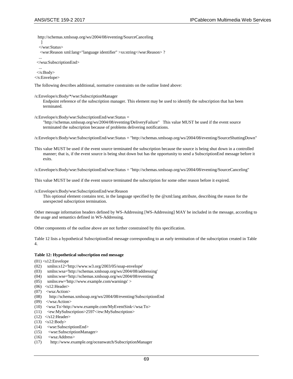http://schemas.xmlsoap.org/ws/2004/08/eventing/SourceCanceling

 ] </wse:Status>

<wse:Reason xml:lang="language identifier" >xs:string</wse:Reason> ?

 ... </wsa:SubscriptionEnd>

...

 </s:Body> </s:Envelope>

The following describes additional, normative constraints on the outline listed above:

/s:Envelope/s:Body/\*/wse:SubscriptionManager

Endpoint reference of the subscription manager. This element may be used to identify the subscription that has been terminated.

/s:Envelope/s:Body/wse:SubscriptionEnd/wse:Status =

"http://schemas.xmlsoap.org/ws/2004/08/eventing/DeliveryFailure" This value MUST be used if the event source terminated the subscription because of problems delivering notifications.

/s:Envelope/s:Body/wse:SubscriptionEnd/wse:Status = "http://schemas.xmlsoap.org/ws/2004/08/eventing/SourceShuttingDown"

This value MUST be used if the event source terminated the subscription because the source is being shut down in a controlled manner; that is, if the event source is being shut down but has the opportunity to send a SubscriptionEnd message before it exits.

/s:Envelope/s:Body/wse:SubscriptionEnd/wse:Status = "http://schemas.xmlsoap.org/ws/2004/08/eventing/SourceCanceling"

This value MUST be used if the event source terminated the subscription for some other reason before it expired.

/s:Envelope/s:Body/wse:SubscriptionEnd/wse:Reason

This optional element contains text, in the language specified by the @xml:lang attribute, describing the reason for the unexpected subscription termination.

Other message information headers defined by WS-Addressing [WS-Addressing] MAY be included in the message, according to the usage and semantics defined in WS-Addressing.

Other components of the outline above are not further constrained by this specification.

Table 12 lists a hypothetical SubscriptionEnd message corresponding to an early termination of the subscription created in Table 4.

#### **Table 12: Hypothetical subscription end message**

 $(01)$  <s12:Envelope

- (02) xmlns:s12='http://www.w3.org/2003/05/soap-envelope'
- (03) xmlns:wsa='http://schemas.xmlsoap.org/ws/2004/08/addressing'
- (04) xmlns:wse='http://schemas.xmlsoap.org/ws/2004/08/eventing'
- (05) xmlns:ew='http://www.example.com/warnings' >
- $(06)$  <s12:Header>
- (07) <wsa:Action>
- (08) http://schemas.xmlsoap.org/ws/2004/08/eventing/SubscriptionEnd
- $(09)$  </wsa:Action>
- (10) <wsa:To>http://www.example.com/MyEventSink</wsa:To>
- (11) <ew:MySubscription>2597</ew:MySubscription>
- $(12)$   $\leq$  s12: Header>
- $(13)$  <s12:Body>
- (14) <wse:SubscriptionEnd>
- (15) <wse:SubscriptionManager>
- (16) <wsa:Address>
- (17) http://www.example.org/oceanwatch/SubscriptionManager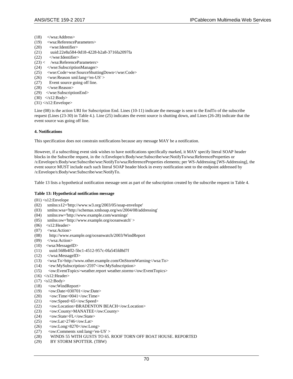- (18)  $\langle$  wsa:Address><br>(19)  $\langle$  wsa:Reference
- (19) <wsa:ReferenceParameters><br>
(20) <wse:Identifier>
- (20)  $\langle$  vse:Identifier  $\rangle$ <br>(21) uuid:22e8a584-0
- (21) uuid:22e8a584-0d18-4228-b2a8-3716fa2097fa
- (22) </wse:Identifier>
- $(23)$  < /wsa:ReferenceParameters>
- (24) </wse:SubscriptionManager>
- (25) <wse:Code>wse:SourceShuttingDown</wse:Code>
- (26) <wse:Reason xml:lang='en-US' >
- (27) Event source going off line.
- (28) </wse:Reason>
- (29) </wse:SubscriptionEnd>
- (30) </s12:Body>
- $(31)$   $\triangle$ s12:Envelope>

Line (08) is the action URI for Subscription End. Lines (10-11) indicate the message is sent to the EndTo of the subscribe request (Lines (23-30) in Table 4.). Line (25) indicates the event source is shutting down, and Lines (26-28) indicate that the event source was going off line.

#### **4. Notifications**

This specification does not constrain notifications because any message MAY be a notification.

However, if a subscribing event sink wishes to have notifications specifically marked, it MAY specify literal SOAP header blocks in the Subscribe request, in the /s:Envelope/s:Body/wse:Subscribe/wse:NotifyTo/wsa:ReferenceProperties or /s:Envelope/s:Body/wse:Subscribe/wse:NotifyTo/wsa:ReferenceProperties elements; per WS-Addressing [WS-Addressing], the event source MUST include each such literal SOAP header block in every notification sent to the endpoint addressed by /s:Envelope/s:Body/wse:Subscribe/wse:NotifyTo.

Table 13 lists a hypothetical notification message sent as part of the subscription created by the subscribe request in Table 4.

#### **Table 13: Hypothetical notification message**

- $(01)$  <s12:Envelope<br> $(02)$  xmlns:s12='b
- (02) xmlns:s12='http://www.w3.org/2003/05/soap-envelope'<br>(03) xmlns:wsa='http://schemas.xmlsoap.org/ws/2004/08/ad
- (03) xmlns:wsa='http://schemas.xmlsoap.org/ws/2004/08/addressing'
- (04) xmlns:ew='http://www.example.com/warnings'
- (05) xmlns:ow='http://www.example.org/oceanwatch' >
- $(06)$  <s12:Header>
- (07) <wsa:Action>
- (08) http://www.example.org/oceanwatch/2003/WindReport
- $(09)$   $\leq$ /wsa:Action>
- (10) <wsa:MessageID>
- (11) uuid:568b4ff2-5bc1-4512-957c-0fa545fd8d7f
- (12) </wsa:MessageID>
- (13) <wsa:To>http://www.other.example.com/OnStormWarning</wsa:To>
- (14) <ew:MySubscription>2597</ew:MySubscription>
- (15) <ow:EventTopics>weather.report weather.storms</ow:EventTopics>
- $(16)$  </s12:Header>
- $(17)$  <s12:Body>
- (18) <ow:WindReport>
- (19) <ow:Date>030701</ow:Date>
- $(20)$  < ow:Time> $0041$  </br/> $\langle$  ow:Time>
- $(21)$  <ow:Speed>65</ow:Speed>
- (22) <ow:Location>BRADENTON BEACH</ow:Location>
- (23) <ow:County>MANATEE</ow:County>
- (24) <ow:State>FL</ow:State>
- $(25)$  <ow:Lat>2746</ow:Lat>
- (26) <ow:Long>8270</ow:Long>
- (27) <ow:Comments xml:lang='en-US' >
- (28) WINDS 55 WITH GUSTS TO 65. ROOF TORN OFF BOAT HOUSE. REPORTED
- (29) BY STORM SPOTTER. (TBW)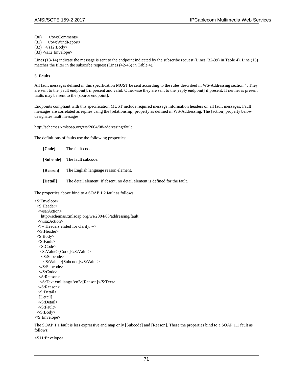$(30)$   $\langle$ /ow:Comments> (31) </ow:WindReport> (32)  $\langle$ s12:Body>

 $(33)$   $\triangle$ s12:Envelope>

Lines (13-14) indicate the message is sent to the endpoint indicated by the subscribe request (Lines (32-39) in Table 4). Line (15) matches the filter in the subscribe request (Lines (42-45) in Table 4).

## **5. Faults**

All fault messages defined in this specification MUST be sent according to the rules described in WS-Addressing section 4. They are sent to the [fault endpoint], if present and valid. Otherwise they are sent to the [reply endpoint] if present. If neither is present faults may be sent to the [source endpoint].

Endpoints compliant with this specification MUST include required message information headers on all fault messages. Fault messages are correlated as replies using the [relationship] property as defined in WS-Addressing. The [action] property below designates fault messages:

http://schemas.xmlsoap.org/ws/2004/08/addressing/fault

The definitions of faults use the following properties:

| [Code]          | The fault code.                                                            |
|-----------------|----------------------------------------------------------------------------|
|                 | [Subcode] The fault subcode.                                               |
| [Reason]        | The English language reason element.                                       |
| <b>[Detail]</b> | The detail element. If absent, no detail element is defined for the fault. |

The properties above bind to a SOAP 1.2 fault as follows:

<S:Envelope> <S:Header> <wsa:Action> http://schemas.xmlsoap.org/ws/2004/08/addressing/fault </wsa:Action> <!-- Headers elided for clarity. --> </S:Header> <S:Body> <S:Fault> <S:Code> <S:Value>[Code]</S:Value> <S:Subcode> <S:Value>[Subcode]</S:Value> </S:Subcode> </S:Code> <S:Reason> <S:Text xml:lang="en">[Reason]</S:Text> </S:Reason> <S:Detail> [Detail] </S:Detail> </S:Fault> </S:Body> </S:Envelope>

The SOAP 1.1 fault is less expressive and map only [Subcode] and [Reason]. These the properties bind to a SOAP 1.1 fault as follows:

<S11:Envelope>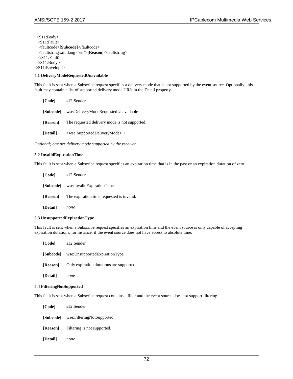$<$ S11:Body>  $<$ S11:Fault> <faultcode>**[Subcode]**</faultcode> <faultstring xml:lang="en">**[Reason]**</faultstring>  $<$ S11:Fault>  $<$  $S11:Body>$ </S11:Envelope>

# **5.1 DeliveryModeRequestedUnavailable**

This fault is sent when a Subscribe request specifies a delivery mode that is not supported by the event source. Optionally, this fault may contain a list of supported delivery mode URIs in the Detail property.

| [Code]           | s12:Sender                                    |
|------------------|-----------------------------------------------|
| <b>[Subcode]</b> | wse:DeliveryModeRequestedUnavailable          |
| [Reason]         | The requested delivery mode is not supported. |
| [Detail]         | $\langle$ wse:SupportedDeliveryMode> +        |

*Optional; one per delivery mode supported by the receiver* 

### **5.2 InvalidExpirationTime**

This fault is sent when a Subscribe request specifies an expiration time that is in the past or an expiration duration of zero.

| [Code]          | s12:Sender                                                |
|-----------------|-----------------------------------------------------------|
| [Subcode]       | wse:InvalidExpirationTime                                 |
|                 | <b>[Reason]</b> The expiration time requested is invalid. |
| <b>[Detail]</b> | none                                                      |

#### **5.3 UnsupportedExpirationType**

This fault is sent when a Subscribe request specifies an expiration time and the event source is only capable of accepting expiration durations; for instance, if the event source does not have access to absolute time.

| [Code]   | s12:Sender                               |
|----------|------------------------------------------|
|          | [Subcode] wse:UnsupportedExpirationType  |
| [Reason] | Only expiration durations are supported. |
| [Detail] | none                                     |

### **5.4 FilteringNotSupported**

This fault is sent when a Subscribe request contains a filter and the event source does not support filtering.

| [Code]   | s12:Sender                                  |
|----------|---------------------------------------------|
|          | [Subcode] wse: Filtering Not Supported      |
|          | <b>[Reason]</b> Filtering is not supported. |
| [Detail] | none                                        |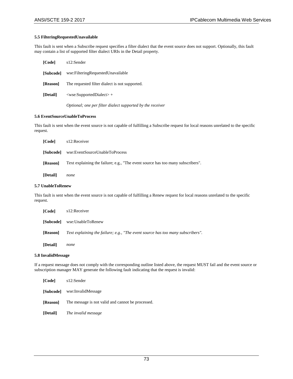# **5.5 FilteringRequestedUnavailable**

This fault is sent when a Subscribe request specifies a filter dialect that the event source does not support. Optionally, this fault may contain a list of supported filter dialect URIs in the Detail property.

| [Code]           | s12:Sender                                                 |
|------------------|------------------------------------------------------------|
| <b>[Subcode]</b> | wse:FilteringRequestedUnavailable                          |
| [Reason]         | The requested filter dialect is not supported.             |
| [Detail]         | $\langle$ wse:SupportedDialect $>$ +                       |
|                  | Optional; one per filter dialect supported by the receiver |

### **5.6 EventSourceUnableToProcess**

This fault is sent when the event source is not capable of fulfilling a Subscribe request for local reasons unrelated to the specific request.

| [Code]          | s12:Receiver                                                                    |
|-----------------|---------------------------------------------------------------------------------|
| <b>Subcodel</b> | wse:EventSourceUnableToProcess                                                  |
| [Reason]        | Text explaining the failure; e.g., "The event source has too many subscribers". |
| <b>[Detail]</b> | none                                                                            |

### **5.7 UnableToRenew**

This fault is sent when the event source is not capable of fulfilling a Renew request for local reasons unrelated to the specific request.

| [Code]          | s12:Receiver                                                                    |
|-----------------|---------------------------------------------------------------------------------|
| <b>Subcodel</b> | wse:UnableToRenew                                                               |
| [Reason]        | Text explaining the failure; e.g., "The event source has too many subscribers". |
| [Detail]        | none                                                                            |

## **5.8 InvalidMessage**

If a request message does not comply with the corresponding outline listed above, the request MUST fail and the event source or subscription manager MAY generate the following fault indicating that the request is invalid:

| [Code]   | s12:Sender                                                        |
|----------|-------------------------------------------------------------------|
|          | [Subcode] wse:InvalidMessage                                      |
|          | <b>[Reason]</b> The message is not valid and cannot be processed. |
| [Detail] | The invalid message                                               |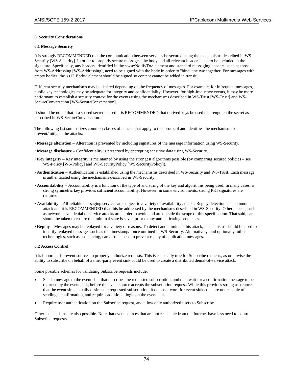## **6. Security Considerations**

## **6.1 Message Security**

It is strongly RECOMMENDED that the communication between services be secured using the mechanisms described in WS-Security [WS-Security]. In order to properly secure messages, the body and all relevant headers need to be included in the signature. Specifically, any headers identified in the <wse:NotifyTo> element and standard messaging headers, such as those from WS-Addressing [WS-Addressing], need to be signed with the body in order to "bind" the two together. For messages with empty bodies, the <s12:Body> element should be signed so content cannot be added in transit.

Different security mechanisms may be desired depending on the frequency of messages. For example, for infrequent messages, public key technologies may be adequate for integrity and confidentiality. However, for high-frequency events, it may be more performant to establish a security context for the events using the mechanisms described in WS-Trust [WS-Trust] and WS-SecureConversation [WS-SecureConversation].

It should be noted that if a shared secret is used it is RECOMMENDED that derived keys be used to strengthen the secret as described in WS-SecureConversation.

The following list summarizes common classes of attacks that apply to this protocol and identifies the mechanism to prevent/mitigate the attacks:

- **Message alteration**  Alteration is prevented by including signatures of the message information using WS-Security.
- **Message disclosure**  Confidentiality is preserved by encrypting sensitive data using WS-Security.
- **Key integrity**  Key integrity is maintained by using the strongest algorithms possible (by comparing secured policies see WS-Policy [WS-Policy] and WS-SecurityPolicy [WS-SecurityPolicy]).
- **Authentication**  Authentication is established using the mechanisms described in WS-Security and WS-Trust. Each message is authenticated using the mechanisms described in WS-Security.
- **Accountability**  Accountability is a function of the type of and string of the key and algorithms being used. In many cases, a strong symmetric key provides sufficient accountability. However, in some environments, strong PKI signatures are required.
- **Availability**  All reliable messaging services are subject to a variety of availability attacks. Replay detection is a common attack and it is RECOMMENDED that this be addressed by the mechanisms described in WS-Security. Other attacks, such as network-level denial of service attacks are harder to avoid and are outside the scope of this specification. That said, care should be taken to ensure that minimal state is saved prior to any authenticating sequences.
- **Replay**  Messages may be replayed for a variety of reasons. To detect and eliminate this attack, mechanisms should be used to identify replayed messages such as the timestamp/nonce outlined in WS-Security. Alternatively, and optionally, other technologies, such as sequencing, can also be used to prevent replay of application messages.

#### **6.2 Access Control**

It is important for event sources to properly authorize requests. This is especially true for Subscribe requests, as otherwise the ability to subscribe on behalf of a third-party event sink could be used to create a distributed denial-of-service attack.

Some possible schemes for validating Subscribe requests include:

- Send a message to the event sink that describes the requested subscription, and then wait for a confirmation message to be returned by the event sink, before the event source accepts the subscription request. While this provides strong assurance that the event sink actually desires the requested subscription, it does not work for event sinks that are not capable of sending a confirmation, and requires additional logic on the event sink.
- Require user authentication on the Subscribe request, and allow only authorized users to Subscribe.

Other mechanisms are also possible. Note that event sources that are not reachable from the Internet have less need to control Subscribe requests.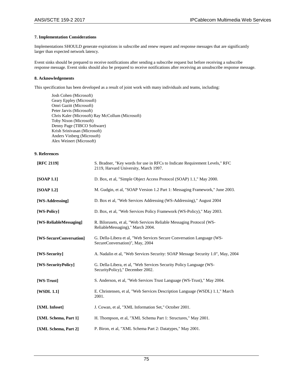# **7. Implementation Considerations**

Implementations SHOULD generate expirations in subscribe and renew request and response messages that are significantly larger than expected network latency.

Event sinks should be prepared to receive notifications after sending a subscribe request but before receiving a subscribe response message. Event sinks should also be prepared to receive notifications after receiving an unsubscribe response message.

## **8. Acknowledgements**

This specification has been developed as a result of joint work with many individuals and teams, including:

Josh Cohen (Microsoft) Geary Eppley (Microsoft) Omri Gazitt (Microsoft) Peter Jarvis (Microsoft) Chris Kaler (Microsoft) Ray McCollum (Microsoft) Toby Nixon (Microsoft) Denny Page (TIBCO Software) Krish Srinivasan (Microsoft) Anders Vinberg (Microsoft) Alex Weinert (Microsoft)

# **9. References**

| [RFC 2119]              | S. Bradner, "Key words for use in RFCs to Indicate Requirement Levels," RFC<br>2119, Harvard University, March 1997. |
|-------------------------|----------------------------------------------------------------------------------------------------------------------|
| [SOAP 1.1]              | D. Box, et al, "Simple Object Access Protocol (SOAP) 1.1," May 2000.                                                 |
| [SOAP 1.2]              | M. Gudgin, et al, "SOAP Version 1.2 Part 1: Messaging Framework," June 2003.                                         |
| [WS-Addressing]         | D. Box et al, "Web Services Addressing (WS-Addressing)," August 2004                                                 |
| [WS-Policy]             | D. Box, et al. "Web Services Policy Framework (WS-Policy)," May 2003.                                                |
| [WS-ReliableMessaging]  | R. Bilorusets, et al, "Web Services Reliable Messaging Protocol (WS-<br>ReliableMessaging)," March 2004.             |
| [WS-SecureConversation] | G. Della-Libera et al, "Web Services Secure Conversation Language (WS-<br>SecureConversation)", May, 2004            |
| [WS-Security]           | A. Nadalin et al, "Web Services Security: SOAP Message Security 1.0", May, 2004                                      |
| [WS-SecurityPolicy]     | G. Della-Libera, et al, "Web Services Security Policy Language (WS-<br>SecurityPolicy)," December 2002.              |
| [WS-Trust]              | S. Anderson, et al, "Web Services Trust Language (WS-Trust)," May 2004.                                              |
| [WSDL 1.1]              | E. Christensen, et al. "Web Services Description Language (WSDL) 1.1," March<br>2001.                                |
| [XML Infoset]           | J. Cowan, et al, "XML Information Set," October 2001.                                                                |
| [XML Schema, Part 1]    | H. Thompson, et al, "XML Schema Part 1: Structures," May 2001.                                                       |
| [XML Schema, Part 2]    | P. Biron, et al, "XML Schema Part 2: Datatypes," May 2001.                                                           |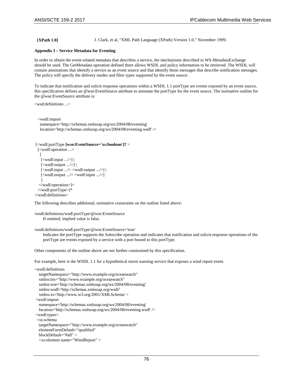**[XPath 1.0]** J. Clark, et al, "XML Path Language (XPath) Version 1.0," November 1999.

# **Appendix I – Service Metadata for Eventing**

In order to obtain the event-related metadata that describes a service, the mechanisms described in WS-MetadataExchange should be used. The GetMetadata operation defined there allows WSDL and policy information to be retrieved. The WSDL will contain annotations that identify a service as an event source and that identify those messages that describe notification messages. The policy will specify the delivery modes and filter types supported by the event source.

To indicate that notification and solicit-response operations within a WSDL 1.1 portType are events exposed by an event source, this specification defines an @wse:EventSource attribute to annotate the portType for the event source. The normative outline for the @wse:EventSource attribute is:

```
<wsd:definitions ...>
```

```
 <wsdl:import 
  namespace='http://schemas.xmlsoap.org/ws/2004/08/eventing' 
  location='http://schemas.xmlsoap.org/ws/2004/08/eventing.wsdl' />
```

```
[<wsdl:portType [wse:EventSource='xs:boolean']? > 
  [<wsdl:operation ...> 
  \lceil [<wsdl:input .../>] | 
    [<wsdl:output .../>] | 
    [<wsdl:input .../> <wsdl:output .../>] | 
    [<wsdl:output .../> <wsdl:input .../>] 
\Box </wsdl:operation>]+ 
  </wsdl:portType>]*
```

```
</wsdl:definitions>
```
The following describes additional, normative constraints on the outline listed above:

```
/wsdl:definitions/wsdl:portType/@wse:EventSource 
     If omitted, implied value is false.
```
/wsdl:definitions/wsdl:portType/@wse:EventSource='true'

Indicates the portType supports the Subscribe operation and indicates that notification and solicit-response operations of the portType are events exposed by a service with a port bound to this portType.

Other components of the outline above are not further constrained by this specification.

For example, here is the WSDL 1.1 for a hypothetical storm warning service that exposes a wind report event.

```
<wsdl:definitions 
   targetNamespace="http://www.example.org/oceanwatch" 
   xmlns:tns="http://www.example.org/oceanwatch" 
   xmlns:wse='http://schemas.xmlsoap.org/ws/2004/08/eventing' 
   xmlns:wsdl='http://schemas.xmlsoap.org/wsdl/' 
   xmlns:xs='http://www.w3.org/2001/XMLSchema' > 
<wsdl:import 
   namespace='http://schemas.xmlsoap.org/ws/2004/08/eventing' 
   location='http://schemas.xmlsoap.org/ws/2004/08/eventing.wsdl' /> 
<wsdl:types> 
  <xs:schema 
   targetNamespace="http://www.example.org/oceanwatch" 
   elementFormDefault="qualified" 
   blockDefault="#all" > 
   <xs:element name="WindReport" >
```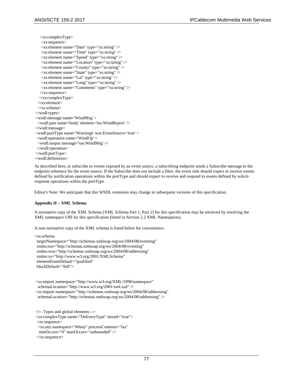```
 <xs:complexType> 
    <xs:sequence> 
    <xs:element name="Date" type="xs:string" /> 
    <xs:element name="Time" type="xs:string" /> 
    <xs:element name="Speed" type="xs:string" /> 
    <xs:element name="Location" type="xs:string" /> 
    <xs:element name="County" type="xs:string" /> 
    <xs:element name="State" type="xs:string" /> 
    <xs:element name="Lat" type="xs:string" /> 
    <xs:element name="Long" type="xs:string" /> 
    <xs:element name="Comments" type="xs:string" /> 
    </xs:sequence> 
   </xs:complexType> 
  </xs:element> 
  </xs:schema> 
</wsdl:types> 
<wsdl:message name='WindMsg' > 
  <wsdl:part name='body' element='tns:WindReport' /> 
</wsdl:message> 
<wsdl:portType name='Warnings' wse:EventSource='true' > 
  <wsdl:operation name='WindOp' > 
  <wsdl:output message='tns:WindMsg' /> 
  </wsdl:operation> 
</wsdl:portType> 
</wsdl:definitions>
```
As described here, to subscribe to events exposed by an event source, a subscribing endpoint sends a Subscribe message to the endpoint reference for the event source. If the Subscribe does not include a filter, the event sink should expect to receive events defined by notification operations within the portType and should expect to receive and respond to events defined by solicitresponse operations within the portType.

Editor's Note: We anticipate that this WSDL extension may change in subsequent versions of this specification.

## **Appendix II – XML Schema**

A normative copy of the XML Schema [XML Schema Part 1, Part 2] for this specification may be retrieved by resolving the XML namespace URI for this specification (listed in Section 2.2 XML Namespaces).

A non-normative copy of the XML schema is listed below for convenience.

<xs:schema

 targetNamespace="http://schemas.xmlsoap.org/ws/2004/08/eventing" xmlns:tns="http://schemas.xmlsoap.org/ws/2004/08/eventing" xmlns:wsa="http://schemas.xmlsoap.org/ws/2004/08/addressing" xmlns:xs="http://www.w3.org/2001/XMLSchema" elementFormDefault="qualified" blockDefault="#all">

```
<xs:import namespace="http://www.w3.org/XML/1998/namespace" 
 schemaLocation="http://www.w3.org/2001/xml.xsd" /> 
<xs:import namespace="http://schemas.xmlsoap.org/ws/2004/08/addressing" 
  schemaLocation="http://schemas.xmlsoap.org/ws/2004/08/addressing" />
```
<!-- Types and global elements --> <xs:complexType name="DeliveryType" mixed="true"> <xs:sequence> <xs:any namespace="##any" processContents="lax" minOccurs="0" maxOccurs="unbounded" /> </xs:sequence>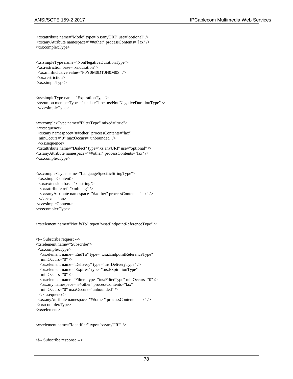```
 <xs:anyAttribute namespace="##other" processContents="lax" /> 
</xs:complexType> 
<xs:simpleType name="NonNegativeDurationType"> 
 <xs:restriction base="xs:duration"> 
 <xs:minInclusive value="P0Y0M0DT0H0M0S" /> 
 </xs:restriction> 
</xs:simpleType> 
<xs:simpleType name="ExpirationType"> 
 <xs:union memberTypes="xs:dateTime tns:NonNegativeDurationType" /> 
 </xs:simpleType> 
<xs:complexType name="FilterType" mixed="true"> 
 <xs:sequence> 
  <xs:any namespace="##other" processContents="lax" 
  minOccurs="0" maxOccurs="unbounded" /> 
  </xs:sequence> 
 <xs:attribute name="Dialect" type="xs:anyURI" use="optional" /> 
<xs:anyAttribute namespace="##other" processContents="lax" /> 
</xs:complexType>
```
<xs:attribute name="Mode" type="xs:anyURI" use="optional" />

```
<xs:complexType name="LanguageSpecificStringType"> 
  <xs:simpleContent> 
  <xs:extension base="xs:string"> 
   <xs:attribute ref="xml:lang" /> 
   <xs:anyAttribute namespace="##other" processContents="lax" /> 
  </xs:extension> 
 </xs:simpleContent>
```

```
</xs:complexType>
```

```
<xs:element name="NotifyTo" type="wsa:EndpointReferenceType" />
```

```
<!-- Subscribe request --> 
<xs:element name="Subscribe"> 
  <xs:complexType> 
   <xs:element name="EndTo" type="wsa:EndpointReferenceType" 
   minOccurs="0" /> 
   <xs:element name="Delivery" type="tns:DeliveryType" /> 
   <xs:element name="Expires" type="tns:ExpirationType" 
   minOccurs="0" /> 
   <xs:element name="Filter" type="tns:FilterType" minOccurs="0" /> 
   <xs:any namespace="##other" processContents="lax" 
   minOccurs="0" maxOccurs="unbounded" /> 
  </xs:sequence> 
  <xs:anyAttribute namespace="##other" processContents="lax" /> 
 </xs:complexType> 
</xs:element>
```
<xs:element name="Identifier" type="xs:anyURI" />

```
<!-- Subscribe response -->
```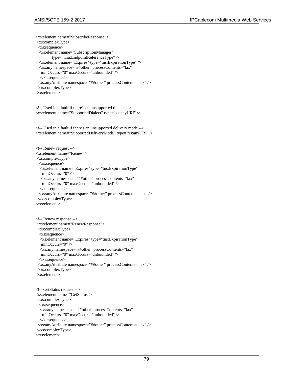<xs:element name="SubscribeResponse"> <xs:complexType> <xs:sequence> <xs:element name="SubscriptionManager" type="wsa:EndpointReferenceType" /> <xs:element name="Expires" type="tns:ExpirationType" /> <xs:any namespace="##other" processContents="lax" minOccurs="0" maxOccurs="unbounded" /> </xs:sequence> <xs:anyAttribute namespace="##other" processContents="lax" /> </xs:complexType> </xs:element> <!-- Used in a fault if there's an unsupported dialect --> <xs:element name="SupportedDialect" type="xs:anyURI" /> <!-- Used in a fault if there's an unsupported delivery mode --> <xs:element name="SupportedDeliveryMode" type="xs:anyURI" /> <!-- Renew request --> <xs:element name="Renew"> <xs:complexType> <xs:sequence> <xs:element name="Expires" type="tns:ExpirationType" minOccurs="0" /> <xs:any namespace="##other" processContents="lax" minOccurs="0" maxOccurs="unbounded" /> </xs:sequence> <xs:anyAttribute namespace="##other" processContents="lax" /> </xs:complexType> </xs:element> <!-- Renew response --> <xs:element name="RenewResponse"> <xs:complexType> <xs:sequence> <xs:element name="Expires" type="tns:ExpirationType" minOccurs="0" /> <xs:any namespace="##other" processContents="lax" minOccurs="0" maxOccurs="unbounded" /> </xs:sequence> <xs:anyAttribute namespace="##other" processContents="lax" /> </xs:complexType> </xs:element> <!-- GetStatus request --> <xs:element name="GetStatus"> <xs:complexType> <xs:sequence> <xs:any namespace="##other" processContents="lax" minOccurs="0" maxOccurs="unbounded" /> </xs:sequence> <xs:anyAttribute namespace="##other" processContents="lax" /> </xs:complexType> </xs:element>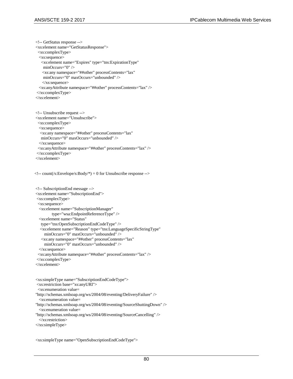<!-- GetStatus response --> <xs:element name="GetStatusResponse"> <xs:complexType> <xs:sequence> <xs:element name="Expires" type="tns:ExpirationType" minOccurs="0" /> <xs:any namespace="##other" processContents="lax" minOccurs="0" maxOccurs="unbounded" /> </xs:sequence> <xs:anyAttribute namespace="##other" processContents="lax" /> </xs:complexType> </xs:element>

```
<!-- Unsubscribe request --> 
<xs:element name="Unsubscribe"> 
  <xs:complexType> 
  <xs:sequence> 
   <xs:any namespace="##other" processContents="lax" 
   minOccurs="0" maxOccurs="unbounded" /> 
  </xs:sequence> 
  <xs:anyAttribute namespace="##other" processContents="lax" /> 
 </xs:complexType> 
</xs:element>
```
 $\langle$ !-- count(/s:Envelope/s:Body/\*) = 0 for Unsubscribe response -->

```
<!-- SubscriptionEnd message --> 
<xs:element name="SubscriptionEnd"> 
 <xs:complexType> 
  <xs:sequence> 
  <xs:element name="SubscriptionManager" 
         type="wsa:EndpointReferenceType" /> 
  <xs:element name="Status" 
   type="tns:OpenSubscriptionEndCodeType" /> 
   <xs:element name="Reason" type="tns:LanguageSpecificStringType" 
     minOccurs="0" maxOccurs="unbounded" /> 
   <xs:any namespace="##other" processContents="lax" 
     minOccurs="0" maxOccurs="unbounded" /> 
  </xs:sequence> 
  <xs:anyAttribute namespace="##other" processContents="lax" /> 
 </xs:complexType> 
</xs:element>
```

```
<xs:simpleType name="SubscriptionEndCodeType"> 
 <xs:restriction base="xs:anyURI"> 
  <xs:enumeration value= 
"http://schemas.xmlsoap.org/ws/2004/08/eventing/DeliveryFailure" /> 
  <xs:enumeration value= 
"http://schemas.xmlsoap.org/ws/2004/08/eventing/SourceShuttingDown" /> 
  <xs:enumeration value= 
"http://schemas.xmlsoap.org/ws/2004/08/eventing/SourceCancelling" /> 
  </xs:restriction> 
</xs:simpleType>
```
<xs:simpleType name="OpenSubscriptionEndCodeType">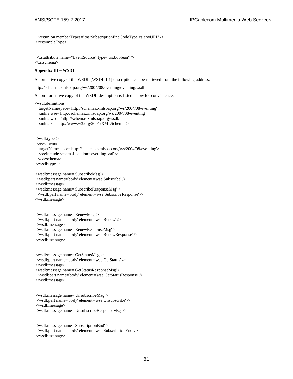<xs:union memberTypes="tns:SubscriptionEndCodeType xs:anyURI" /> </xs:simpleType>

 <xs:attribute name="EventSource" type="xs:boolean" /> </xs:schema>

### **Appendix III – WSDL**

A normative copy of the WSDL [WSDL 1.1] description can be retrieved from the following address:

http://schemas.xmlsoap.org/ws/2004/08/eventing/eventing.wsdl

A non-normative copy of the WSDL description is listed below for convenience.

<wsdl:definitions

 targetNamespace='http://schemas.xmlsoap.org/ws/2004/08/eventing' xmlns:wse='http://schemas.xmlsoap.org/ws/2004/08/eventing' xmlns:wsdl='http://schemas.xmlsoap.org/wsdl/' xmlns:xs='http://www.w3.org/2001/XMLSchema' >

<wsdl:types>

<xs:schema

targetNamespace='http://schemas.xmlsoap.org/ws/2004/08/eventing'>

<xs:include schemaLocation='eventing.xsd' />

</xs:schema>

</wsdl:types>

```
<wsdl:message name='SubscribeMsg' > 
 <wsdl:part name='body' element='wse:Subscribe' /> 
</wsdl:message>
```
<wsdl:message name='SubscribeResponseMsg' >

<wsdl:part name='body' element='wse:SubscribeResponse' />

</wsdl:message>

<wsdl:message name='RenewMsg' > <wsdl:part name='body' element='wse:Renew' /> </wsdl:message> <wsdl:message name='RenewResponseMsg' >

 <wsdl:part name='body' element='wse:RenewResponse' /> </wsdl:message>

<wsdl:message name='GetStatusMsg' > <wsdl:part name='body' element='wse:GetStatus' /> </wsdl:message> <wsdl:message name='GetStatusResponseMsg' > <wsdl:part name='body' element='wse:GetStatusResponse' /> </wsdl:message>

<wsdl:message name='UnsubscribeMsg' > <wsdl:part name='body' element='wse:Unsubscribe' /> </wsdl:message> <wsdl:message name='UnsubscribeResponseMsg' />

<wsdl:message name='SubscriptionEnd' > <wsdl:part name='body' element='wse:SubscriptionEnd' /> </wsdl:message>